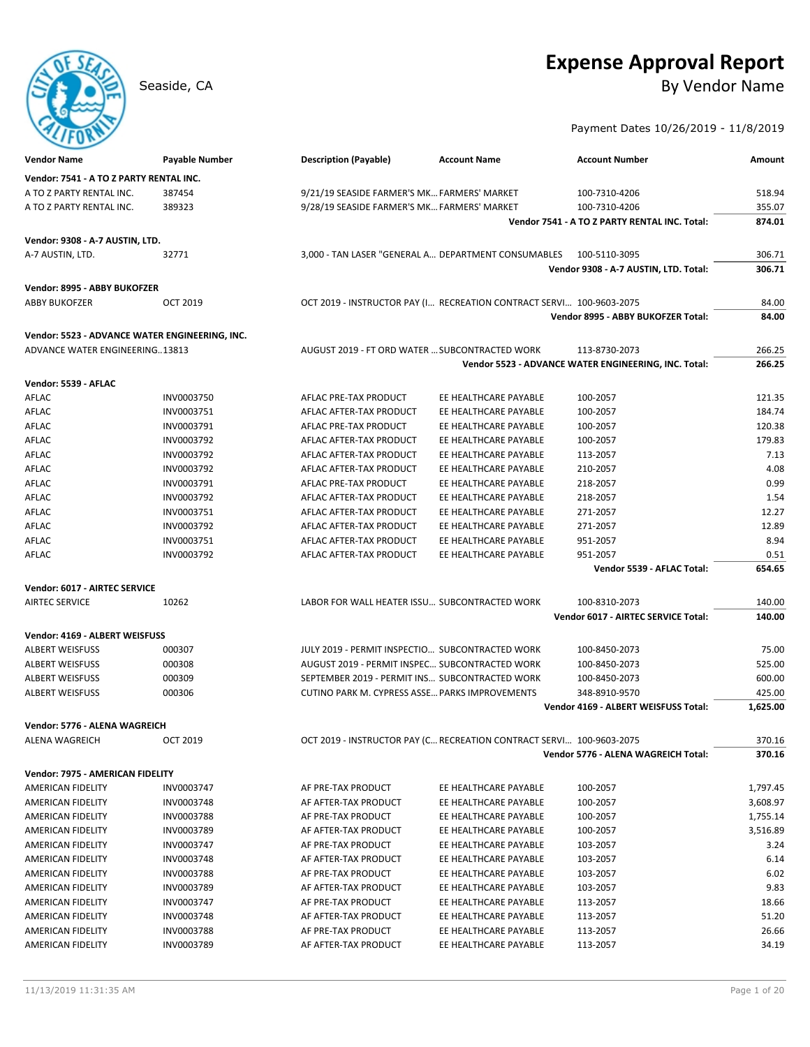# **Expense Approval Report**

Seaside, CA By Vendor Name

### Payment Dates 10/26/2019 - 11/8/2019

| <b>Vendor Name</b>                             | <b>Payable Number</b> | <b>Description (Payable)</b>                                         | <b>Account Name</b>   | <b>Account Number</b>                                 | Amount             |
|------------------------------------------------|-----------------------|----------------------------------------------------------------------|-----------------------|-------------------------------------------------------|--------------------|
| Vendor: 7541 - A TO Z PARTY RENTAL INC.        |                       |                                                                      |                       |                                                       |                    |
| A TO Z PARTY RENTAL INC.                       | 387454                | 9/21/19 SEASIDE FARMER'S MK FARMERS' MARKET                          |                       | 100-7310-4206                                         | 518.94             |
| A TO Z PARTY RENTAL INC.                       | 389323                | 9/28/19 SEASIDE FARMER'S MK FARMERS' MARKET                          |                       | 100-7310-4206                                         | 355.07             |
|                                                |                       |                                                                      |                       | Vendor 7541 - A TO Z PARTY RENTAL INC. Total:         | 874.01             |
| Vendor: 9308 - A-7 AUSTIN, LTD.                |                       |                                                                      |                       |                                                       |                    |
| A-7 AUSTIN, LTD.                               | 32771                 | 3,000 - TAN LASER "GENERAL A DEPARTMENT CONSUMABLES                  |                       | 100-5110-3095                                         | 306.71             |
|                                                |                       |                                                                      |                       | Vendor 9308 - A-7 AUSTIN, LTD. Total:                 | 306.71             |
| Vendor: 8995 - ABBY BUKOFZER                   |                       |                                                                      |                       |                                                       |                    |
| <b>ABBY BUKOFZER</b>                           | OCT 2019              | OCT 2019 - INSTRUCTOR PAY (I RECREATION CONTRACT SERVI 100-9603-2075 |                       |                                                       | 84.00              |
|                                                |                       |                                                                      |                       | Vendor 8995 - ABBY BUKOFZER Total:                    | 84.00              |
| Vendor: 5523 - ADVANCE WATER ENGINEERING, INC. |                       |                                                                      |                       |                                                       |                    |
| ADVANCE WATER ENGINEERING13813                 |                       | AUGUST 2019 - FT ORD WATER  SUBCONTRACTED WORK                       |                       | 113-8730-2073                                         | 266.25             |
|                                                |                       |                                                                      |                       | Vendor 5523 - ADVANCE WATER ENGINEERING, INC. Total:  | 266.25             |
| Vendor: 5539 - AFLAC                           |                       |                                                                      |                       |                                                       |                    |
| AFLAC                                          | INV0003750            | AFLAC PRE-TAX PRODUCT                                                | EE HEALTHCARE PAYABLE | 100-2057                                              | 121.35             |
| AFLAC                                          | INV0003751            | AFLAC AFTER-TAX PRODUCT                                              | EE HEALTHCARE PAYABLE | 100-2057                                              | 184.74             |
| AFLAC                                          | INV0003791            | AFLAC PRE-TAX PRODUCT                                                | EE HEALTHCARE PAYABLE | 100-2057                                              | 120.38             |
| AFLAC                                          | INV0003792            | AFLAC AFTER-TAX PRODUCT                                              | EE HEALTHCARE PAYABLE | 100-2057                                              | 179.83             |
| AFLAC                                          | INV0003792            | AFLAC AFTER-TAX PRODUCT                                              | EE HEALTHCARE PAYABLE | 113-2057                                              | 7.13               |
| AFLAC                                          | INV0003792            | AFLAC AFTER-TAX PRODUCT                                              | EE HEALTHCARE PAYABLE | 210-2057                                              | 4.08               |
| AFLAC                                          | INV0003791            | AFLAC PRE-TAX PRODUCT                                                | EE HEALTHCARE PAYABLE | 218-2057                                              | 0.99               |
| AFLAC                                          | INV0003792            | AFLAC AFTER-TAX PRODUCT                                              | EE HEALTHCARE PAYABLE | 218-2057                                              | 1.54               |
| AFLAC                                          | INV0003751            | AFLAC AFTER-TAX PRODUCT                                              | EE HEALTHCARE PAYABLE | 271-2057                                              | 12.27              |
| AFLAC                                          | INV0003792            | AFLAC AFTER-TAX PRODUCT                                              | EE HEALTHCARE PAYABLE | 271-2057                                              | 12.89              |
| AFLAC                                          | INV0003751            | AFLAC AFTER-TAX PRODUCT                                              | EE HEALTHCARE PAYABLE | 951-2057                                              | 8.94               |
| AFLAC                                          | INV0003792            | AFLAC AFTER-TAX PRODUCT                                              | EE HEALTHCARE PAYABLE | 951-2057                                              | 0.51               |
|                                                |                       |                                                                      |                       | Vendor 5539 - AFLAC Total:                            | 654.65             |
| Vendor: 6017 - AIRTEC SERVICE                  |                       |                                                                      |                       |                                                       |                    |
| <b>AIRTEC SERVICE</b>                          | 10262                 | LABOR FOR WALL HEATER ISSU SUBCONTRACTED WORK                        |                       | 100-8310-2073                                         | 140.00             |
|                                                |                       |                                                                      |                       | Vendor 6017 - AIRTEC SERVICE Total:                   | 140.00             |
| Vendor: 4169 - ALBERT WEISFUSS                 |                       |                                                                      |                       |                                                       |                    |
| <b>ALBERT WEISFUSS</b>                         | 000307                | JULY 2019 - PERMIT INSPECTIO SUBCONTRACTED WORK                      |                       |                                                       | 75.00              |
| ALBERT WEISFUSS                                |                       |                                                                      |                       | 100-8450-2073                                         | 525.00             |
| <b>ALBERT WEISFUSS</b>                         | 000308                | AUGUST 2019 - PERMIT INSPEC SUBCONTRACTED WORK                       |                       | 100-8450-2073                                         |                    |
|                                                | 000309                | SEPTEMBER 2019 - PERMIT INS SUBCONTRACTED WORK                       |                       | 100-8450-2073                                         | 600.00             |
| <b>ALBERT WEISFUSS</b>                         | 000306                | CUTINO PARK M. CYPRESS ASSE PARKS IMPROVEMENTS                       |                       | 348-8910-9570<br>Vendor 4169 - ALBERT WEISFUSS Total: | 425.00<br>1,625.00 |
| Vendor: 5776 - ALENA WAGREICH                  |                       |                                                                      |                       |                                                       |                    |
| <b>ALENA WAGREICH</b>                          | <b>OCT 2019</b>       | OCT 2019 - INSTRUCTOR PAY (C RECREATION CONTRACT SERVI 100-9603-2075 |                       |                                                       | 370.16             |
|                                                |                       |                                                                      |                       | Vendor 5776 - ALENA WAGREICH Total:                   | 370.16             |
| Vendor: 7975 - AMERICAN FIDELITY               |                       |                                                                      |                       |                                                       |                    |
| AMERICAN FIDELITY                              | INV0003747            | AF PRE-TAX PRODUCT                                                   | EE HEALTHCARE PAYABLE | 100-2057                                              | 1,797.45           |
| AMERICAN FIDELITY                              | INV0003748            | AF AFTER-TAX PRODUCT                                                 | EE HEALTHCARE PAYABLE | 100-2057                                              | 3,608.97           |
| <b>AMERICAN FIDELITY</b>                       | INV0003788            | AF PRE-TAX PRODUCT                                                   | EE HEALTHCARE PAYABLE | 100-2057                                              | 1,755.14           |
| AMERICAN FIDELITY                              | INV0003789            | AF AFTER-TAX PRODUCT                                                 | EE HEALTHCARE PAYABLE | 100-2057                                              | 3,516.89           |
|                                                |                       |                                                                      |                       |                                                       |                    |
| AMERICAN FIDELITY                              | INV0003747            | AF PRE-TAX PRODUCT                                                   | EE HEALTHCARE PAYABLE | 103-2057                                              | 3.24               |
| AMERICAN FIDELITY                              | INV0003748            | AF AFTER-TAX PRODUCT                                                 | EE HEALTHCARE PAYABLE | 103-2057                                              | 6.14               |
| AMERICAN FIDELITY                              | INV0003788            | AF PRE-TAX PRODUCT                                                   | EE HEALTHCARE PAYABLE | 103-2057                                              | 6.02               |
| AMERICAN FIDELITY                              | INV0003789            | AF AFTER-TAX PRODUCT                                                 | EE HEALTHCARE PAYABLE | 103-2057                                              | 9.83               |
| AMERICAN FIDELITY                              | INV0003747            | AF PRE-TAX PRODUCT                                                   | EE HEALTHCARE PAYABLE | 113-2057                                              | 18.66              |
| AMERICAN FIDELITY                              | INV0003748            | AF AFTER-TAX PRODUCT                                                 | EE HEALTHCARE PAYABLE | 113-2057                                              | 51.20              |
| AMERICAN FIDELITY                              | <b>INV0003788</b>     | AF PRE-TAX PRODUCT                                                   | EE HEALTHCARE PAYABLE | 113-2057                                              | 26.66              |
| AMERICAN FIDELITY                              | INV0003789            | AF AFTER-TAX PRODUCT                                                 | EE HEALTHCARE PAYABLE | 113-2057                                              | 34.19              |
|                                                |                       |                                                                      |                       |                                                       |                    |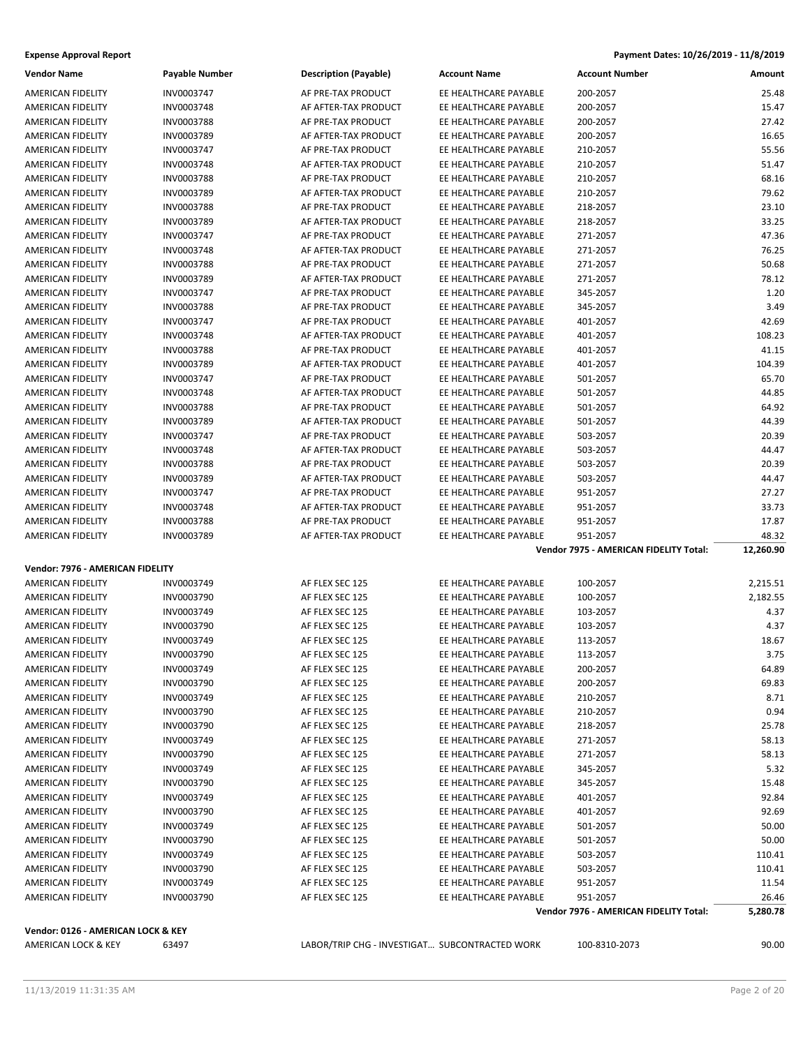**Expense Approval Report Payment Dates: 10/26/2019 - 11/8/2019** 

| Vendor Name                                               | Payable Number           | <b>Description (Payable)</b>                   | <b>Account Name</b>   | <b>Account Number</b>                  | Amount    |
|-----------------------------------------------------------|--------------------------|------------------------------------------------|-----------------------|----------------------------------------|-----------|
| AMERICAN FIDELITY                                         | INV0003747               | AF PRE-TAX PRODUCT                             | EE HEALTHCARE PAYABLE | 200-2057                               | 25.48     |
| AMERICAN FIDELITY                                         | INV0003748               | AF AFTER-TAX PRODUCT                           | EE HEALTHCARE PAYABLE | 200-2057                               | 15.47     |
| AMERICAN FIDELITY                                         | INV0003788               | AF PRE-TAX PRODUCT                             | EE HEALTHCARE PAYABLE | 200-2057                               | 27.42     |
| AMERICAN FIDELITY                                         | INV0003789               | AF AFTER-TAX PRODUCT                           | EE HEALTHCARE PAYABLE | 200-2057                               | 16.65     |
| AMERICAN FIDELITY                                         | INV0003747               | AF PRE-TAX PRODUCT                             | EE HEALTHCARE PAYABLE | 210-2057                               | 55.56     |
| <b>AMERICAN FIDELITY</b>                                  | INV0003748               | AF AFTER-TAX PRODUCT                           | EE HEALTHCARE PAYABLE | 210-2057                               | 51.47     |
| AMERICAN FIDELITY                                         | <b>INV0003788</b>        | AF PRE-TAX PRODUCT                             | EE HEALTHCARE PAYABLE | 210-2057                               | 68.16     |
| AMERICAN FIDELITY                                         | INV0003789               | AF AFTER-TAX PRODUCT                           | EE HEALTHCARE PAYABLE | 210-2057                               | 79.62     |
| <b>AMERICAN FIDELITY</b>                                  | INV0003788               | AF PRE-TAX PRODUCT                             | EE HEALTHCARE PAYABLE | 218-2057                               | 23.10     |
| AMERICAN FIDELITY                                         | INV0003789               | AF AFTER-TAX PRODUCT                           | EE HEALTHCARE PAYABLE | 218-2057                               | 33.25     |
| AMERICAN FIDELITY                                         | INV0003747               | AF PRE-TAX PRODUCT                             | EE HEALTHCARE PAYABLE | 271-2057                               | 47.36     |
| AMERICAN FIDELITY                                         | INV0003748               | AF AFTER-TAX PRODUCT                           | EE HEALTHCARE PAYABLE | 271-2057                               | 76.25     |
| AMERICAN FIDELITY                                         | INV0003788               | AF PRE-TAX PRODUCT                             | EE HEALTHCARE PAYABLE | 271-2057                               | 50.68     |
| AMERICAN FIDELITY                                         | INV0003789               | AF AFTER-TAX PRODUCT                           | EE HEALTHCARE PAYABLE | 271-2057                               | 78.12     |
| AMERICAN FIDELITY                                         | INV0003747               | AF PRE-TAX PRODUCT                             | EE HEALTHCARE PAYABLE | 345-2057                               | 1.20      |
| AMERICAN FIDELITY                                         | INV0003788               | AF PRE-TAX PRODUCT                             | EE HEALTHCARE PAYABLE | 345-2057                               | 3.49      |
| AMERICAN FIDELITY                                         | INV0003747               | AF PRE-TAX PRODUCT                             | EE HEALTHCARE PAYABLE | 401-2057                               | 42.69     |
|                                                           | INV0003748               |                                                | EE HEALTHCARE PAYABLE | 401-2057                               | 108.23    |
| AMERICAN FIDELITY                                         |                          | AF AFTER-TAX PRODUCT<br>AF PRE-TAX PRODUCT     | EE HEALTHCARE PAYABLE | 401-2057                               |           |
| AMERICAN FIDELITY                                         | INV0003788               |                                                | EE HEALTHCARE PAYABLE |                                        | 41.15     |
| AMERICAN FIDELITY<br><b>AMERICAN FIDELITY</b>             | INV0003789<br>INV0003747 | AF AFTER-TAX PRODUCT                           | EE HEALTHCARE PAYABLE | 401-2057<br>501-2057                   | 104.39    |
|                                                           |                          | AF PRE-TAX PRODUCT                             |                       |                                        | 65.70     |
| AMERICAN FIDELITY                                         | INV0003748               | AF AFTER-TAX PRODUCT                           | EE HEALTHCARE PAYABLE | 501-2057                               | 44.85     |
| AMERICAN FIDELITY                                         | INV0003788               | AF PRE-TAX PRODUCT                             | EE HEALTHCARE PAYABLE | 501-2057                               | 64.92     |
| AMERICAN FIDELITY                                         | INV0003789               | AF AFTER-TAX PRODUCT                           | EE HEALTHCARE PAYABLE | 501-2057                               | 44.39     |
| <b>AMERICAN FIDELITY</b>                                  | INV0003747               | AF PRE-TAX PRODUCT                             | EE HEALTHCARE PAYABLE | 503-2057                               | 20.39     |
| AMERICAN FIDELITY                                         | INV0003748               | AF AFTER-TAX PRODUCT                           | EE HEALTHCARE PAYABLE | 503-2057                               | 44.47     |
| AMERICAN FIDELITY                                         | <b>INV0003788</b>        | AF PRE-TAX PRODUCT                             | EE HEALTHCARE PAYABLE | 503-2057                               | 20.39     |
| AMERICAN FIDELITY                                         | INV0003789               | AF AFTER-TAX PRODUCT                           | EE HEALTHCARE PAYABLE | 503-2057                               | 44.47     |
| AMERICAN FIDELITY                                         | INV0003747               | AF PRE-TAX PRODUCT                             | EE HEALTHCARE PAYABLE | 951-2057                               | 27.27     |
| AMERICAN FIDELITY                                         | INV0003748               | AF AFTER-TAX PRODUCT                           | EE HEALTHCARE PAYABLE | 951-2057                               | 33.73     |
| AMERICAN FIDELITY                                         | INV0003788               | AF PRE-TAX PRODUCT                             | EE HEALTHCARE PAYABLE | 951-2057                               | 17.87     |
| AMERICAN FIDELITY                                         | INV0003789               | AF AFTER-TAX PRODUCT                           | EE HEALTHCARE PAYABLE | 951-2057                               | 48.32     |
|                                                           |                          |                                                |                       |                                        |           |
|                                                           |                          |                                                |                       | Vendor 7975 - AMERICAN FIDELITY Total: | 12,260.90 |
| Vendor: 7976 - AMERICAN FIDELITY                          |                          |                                                |                       |                                        |           |
| <b>AMERICAN FIDELITY</b>                                  | INV0003749               | AF FLEX SEC 125                                | EE HEALTHCARE PAYABLE | 100-2057                               | 2,215.51  |
| AMERICAN FIDELITY                                         | INV0003790               | AF FLEX SEC 125                                | EE HEALTHCARE PAYABLE | 100-2057                               | 2,182.55  |
| AMERICAN FIDELITY                                         | INV0003749               | AF FLEX SEC 125                                | EE HEALTHCARE PAYABLE | 103-2057                               | 4.37      |
| AMERICAN FIDELITY                                         | INV0003790               | AF FLEX SEC 125                                | EE HEALTHCARE PAYABLE | 103-2057                               | 4.37      |
| AMERICAN FIDELITY                                         | INV0003749               | AF FLEX SEC 125                                | EE HEALTHCARE PAYABLE | 113-2057                               | 18.67     |
| AMERICAN FIDELITY                                         | INV0003790               | AF FLEX SEC 125                                | EE HEALTHCARE PAYABLE | 113-2057                               | 3.75      |
| AMERICAN FIDELITY                                         | INV0003749               | AF FLEX SEC 125                                | EE HEALTHCARE PAYABLE | 200-2057                               | 64.89     |
| AMERICAN FIDELITY                                         | INV0003790               | AF FLEX SEC 125                                | EE HEALTHCARE PAYABLE | 200-2057                               | 69.83     |
| AMERICAN FIDELITY                                         | INV0003749               | AF FLEX SEC 125                                | EE HEALTHCARE PAYABLE | 210-2057                               | 8.71      |
| AMERICAN FIDELITY                                         | INV0003790               | AF FLEX SEC 125                                | EE HEALTHCARE PAYABLE | 210-2057                               | 0.94      |
| AMERICAN FIDELITY                                         | INV0003790               | AF FLEX SEC 125                                | EE HEALTHCARE PAYABLE | 218-2057                               | 25.78     |
| AMERICAN FIDELITY                                         | INV0003749               | AF FLEX SEC 125                                | EE HEALTHCARE PAYABLE | 271-2057                               | 58.13     |
| AMERICAN FIDELITY                                         | INV0003790               | AF FLEX SEC 125                                | EE HEALTHCARE PAYABLE | 271-2057                               | 58.13     |
| AMERICAN FIDELITY                                         | INV0003749               | AF FLEX SEC 125                                | EE HEALTHCARE PAYABLE | 345-2057                               | 5.32      |
| <b>AMERICAN FIDELITY</b>                                  | INV0003790               | AF FLEX SEC 125                                | EE HEALTHCARE PAYABLE | 345-2057                               | 15.48     |
| AMERICAN FIDELITY                                         | INV0003749               | AF FLEX SEC 125                                | EE HEALTHCARE PAYABLE | 401-2057                               | 92.84     |
| AMERICAN FIDELITY                                         | INV0003790               | AF FLEX SEC 125                                | EE HEALTHCARE PAYABLE | 401-2057                               | 92.69     |
| AMERICAN FIDELITY                                         | INV0003749               | AF FLEX SEC 125                                | EE HEALTHCARE PAYABLE | 501-2057                               | 50.00     |
| AMERICAN FIDELITY                                         | INV0003790               | AF FLEX SEC 125                                | EE HEALTHCARE PAYABLE | 501-2057                               | 50.00     |
| AMERICAN FIDELITY                                         | INV0003749               | AF FLEX SEC 125                                | EE HEALTHCARE PAYABLE | 503-2057                               | 110.41    |
| AMERICAN FIDELITY                                         | INV0003790               | AF FLEX SEC 125                                | EE HEALTHCARE PAYABLE | 503-2057                               | 110.41    |
| AMERICAN FIDELITY                                         | INV0003749               | AF FLEX SEC 125                                | EE HEALTHCARE PAYABLE | 951-2057                               | 11.54     |
|                                                           |                          |                                                | EE HEALTHCARE PAYABLE | 951-2057                               |           |
| AMERICAN FIDELITY                                         | INV0003790               | AF FLEX SEC 125                                |                       |                                        | 26.46     |
|                                                           |                          |                                                |                       | Vendor 7976 - AMERICAN FIDELITY Total: | 5,280.78  |
| Vendor: 0126 - AMERICAN LOCK & KEY<br>AMERICAN LOCK & KEY | 63497                    | LABOR/TRIP CHG - INVESTIGAT SUBCONTRACTED WORK |                       | 100-8310-2073                          | 90.00     |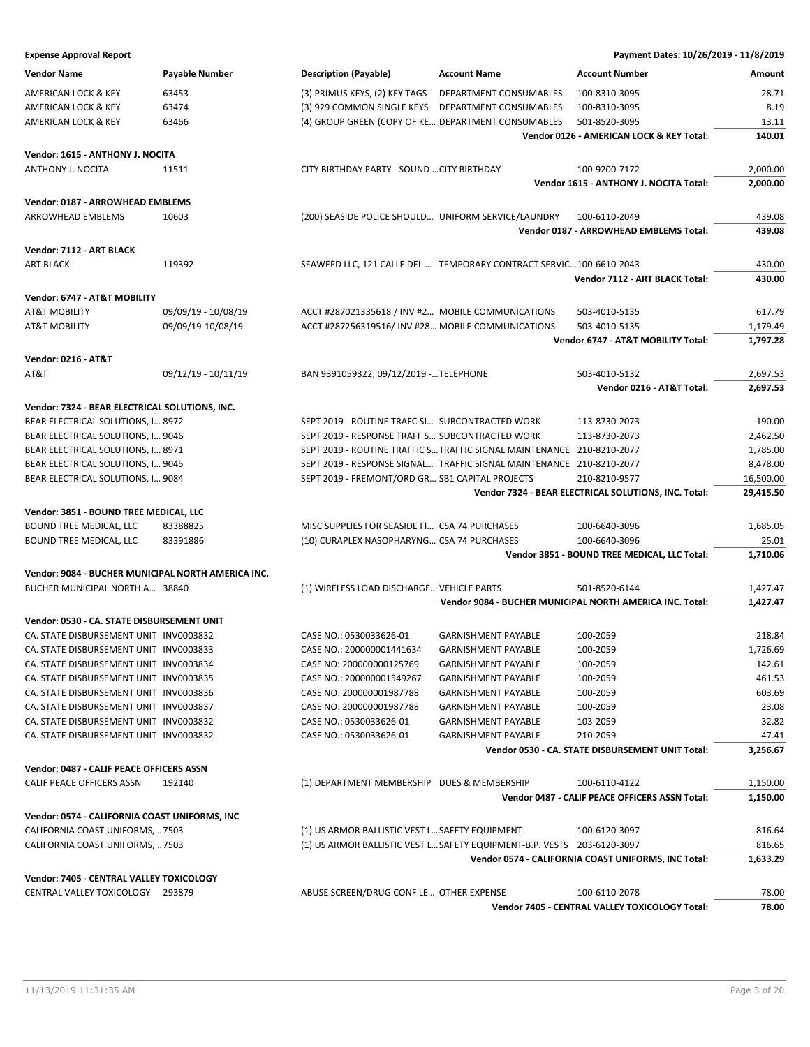| <b>Expense Approval Report</b> |  |  |
|--------------------------------|--|--|
|--------------------------------|--|--|

| <b>Vendor Name</b>                                 | <b>Payable Number</b> | <b>Description (Payable)</b>                        | <b>Account Name</b>                                                     | <b>Account Number</b>                                    | Amount    |
|----------------------------------------------------|-----------------------|-----------------------------------------------------|-------------------------------------------------------------------------|----------------------------------------------------------|-----------|
| AMERICAN LOCK & KEY                                | 63453                 | (3) PRIMUS KEYS, (2) KEY TAGS                       | DEPARTMENT CONSUMABLES                                                  | 100-8310-3095                                            | 28.71     |
| AMERICAN LOCK & KEY                                | 63474                 | (3) 929 COMMON SINGLE KEYS                          | DEPARTMENT CONSUMABLES                                                  | 100-8310-3095                                            | 8.19      |
| AMERICAN LOCK & KEY                                | 63466                 | (4) GROUP GREEN (COPY OF KE DEPARTMENT CONSUMABLES  |                                                                         | 501-8520-3095                                            | 13.11     |
|                                                    |                       |                                                     |                                                                         | Vendor 0126 - AMERICAN LOCK & KEY Total:                 | 140.01    |
| Vendor: 1615 - ANTHONY J. NOCITA                   |                       |                                                     |                                                                         |                                                          |           |
| ANTHONY J. NOCITA                                  | 11511                 | CITY BIRTHDAY PARTY - SOUND  CITY BIRTHDAY          |                                                                         | 100-9200-7172                                            | 2,000.00  |
|                                                    |                       |                                                     |                                                                         | Vendor 1615 - ANTHONY J. NOCITA Total:                   | 2,000.00  |
| Vendor: 0187 - ARROWHEAD EMBLEMS                   |                       |                                                     |                                                                         |                                                          |           |
| <b>ARROWHEAD EMBLEMS</b>                           | 10603                 | (200) SEASIDE POLICE SHOULD UNIFORM SERVICE/LAUNDRY |                                                                         | 100-6110-2049                                            | 439.08    |
|                                                    |                       |                                                     |                                                                         | Vendor 0187 - ARROWHEAD EMBLEMS Total:                   | 439.08    |
| Vendor: 7112 - ART BLACK                           |                       |                                                     |                                                                         |                                                          |           |
| <b>ART BLACK</b>                                   | 119392                |                                                     | SEAWEED LLC, 121 CALLE DEL  TEMPORARY CONTRACT SERVIC 100-6610-2043     |                                                          | 430.00    |
|                                                    |                       |                                                     |                                                                         | Vendor 7112 - ART BLACK Total:                           | 430.00    |
|                                                    |                       |                                                     |                                                                         |                                                          |           |
| Vendor: 6747 - AT&T MOBILITY                       | 09/09/19 - 10/08/19   | ACCT #287021335618 / INV #2 MOBILE COMMUNICATIONS   |                                                                         |                                                          | 617.79    |
| AT&T MOBILITY<br>AT&T MOBILITY                     | 09/09/19-10/08/19     | ACCT #287256319516/INV #28 MOBILE COMMUNICATIONS    |                                                                         | 503-4010-5135<br>503-4010-5135                           | 1,179.49  |
|                                                    |                       |                                                     |                                                                         | Vendor 6747 - AT&T MOBILITY Total:                       | 1,797.28  |
|                                                    |                       |                                                     |                                                                         |                                                          |           |
| <b>Vendor: 0216 - AT&amp;T</b>                     |                       |                                                     |                                                                         |                                                          |           |
| AT&T                                               | 09/12/19 - 10/11/19   | BAN 9391059322; 09/12/2019 - TELEPHONE              |                                                                         | 503-4010-5132                                            | 2,697.53  |
|                                                    |                       |                                                     |                                                                         | Vendor 0216 - AT&T Total:                                | 2,697.53  |
| Vendor: 7324 - BEAR ELECTRICAL SOLUTIONS, INC.     |                       |                                                     |                                                                         |                                                          |           |
| BEAR ELECTRICAL SOLUTIONS, I 8972                  |                       | SEPT 2019 - ROUTINE TRAFC SI SUBCONTRACTED WORK     |                                                                         | 113-8730-2073                                            | 190.00    |
| BEAR ELECTRICAL SOLUTIONS, I 9046                  |                       | SEPT 2019 - RESPONSE TRAFF S SUBCONTRACTED WORK     |                                                                         | 113-8730-2073                                            | 2,462.50  |
| BEAR ELECTRICAL SOLUTIONS, I 8971                  |                       |                                                     | SEPT 2019 - ROUTINE TRAFFIC S TRAFFIC SIGNAL MAINTENANCE 210-8210-2077  |                                                          | 1,785.00  |
| BEAR ELECTRICAL SOLUTIONS, I 9045                  |                       |                                                     | SEPT 2019 - RESPONSE SIGNAL TRAFFIC SIGNAL MAINTENANCE 210-8210-2077    |                                                          | 8,478.00  |
| BEAR ELECTRICAL SOLUTIONS, I 9084                  |                       | SEPT 2019 - FREMONT/ORD GR SB1 CAPITAL PROJECTS     |                                                                         | 210-8210-9577                                            | 16,500.00 |
|                                                    |                       |                                                     |                                                                         |                                                          |           |
|                                                    |                       |                                                     |                                                                         | Vendor 7324 - BEAR ELECTRICAL SOLUTIONS, INC. Total:     | 29,415.50 |
| Vendor: 3851 - BOUND TREE MEDICAL, LLC             |                       |                                                     |                                                                         |                                                          |           |
| BOUND TREE MEDICAL, LLC                            | 83388825              | MISC SUPPLIES FOR SEASIDE FI CSA 74 PURCHASES       |                                                                         | 100-6640-3096                                            | 1,685.05  |
| BOUND TREE MEDICAL, LLC                            | 83391886              | (10) CURAPLEX NASOPHARYNG CSA 74 PURCHASES          |                                                                         | 100-6640-3096                                            | 25.01     |
|                                                    |                       |                                                     |                                                                         | Vendor 3851 - BOUND TREE MEDICAL, LLC Total:             | 1,710.06  |
| Vendor: 9084 - BUCHER MUNICIPAL NORTH AMERICA INC. |                       |                                                     |                                                                         |                                                          |           |
| BUCHER MUNICIPAL NORTH A 38840                     |                       | (1) WIRELESS LOAD DISCHARGE VEHICLE PARTS           |                                                                         | 501-8520-6144                                            | 1,427.47  |
|                                                    |                       |                                                     |                                                                         | Vendor 9084 - BUCHER MUNICIPAL NORTH AMERICA INC. Total: | 1,427.47  |
| Vendor: 0530 - CA. STATE DISBURSEMENT UNIT         |                       |                                                     |                                                                         |                                                          |           |
| CA. STATE DISBURSEMENT UNIT INV0003832             |                       | CASE NO.: 0530033626-01                             | <b>GARNISHMENT PAYABLE</b>                                              | 100-2059                                                 | 218.84    |
| CA. STATE DISBURSEMENT UNIT INV0003833             |                       | CASE NO.: 200000001441634                           | <b>GARNISHMENT PAYABLE</b>                                              | 100-2059                                                 | 1,726.69  |
| CA. STATE DISBURSEMENT UNIT INV0003834             |                       | CASE NO: 200000000125769                            | <b>GARNISHMENT PAYABLE</b>                                              | 100-2059                                                 | 142.61    |
| CA. STATE DISBURSEMENT UNIT INV0003835             |                       | CASE NO.: 200000001549267                           | <b>GARNISHMENT PAYABLE</b>                                              | 100-2059                                                 | 461.53    |
| CA. STATE DISBURSEMENT UNIT INV0003836             |                       | CASE NO: 200000001987788                            | <b>GARNISHMENT PAYABLE</b>                                              | 100-2059                                                 | 603.69    |
| CA. STATE DISBURSEMENT UNIT INV0003837             |                       | CASE NO: 200000001987788                            | <b>GARNISHMENT PAYABLE</b>                                              | 100-2059                                                 | 23.08     |
| CA. STATE DISBURSEMENT UNIT INV0003832             |                       | CASE NO.: 0530033626-01                             | <b>GARNISHMENT PAYABLE</b>                                              | 103-2059                                                 | 32.82     |
| CA. STATE DISBURSEMENT UNIT INV0003832             |                       | CASE NO.: 0530033626-01                             | <b>GARNISHMENT PAYABLE</b>                                              | 210-2059                                                 | 47.41     |
|                                                    |                       |                                                     |                                                                         | Vendor 0530 - CA. STATE DISBURSEMENT UNIT Total:         | 3,256.67  |
| Vendor: 0487 - CALIF PEACE OFFICERS ASSN           |                       |                                                     |                                                                         |                                                          |           |
| CALIF PEACE OFFICERS ASSN                          | 192140                | (1) DEPARTMENT MEMBERSHIP DUES & MEMBERSHIP         |                                                                         | 100-6110-4122                                            | 1,150.00  |
|                                                    |                       |                                                     |                                                                         | Vendor 0487 - CALIF PEACE OFFICERS ASSN Total:           | 1,150.00  |
| Vendor: 0574 - CALIFORNIA COAST UNIFORMS, INC      |                       |                                                     |                                                                         |                                                          |           |
| CALIFORNIA COAST UNIFORMS, 7503                    |                       | (1) US ARMOR BALLISTIC VEST L SAFETY EQUIPMENT      |                                                                         | 100-6120-3097                                            | 816.64    |
| CALIFORNIA COAST UNIFORMS, 7503                    |                       |                                                     | (1) US ARMOR BALLISTIC VEST L SAFETY EQUIPMENT-B.P. VESTS 203-6120-3097 |                                                          | 816.65    |
|                                                    |                       |                                                     |                                                                         | Vendor 0574 - CALIFORNIA COAST UNIFORMS, INC Total:      | 1,633.29  |
| Vendor: 7405 - CENTRAL VALLEY TOXICOLOGY           |                       |                                                     |                                                                         |                                                          |           |
| CENTRAL VALLEY TOXICOLOGY 293879                   |                       | ABUSE SCREEN/DRUG CONF LE OTHER EXPENSE             |                                                                         | 100-6110-2078                                            | 78.00     |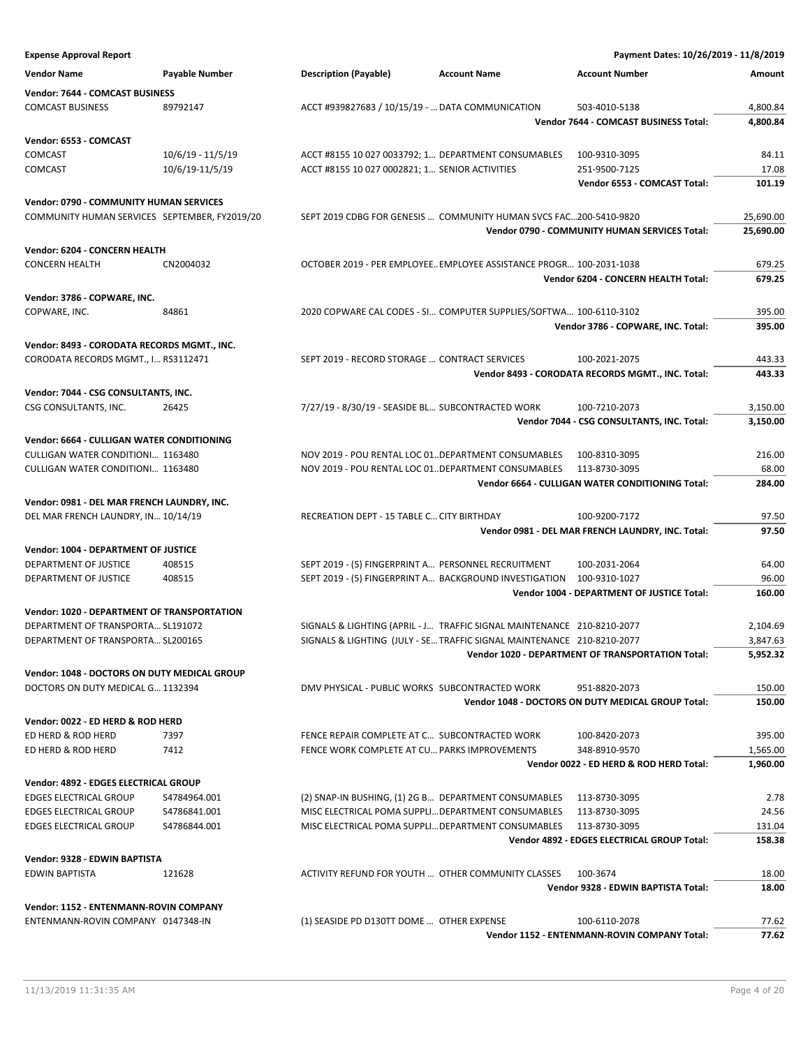| <b>Expense Approval Report</b>                                                    |                     |                                                                                                                                                  | Payment Dates: 10/26/2019 - 11/8/2019                              |                      |
|-----------------------------------------------------------------------------------|---------------------|--------------------------------------------------------------------------------------------------------------------------------------------------|--------------------------------------------------------------------|----------------------|
| <b>Vendor Name</b>                                                                | Payable Number      | <b>Description (Payable)</b><br><b>Account Name</b>                                                                                              | <b>Account Number</b>                                              | Amount               |
| <b>Vendor: 7644 - COMCAST BUSINESS</b>                                            |                     |                                                                                                                                                  |                                                                    |                      |
| <b>COMCAST BUSINESS</b>                                                           | 89792147            | ACCT #939827683 / 10/15/19 -  DATA COMMUNICATION                                                                                                 | 503-4010-5138                                                      | 4,800.84             |
|                                                                                   |                     |                                                                                                                                                  | Vendor 7644 - COMCAST BUSINESS Total:                              | 4,800.84             |
| Vendor: 6553 - COMCAST                                                            |                     |                                                                                                                                                  |                                                                    |                      |
| <b>COMCAST</b>                                                                    | $10/6/19 - 11/5/19$ | ACCT #8155 10 027 0033792; 1 DEPARTMENT CONSUMABLES                                                                                              | 100-9310-3095                                                      | 84.11                |
| <b>COMCAST</b>                                                                    | 10/6/19-11/5/19     | ACCT #8155 10 027 0002821; 1 SENIOR ACTIVITIES                                                                                                   | 251-9500-7125                                                      | 17.08                |
|                                                                                   |                     |                                                                                                                                                  | Vendor 6553 - COMCAST Total:                                       | 101.19               |
| Vendor: 0790 - COMMUNITY HUMAN SERVICES                                           |                     |                                                                                                                                                  |                                                                    |                      |
| COMMUNITY HUMAN SERVICES SEPTEMBER, FY2019/20                                     |                     | SEPT 2019 CDBG FOR GENESIS  COMMUNITY HUMAN SVCS FAC200-5410-9820                                                                                |                                                                    | 25,690.00            |
|                                                                                   |                     |                                                                                                                                                  | Vendor 0790 - COMMUNITY HUMAN SERVICES Total:                      | 25,690.00            |
| Vendor: 6204 - CONCERN HEALTH                                                     |                     |                                                                                                                                                  |                                                                    |                      |
| <b>CONCERN HEALTH</b>                                                             | CN2004032           | OCTOBER 2019 - PER EMPLOYEE EMPLOYEE ASSISTANCE PROGR 100-2031-1038                                                                              |                                                                    | 679.25               |
|                                                                                   |                     |                                                                                                                                                  | Vendor 6204 - CONCERN HEALTH Total:                                | 679.25               |
| Vendor: 3786 - COPWARE, INC.                                                      |                     |                                                                                                                                                  |                                                                    |                      |
| COPWARE, INC.                                                                     | 84861               | 2020 COPWARE CAL CODES - SI COMPUTER SUPPLIES/SOFTWA 100-6110-3102                                                                               |                                                                    | 395.00               |
|                                                                                   |                     |                                                                                                                                                  | Vendor 3786 - COPWARE, INC. Total:                                 | 395.00               |
| Vendor: 8493 - CORODATA RECORDS MGMT., INC.                                       |                     |                                                                                                                                                  |                                                                    |                      |
| CORODATA RECORDS MGMT., I RS3112471                                               |                     | SEPT 2019 - RECORD STORAGE  CONTRACT SERVICES                                                                                                    | 100-2021-2075                                                      | 443.33               |
|                                                                                   |                     |                                                                                                                                                  | Vendor 8493 - CORODATA RECORDS MGMT., INC. Total:                  | 443.33               |
| Vendor: 7044 - CSG CONSULTANTS, INC.                                              |                     |                                                                                                                                                  |                                                                    |                      |
| CSG CONSULTANTS, INC.                                                             | 26425               | 7/27/19 - 8/30/19 - SEASIDE BL SUBCONTRACTED WORK                                                                                                | 100-7210-2073                                                      | 3,150.00             |
|                                                                                   |                     |                                                                                                                                                  | Vendor 7044 - CSG CONSULTANTS, INC. Total:                         | 3,150.00             |
| Vendor: 6664 - CULLIGAN WATER CONDITIONING                                        |                     |                                                                                                                                                  |                                                                    |                      |
| <b>CULLIGAN WATER CONDITIONI 1163480</b>                                          |                     | NOV 2019 - POU RENTAL LOC 01. DEPARTMENT CONSUMABLES                                                                                             | 100-8310-3095                                                      | 216.00               |
| CULLIGAN WATER CONDITIONI 1163480                                                 |                     | NOV 2019 - POU RENTAL LOC 01. DEPARTMENT CONSUMABLES                                                                                             | 113-8730-3095                                                      | 68.00                |
|                                                                                   |                     |                                                                                                                                                  | Vendor 6664 - CULLIGAN WATER CONDITIONING Total:                   | 284.00               |
| Vendor: 0981 - DEL MAR FRENCH LAUNDRY, INC.                                       |                     |                                                                                                                                                  |                                                                    |                      |
| DEL MAR FRENCH LAUNDRY, IN 10/14/19                                               |                     | RECREATION DEPT - 15 TABLE C CITY BIRTHDAY                                                                                                       | 100-9200-7172<br>Vendor 0981 - DEL MAR FRENCH LAUNDRY, INC. Total: | 97.50<br>97.50       |
|                                                                                   |                     |                                                                                                                                                  |                                                                    |                      |
| Vendor: 1004 - DEPARTMENT OF JUSTICE                                              |                     |                                                                                                                                                  |                                                                    |                      |
| DEPARTMENT OF JUSTICE                                                             | 408515              | SEPT 2019 - (5) FINGERPRINT A PERSONNEL RECRUITMENT                                                                                              | 100-2031-2064                                                      | 64.00                |
| DEPARTMENT OF JUSTICE                                                             | 408515              | SEPT 2019 - (5) FINGERPRINT A BACKGROUND INVESTIGATION                                                                                           | 100-9310-1027<br>Vendor 1004 - DEPARTMENT OF JUSTICE Total:        | 96.00<br>160.00      |
|                                                                                   |                     |                                                                                                                                                  |                                                                    |                      |
| <b>Vendor: 1020 - DEPARTMENT OF TRANSPORTATION</b>                                |                     |                                                                                                                                                  |                                                                    |                      |
| DEPARTMENT OF TRANSPORTA SL191072<br>DEPARTMENT OF TRANSPORTA SL200165            |                     | SIGNALS & LIGHTING (APRIL - J TRAFFIC SIGNAL MAINTENANCE 210-8210-2077<br>SIGNALS & LIGHTING (JULY - SE TRAFFIC SIGNAL MAINTENANCE 210-8210-2077 |                                                                    | 2,104.69<br>3,847.63 |
|                                                                                   |                     |                                                                                                                                                  | Vendor 1020 - DEPARTMENT OF TRANSPORTATION Total:                  | 5,952.32             |
|                                                                                   |                     |                                                                                                                                                  |                                                                    |                      |
| Vendor: 1048 - DOCTORS ON DUTY MEDICAL GROUP<br>DOCTORS ON DUTY MEDICAL G 1132394 |                     | DMV PHYSICAL - PUBLIC WORKS SUBCONTRACTED WORK                                                                                                   | 951-8820-2073                                                      | 150.00               |
|                                                                                   |                     |                                                                                                                                                  | Vendor 1048 - DOCTORS ON DUTY MEDICAL GROUP Total:                 | 150.00               |
| Vendor: 0022 - ED HERD & ROD HERD                                                 |                     |                                                                                                                                                  |                                                                    |                      |
| ED HERD & ROD HERD                                                                | 7397                | FENCE REPAIR COMPLETE AT C SUBCONTRACTED WORK                                                                                                    | 100-8420-2073                                                      | 395.00               |
| ED HERD & ROD HERD                                                                | 7412                | FENCE WORK COMPLETE AT CU PARKS IMPROVEMENTS                                                                                                     | 348-8910-9570                                                      | 1,565.00             |
|                                                                                   |                     |                                                                                                                                                  | Vendor 0022 - ED HERD & ROD HERD Total:                            | 1,960.00             |
| Vendor: 4892 - EDGES ELECTRICAL GROUP                                             |                     |                                                                                                                                                  |                                                                    |                      |
| <b>EDGES ELECTRICAL GROUP</b>                                                     | S4784964.001        | (2) SNAP-IN BUSHING, (1) 2G B DEPARTMENT CONSUMABLES                                                                                             | 113-8730-3095                                                      | 2.78                 |
| <b>EDGES ELECTRICAL GROUP</b>                                                     | S4786841.001        | MISC ELECTRICAL POMA SUPPLI DEPARTMENT CONSUMABLES                                                                                               | 113-8730-3095                                                      | 24.56                |
| <b>EDGES ELECTRICAL GROUP</b>                                                     | S4786844.001        | MISC ELECTRICAL POMA SUPPLI DEPARTMENT CONSUMABLES                                                                                               | 113-8730-3095                                                      | 131.04               |
|                                                                                   |                     |                                                                                                                                                  | Vendor 4892 - EDGES ELECTRICAL GROUP Total:                        | 158.38               |
| Vendor: 9328 - EDWIN BAPTISTA                                                     |                     |                                                                                                                                                  |                                                                    |                      |
| EDWIN BAPTISTA                                                                    | 121628              | ACTIVITY REFUND FOR YOUTH  OTHER COMMUNITY CLASSES                                                                                               | 100-3674                                                           | 18.00                |
|                                                                                   |                     |                                                                                                                                                  | Vendor 9328 - EDWIN BAPTISTA Total:                                | 18.00                |
| Vendor: 1152 - ENTENMANN-ROVIN COMPANY                                            |                     |                                                                                                                                                  |                                                                    |                      |
| ENTENMANN-ROVIN COMPANY 0147348-IN                                                |                     | (1) SEASIDE PD D130TT DOME  OTHER EXPENSE                                                                                                        | 100-6110-2078                                                      | 77.62                |
|                                                                                   |                     |                                                                                                                                                  | Vendor 1152 - ENTENMANN-ROVIN COMPANY Total:                       | 77.62                |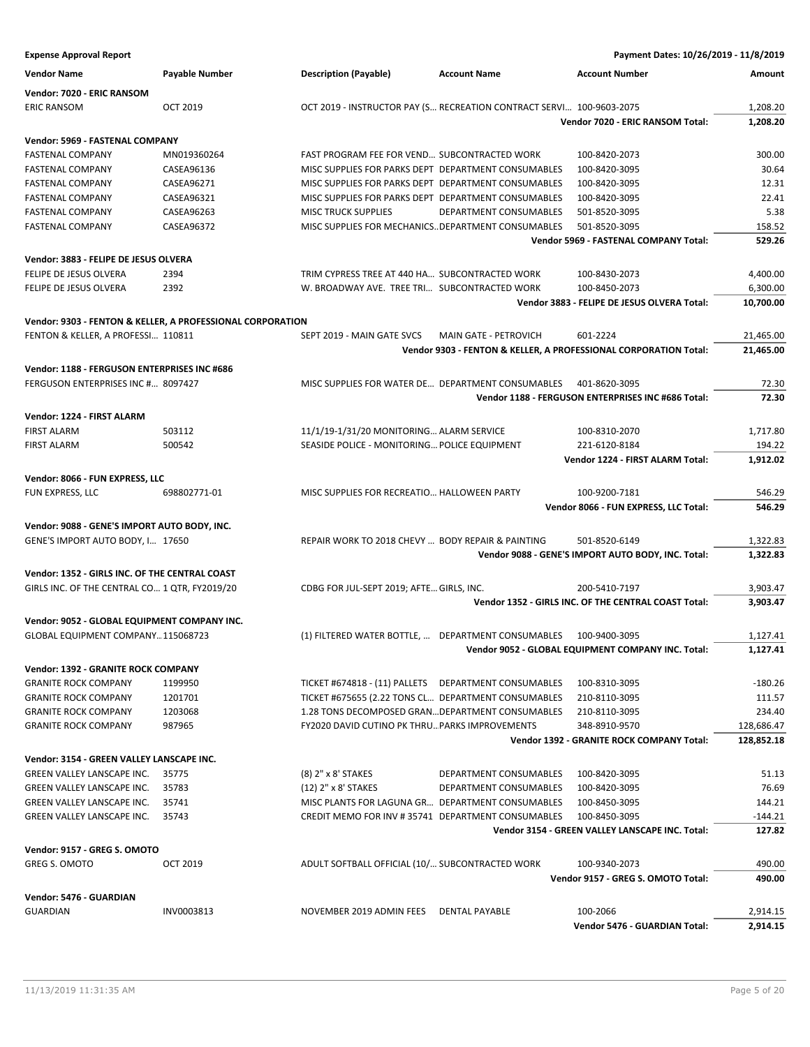| <b>Expense Approval Report</b>                                                                  |                 |                                                                      | Payment Dates: 10/26/2019 - 11/8/2019                               |                      |
|-------------------------------------------------------------------------------------------------|-----------------|----------------------------------------------------------------------|---------------------------------------------------------------------|----------------------|
| <b>Vendor Name</b>                                                                              | Payable Number  | <b>Description (Payable)</b><br><b>Account Name</b>                  | <b>Account Number</b>                                               | Amount               |
| Vendor: 7020 - ERIC RANSOM                                                                      |                 |                                                                      |                                                                     |                      |
| <b>ERIC RANSOM</b>                                                                              | <b>OCT 2019</b> | OCT 2019 - INSTRUCTOR PAY (S RECREATION CONTRACT SERVI 100-9603-2075 |                                                                     | 1,208.20             |
|                                                                                                 |                 |                                                                      | Vendor 7020 - ERIC RANSOM Total:                                    | 1,208.20             |
| Vendor: 5969 - FASTENAL COMPANY                                                                 |                 |                                                                      |                                                                     |                      |
| <b>FASTENAL COMPANY</b>                                                                         | MN019360264     | FAST PROGRAM FEE FOR VEND SUBCONTRACTED WORK                         | 100-8420-2073                                                       | 300.00               |
| <b>FASTENAL COMPANY</b>                                                                         | CASEA96136      | MISC SUPPLIES FOR PARKS DEPT DEPARTMENT CONSUMABLES                  | 100-8420-3095                                                       | 30.64                |
| <b>FASTENAL COMPANY</b>                                                                         | CASEA96271      | MISC SUPPLIES FOR PARKS DEPT DEPARTMENT CONSUMABLES                  | 100-8420-3095                                                       | 12.31                |
| <b>FASTENAL COMPANY</b>                                                                         | CASEA96321      | MISC SUPPLIES FOR PARKS DEPT DEPARTMENT CONSUMABLES                  | 100-8420-3095                                                       | 22.41                |
| <b>FASTENAL COMPANY</b>                                                                         | CASEA96263      | <b>MISC TRUCK SUPPLIES</b><br>DEPARTMENT CONSUMABLES                 | 501-8520-3095                                                       | 5.38                 |
| <b>FASTENAL COMPANY</b>                                                                         | CASEA96372      | MISC SUPPLIES FOR MECHANICS DEPARTMENT CONSUMABLES                   | 501-8520-3095                                                       | 158.52               |
|                                                                                                 |                 |                                                                      | <b>Vendor 5969 - FASTENAL COMPANY Total:</b>                        | 529.26               |
| Vendor: 3883 - FELIPE DE JESUS OLVERA                                                           |                 |                                                                      |                                                                     |                      |
| FELIPE DE JESUS OLVERA                                                                          | 2394            | TRIM CYPRESS TREE AT 440 HA SUBCONTRACTED WORK                       | 100-8430-2073                                                       | 4,400.00             |
| FELIPE DE JESUS OLVERA                                                                          | 2392            | W. BROADWAY AVE. TREE TRI SUBCONTRACTED WORK                         | 100-8450-2073                                                       | 6,300.00             |
|                                                                                                 |                 |                                                                      | Vendor 3883 - FELIPE DE JESUS OLVERA Total:                         | 10,700.00            |
| Vendor: 9303 - FENTON & KELLER, A PROFESSIONAL CORPORATION                                      |                 |                                                                      |                                                                     |                      |
| FENTON & KELLER, A PROFESSI 110811                                                              |                 | SEPT 2019 - MAIN GATE SVCS<br><b>MAIN GATE - PETROVICH</b>           | 601-2224                                                            | 21,465.00            |
|                                                                                                 |                 | Vendor 9303 - FENTON & KELLER, A PROFESSIONAL CORPORATION Total:     |                                                                     | 21,465.00            |
| Vendor: 1188 - FERGUSON ENTERPRISES INC #686                                                    |                 |                                                                      |                                                                     |                      |
| FERGUSON ENTERPRISES INC # 8097427                                                              |                 | MISC SUPPLIES FOR WATER DE DEPARTMENT CONSUMABLES                    | 401-8620-3095                                                       | 72.30                |
|                                                                                                 |                 |                                                                      | Vendor 1188 - FERGUSON ENTERPRISES INC #686 Total:                  | 72.30                |
| Vendor: 1224 - FIRST ALARM                                                                      |                 |                                                                      |                                                                     |                      |
| <b>FIRST ALARM</b>                                                                              | 503112          | 11/1/19-1/31/20 MONITORING ALARM SERVICE                             | 100-8310-2070                                                       | 1,717.80             |
| <b>FIRST ALARM</b>                                                                              | 500542          | SEASIDE POLICE - MONITORING POLICE EQUIPMENT                         | 221-6120-8184                                                       | 194.22               |
|                                                                                                 |                 |                                                                      | Vendor 1224 - FIRST ALARM Total:                                    | 1,912.02             |
| Vendor: 8066 - FUN EXPRESS, LLC                                                                 |                 |                                                                      |                                                                     |                      |
| FUN EXPRESS, LLC                                                                                | 698802771-01    | MISC SUPPLIES FOR RECREATIO HALLOWEEN PARTY                          | 100-9200-7181                                                       | 546.29               |
|                                                                                                 |                 |                                                                      | Vendor 8066 - FUN EXPRESS, LLC Total:                               | 546.29               |
|                                                                                                 |                 |                                                                      |                                                                     |                      |
| Vendor: 9088 - GENE'S IMPORT AUTO BODY, INC.<br>GENE'S IMPORT AUTO BODY, I 17650                |                 | REPAIR WORK TO 2018 CHEVY  BODY REPAIR & PAINTING                    | 501-8520-6149                                                       | 1,322.83             |
|                                                                                                 |                 |                                                                      | Vendor 9088 - GENE'S IMPORT AUTO BODY, INC. Total:                  | 1,322.83             |
|                                                                                                 |                 |                                                                      |                                                                     |                      |
| Vendor: 1352 - GIRLS INC. OF THE CENTRAL COAST<br>GIRLS INC. OF THE CENTRAL CO 1 QTR, FY2019/20 |                 | CDBG FOR JUL-SEPT 2019; AFTE GIRLS, INC.                             | 200-5410-7197                                                       | 3,903.47             |
|                                                                                                 |                 |                                                                      | Vendor 1352 - GIRLS INC. OF THE CENTRAL COAST Total:                | 3,903.47             |
|                                                                                                 |                 |                                                                      |                                                                     |                      |
| Vendor: 9052 - GLOBAL EQUIPMENT COMPANY INC.                                                    |                 |                                                                      |                                                                     |                      |
| GLOBAL EQUIPMENT COMPANY115068723                                                               |                 | (1) FILTERED WATER BOTTLE,  DEPARTMENT CONSUMABLES                   | 100-9400-3095<br>Vendor 9052 - GLOBAL EQUIPMENT COMPANY INC. Total: | 1,127.41<br>1,127.41 |
|                                                                                                 |                 |                                                                      |                                                                     |                      |
| Vendor: 1392 - GRANITE ROCK COMPANY                                                             |                 |                                                                      |                                                                     |                      |
| <b>GRANITE ROCK COMPANY</b>                                                                     | 1199950         | TICKET #674818 - (11) PALLETS DEPARTMENT CONSUMABLES                 | 100-8310-3095                                                       | $-180.26$            |
| <b>GRANITE ROCK COMPANY</b>                                                                     | 1201701         | TICKET #675655 (2.22 TONS CL DEPARTMENT CONSUMABLES                  | 210-8110-3095                                                       | 111.57               |
| <b>GRANITE ROCK COMPANY</b>                                                                     | 1203068         | 1.28 TONS DECOMPOSED GRAN DEPARTMENT CONSUMABLES                     | 210-8110-3095                                                       | 234.40               |
| <b>GRANITE ROCK COMPANY</b>                                                                     | 987965          | FY2020 DAVID CUTINO PK THRU PARKS IMPROVEMENTS                       | 348-8910-9570                                                       | 128,686.47           |
|                                                                                                 |                 |                                                                      | Vendor 1392 - GRANITE ROCK COMPANY Total:                           | 128,852.18           |
| Vendor: 3154 - GREEN VALLEY LANSCAPE INC.                                                       |                 |                                                                      |                                                                     |                      |
| GREEN VALLEY LANSCAPE INC.                                                                      | 35775           | (8) 2" x 8' STAKES<br>DEPARTMENT CONSUMABLES                         | 100-8420-3095                                                       | 51.13                |
| GREEN VALLEY LANSCAPE INC.                                                                      | 35783           | (12) 2" x 8' STAKES<br>DEPARTMENT CONSUMABLES                        | 100-8420-3095                                                       | 76.69                |
| GREEN VALLEY LANSCAPE INC.                                                                      | 35741           | MISC PLANTS FOR LAGUNA GR DEPARTMENT CONSUMABLES                     | 100-8450-3095                                                       | 144.21               |
| GREEN VALLEY LANSCAPE INC.                                                                      | 35743           | CREDIT MEMO FOR INV #35741 DEPARTMENT CONSUMABLES                    | 100-8450-3095                                                       | $-144.21$            |
|                                                                                                 |                 |                                                                      | Vendor 3154 - GREEN VALLEY LANSCAPE INC. Total:                     | 127.82               |
| Vendor: 9157 - GREG S. OMOTO                                                                    |                 |                                                                      |                                                                     |                      |
| GREG S. OMOTO                                                                                   | OCT 2019        | ADULT SOFTBALL OFFICIAL (10/ SUBCONTRACTED WORK                      | 100-9340-2073                                                       | 490.00               |
|                                                                                                 |                 |                                                                      | Vendor 9157 - GREG S. OMOTO Total:                                  | 490.00               |
| Vendor: 5476 - GUARDIAN                                                                         |                 |                                                                      |                                                                     |                      |
| <b>GUARDIAN</b>                                                                                 | INV0003813      | NOVEMBER 2019 ADMIN FEES<br><b>DENTAL PAYABLE</b>                    | 100-2066                                                            | 2,914.15             |
|                                                                                                 |                 |                                                                      | Vendor 5476 - GUARDIAN Total:                                       | 2,914.15             |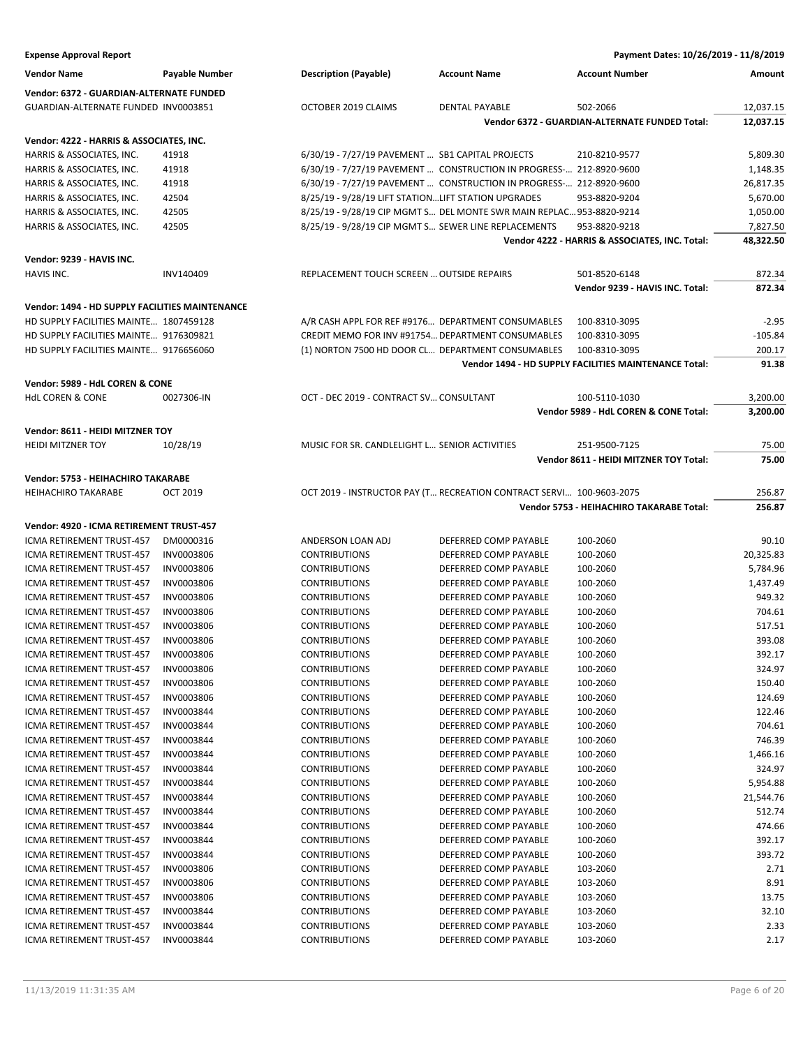| <b>Expense Approval Report</b>                                       |                          |                                                      |                                                                      | Payment Dates: 10/26/2019 - 11/8/2019                 |                  |
|----------------------------------------------------------------------|--------------------------|------------------------------------------------------|----------------------------------------------------------------------|-------------------------------------------------------|------------------|
| <b>Vendor Name</b>                                                   | <b>Payable Number</b>    | <b>Description (Payable)</b>                         | <b>Account Name</b>                                                  | <b>Account Number</b>                                 | Amount           |
| Vendor: 6372 - GUARDIAN-ALTERNATE FUNDED                             |                          |                                                      |                                                                      |                                                       |                  |
| GUARDIAN-ALTERNATE FUNDED INV0003851                                 |                          | OCTOBER 2019 CLAIMS                                  | <b>DENTAL PAYABLE</b>                                                | 502-2066                                              | 12,037.15        |
|                                                                      |                          |                                                      |                                                                      | Vendor 6372 - GUARDIAN-ALTERNATE FUNDED Total:        | 12,037.15        |
| Vendor: 4222 - HARRIS & ASSOCIATES, INC.                             |                          |                                                      |                                                                      |                                                       |                  |
| HARRIS & ASSOCIATES, INC.                                            | 41918                    | 6/30/19 - 7/27/19 PAVEMENT  SB1 CAPITAL PROJECTS     |                                                                      | 210-8210-9577                                         | 5,809.30         |
| HARRIS & ASSOCIATES, INC.                                            | 41918                    |                                                      | 6/30/19 - 7/27/19 PAVEMENT  CONSTRUCTION IN PROGRESS- 212-8920-9600  |                                                       | 1,148.35         |
| HARRIS & ASSOCIATES, INC.                                            | 41918                    |                                                      | 6/30/19 - 7/27/19 PAVEMENT  CONSTRUCTION IN PROGRESS- 212-8920-9600  |                                                       | 26,817.35        |
| HARRIS & ASSOCIATES, INC.                                            | 42504                    | 8/25/19 - 9/28/19 LIFT STATIONLIFT STATION UPGRADES  |                                                                      | 953-8820-9204                                         | 5,670.00         |
| HARRIS & ASSOCIATES, INC.                                            | 42505                    |                                                      | 8/25/19 - 9/28/19 CIP MGMT S DEL MONTE SWR MAIN REPLAC 953-8820-9214 |                                                       | 1,050.00         |
| HARRIS & ASSOCIATES, INC.                                            | 42505                    | 8/25/19 - 9/28/19 CIP MGMT S SEWER LINE REPLACEMENTS |                                                                      | 953-8820-9218                                         | 7,827.50         |
|                                                                      |                          |                                                      |                                                                      | Vendor 4222 - HARRIS & ASSOCIATES, INC. Total:        | 48,322.50        |
| Vendor: 9239 - HAVIS INC.                                            |                          |                                                      |                                                                      |                                                       |                  |
| HAVIS INC.                                                           | INV140409                | REPLACEMENT TOUCH SCREEN  OUTSIDE REPAIRS            |                                                                      | 501-8520-6148                                         | 872.34           |
|                                                                      |                          |                                                      |                                                                      | Vendor 9239 - HAVIS INC. Total:                       | 872.34           |
| Vendor: 1494 - HD SUPPLY FACILITIES MAINTENANCE                      |                          |                                                      |                                                                      |                                                       |                  |
| HD SUPPLY FACILITIES MAINTE 1807459128                               |                          | A/R CASH APPL FOR REF #9176 DEPARTMENT CONSUMABLES   |                                                                      | 100-8310-3095                                         | -2.95            |
| HD SUPPLY FACILITIES MAINTE 9176309821                               |                          | CREDIT MEMO FOR INV #91754 DEPARTMENT CONSUMABLES    |                                                                      | 100-8310-3095                                         | $-105.84$        |
| HD SUPPLY FACILITIES MAINTE 9176656060                               |                          | (1) NORTON 7500 HD DOOR CL DEPARTMENT CONSUMABLES    |                                                                      | 100-8310-3095                                         | 200.17           |
|                                                                      |                          |                                                      |                                                                      | Vendor 1494 - HD SUPPLY FACILITIES MAINTENANCE Total: | 91.38            |
| Vendor: 5989 - HdL COREN & CONE                                      |                          |                                                      |                                                                      |                                                       |                  |
| <b>HdL COREN &amp; CONE</b>                                          | 0027306-IN               | OCT - DEC 2019 - CONTRACT SV CONSULTANT              |                                                                      | 100-5110-1030                                         | 3,200.00         |
|                                                                      |                          |                                                      |                                                                      | Vendor 5989 - HdL COREN & CONE Total:                 | 3,200.00         |
| Vendor: 8611 - HEIDI MITZNER TOY                                     |                          |                                                      |                                                                      |                                                       |                  |
| <b>HEIDI MITZNER TOY</b>                                             | 10/28/19                 | MUSIC FOR SR. CANDLELIGHT L SENIOR ACTIVITIES        |                                                                      | 251-9500-7125                                         | 75.00            |
|                                                                      |                          |                                                      |                                                                      | Vendor 8611 - HEIDI MITZNER TOY Total:                | 75.00            |
|                                                                      |                          |                                                      |                                                                      |                                                       |                  |
| Vendor: 5753 - HEIHACHIRO TAKARABE                                   | <b>OCT 2019</b>          |                                                      |                                                                      |                                                       | 256.87           |
| <b>HEIHACHIRO TAKARABE</b>                                           |                          |                                                      | OCT 2019 - INSTRUCTOR PAY (T RECREATION CONTRACT SERVI 100-9603-2075 | Vendor 5753 - HEIHACHIRO TAKARABE Total:              | 256.87           |
|                                                                      |                          |                                                      |                                                                      |                                                       |                  |
| Vendor: 4920 - ICMA RETIREMENT TRUST-457                             |                          |                                                      |                                                                      |                                                       |                  |
| ICMA RETIREMENT TRUST-457                                            | DM0000316                | ANDERSON LOAN ADJ                                    | DEFERRED COMP PAYABLE                                                | 100-2060                                              | 90.10            |
| ICMA RETIREMENT TRUST-457                                            | INV0003806               | <b>CONTRIBUTIONS</b>                                 | DEFERRED COMP PAYABLE                                                | 100-2060                                              | 20,325.83        |
| ICMA RETIREMENT TRUST-457                                            | INV0003806               | <b>CONTRIBUTIONS</b>                                 | DEFERRED COMP PAYABLE                                                | 100-2060                                              | 5,784.96         |
| ICMA RETIREMENT TRUST-457                                            | INV0003806               | <b>CONTRIBUTIONS</b>                                 | DEFERRED COMP PAYABLE                                                | 100-2060                                              | 1,437.49         |
| <b>ICMA RETIREMENT TRUST-457</b><br><b>ICMA RETIREMENT TRUST-457</b> | INV0003806               | <b>CONTRIBUTIONS</b>                                 | DEFERRED COMP PAYABLE                                                | 100-2060                                              | 949.32           |
|                                                                      | INV0003806               | <b>CONTRIBUTIONS</b>                                 | DEFERRED COMP PAYABLE                                                | 100-2060                                              | 704.61           |
| ICMA RETIREMENT TRUST-457                                            | INV0003806               | <b>CONTRIBUTIONS</b><br><b>CONTRIBUTIONS</b>         | DEFERRED COMP PAYABLE                                                | 100-2060<br>100-2060                                  | 517.51<br>393.08 |
| ICMA RETIREMENT TRUST-457                                            | INV0003806<br>INV0003806 | <b>CONTRIBUTIONS</b>                                 | DEFERRED COMP PAYABLE                                                |                                                       |                  |
| ICMA RETIREMENT TRUST-457<br>ICMA RETIREMENT TRUST-457               | INV0003806               | <b>CONTRIBUTIONS</b>                                 | DEFERRED COMP PAYABLE<br>DEFERRED COMP PAYABLE                       | 100-2060<br>100-2060                                  | 392.17<br>324.97 |
| ICMA RETIREMENT TRUST-457                                            | INV0003806               | <b>CONTRIBUTIONS</b>                                 | DEFERRED COMP PAYABLE                                                | 100-2060                                              | 150.40           |
| ICMA RETIREMENT TRUST-457                                            | INV0003806               | <b>CONTRIBUTIONS</b>                                 | DEFERRED COMP PAYABLE                                                | 100-2060                                              | 124.69           |
| ICMA RETIREMENT TRUST-457                                            | INV0003844               | <b>CONTRIBUTIONS</b>                                 | DEFERRED COMP PAYABLE                                                | 100-2060                                              | 122.46           |
| ICMA RETIREMENT TRUST-457                                            | INV0003844               | <b>CONTRIBUTIONS</b>                                 | DEFERRED COMP PAYABLE                                                | 100-2060                                              | 704.61           |
| ICMA RETIREMENT TRUST-457                                            | INV0003844               | <b>CONTRIBUTIONS</b>                                 | DEFERRED COMP PAYABLE                                                | 100-2060                                              | 746.39           |
| ICMA RETIREMENT TRUST-457                                            | INV0003844               | <b>CONTRIBUTIONS</b>                                 | DEFERRED COMP PAYABLE                                                | 100-2060                                              | 1,466.16         |
| ICMA RETIREMENT TRUST-457                                            | INV0003844               | <b>CONTRIBUTIONS</b>                                 | DEFERRED COMP PAYABLE                                                | 100-2060                                              | 324.97           |
| ICMA RETIREMENT TRUST-457                                            | INV0003844               | <b>CONTRIBUTIONS</b>                                 | DEFERRED COMP PAYABLE                                                | 100-2060                                              | 5,954.88         |
| ICMA RETIREMENT TRUST-457                                            | INV0003844               | <b>CONTRIBUTIONS</b>                                 | DEFERRED COMP PAYABLE                                                | 100-2060                                              | 21,544.76        |
| ICMA RETIREMENT TRUST-457                                            | INV0003844               | <b>CONTRIBUTIONS</b>                                 | DEFERRED COMP PAYABLE                                                | 100-2060                                              | 512.74           |
| ICMA RETIREMENT TRUST-457                                            | INV0003844               | <b>CONTRIBUTIONS</b>                                 | DEFERRED COMP PAYABLE                                                | 100-2060                                              | 474.66           |
| ICMA RETIREMENT TRUST-457                                            | INV0003844               | <b>CONTRIBUTIONS</b>                                 | DEFERRED COMP PAYABLE                                                | 100-2060                                              | 392.17           |
| ICMA RETIREMENT TRUST-457                                            | INV0003844               | <b>CONTRIBUTIONS</b>                                 | DEFERRED COMP PAYABLE                                                | 100-2060                                              | 393.72           |
| ICMA RETIREMENT TRUST-457                                            | INV0003806               | <b>CONTRIBUTIONS</b>                                 | DEFERRED COMP PAYABLE                                                | 103-2060                                              | 2.71             |
| ICMA RETIREMENT TRUST-457                                            | INV0003806               | <b>CONTRIBUTIONS</b>                                 | DEFERRED COMP PAYABLE                                                | 103-2060                                              | 8.91             |
| ICMA RETIREMENT TRUST-457                                            | INV0003806               | <b>CONTRIBUTIONS</b>                                 | DEFERRED COMP PAYABLE                                                | 103-2060                                              | 13.75            |
| ICMA RETIREMENT TRUST-457                                            | INV0003844               | <b>CONTRIBUTIONS</b>                                 | DEFERRED COMP PAYABLE                                                | 103-2060                                              | 32.10            |
| ICMA RETIREMENT TRUST-457                                            | INV0003844               | <b>CONTRIBUTIONS</b>                                 | DEFERRED COMP PAYABLE                                                | 103-2060                                              | 2.33             |
| ICMA RETIREMENT TRUST-457                                            | INV0003844               | <b>CONTRIBUTIONS</b>                                 | DEFERRED COMP PAYABLE                                                | 103-2060                                              | 2.17             |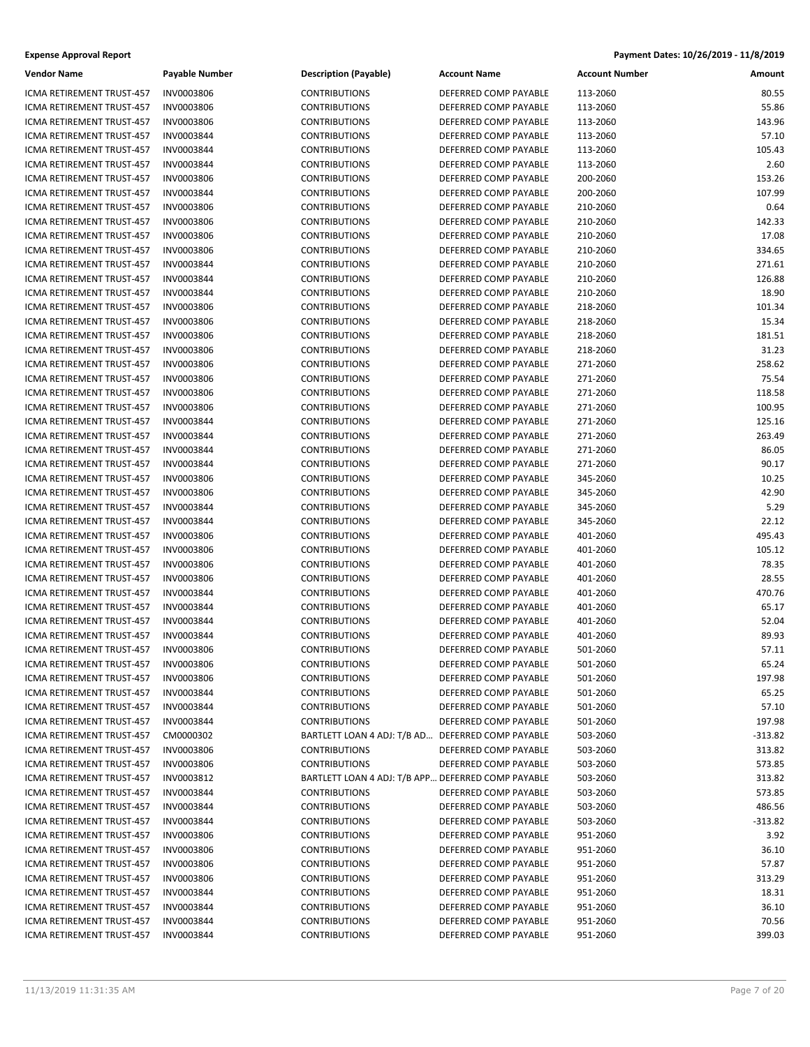| <b>Expense Approval Report</b> | Payment Dates: 10/26/2019 - 11/8/2019 |
|--------------------------------|---------------------------------------|
|                                |                                       |

| <b>Vendor Name</b>               | <b>Payable Number</b> | <b>Description (Payable)</b>                       | <b>Account Name</b>   | <b>Account Number</b> | Amount    |
|----------------------------------|-----------------------|----------------------------------------------------|-----------------------|-----------------------|-----------|
| ICMA RETIREMENT TRUST-457        | INV0003806            | <b>CONTRIBUTIONS</b>                               | DEFERRED COMP PAYABLE | 113-2060              | 80.55     |
| ICMA RETIREMENT TRUST-457        | INV0003806            | <b>CONTRIBUTIONS</b>                               | DEFERRED COMP PAYABLE | 113-2060              | 55.86     |
| ICMA RETIREMENT TRUST-457        | INV0003806            | <b>CONTRIBUTIONS</b>                               | DEFERRED COMP PAYABLE | 113-2060              | 143.96    |
| ICMA RETIREMENT TRUST-457        | INV0003844            | <b>CONTRIBUTIONS</b>                               | DEFERRED COMP PAYABLE | 113-2060              | 57.10     |
| ICMA RETIREMENT TRUST-457        | INV0003844            | <b>CONTRIBUTIONS</b>                               | DEFERRED COMP PAYABLE | 113-2060              | 105.43    |
| ICMA RETIREMENT TRUST-457        | INV0003844            | <b>CONTRIBUTIONS</b>                               | DEFERRED COMP PAYABLE | 113-2060              | 2.60      |
| ICMA RETIREMENT TRUST-457        | <b>INV0003806</b>     | <b>CONTRIBUTIONS</b>                               | DEFERRED COMP PAYABLE | 200-2060              | 153.26    |
| ICMA RETIREMENT TRUST-457        | INV0003844            | <b>CONTRIBUTIONS</b>                               | DEFERRED COMP PAYABLE | 200-2060              | 107.99    |
| <b>ICMA RETIREMENT TRUST-457</b> | INV0003806            | <b>CONTRIBUTIONS</b>                               | DEFERRED COMP PAYABLE | 210-2060              | 0.64      |
| ICMA RETIREMENT TRUST-457        | INV0003806            | <b>CONTRIBUTIONS</b>                               | DEFERRED COMP PAYABLE | 210-2060              | 142.33    |
| ICMA RETIREMENT TRUST-457        | INV0003806            | <b>CONTRIBUTIONS</b>                               | DEFERRED COMP PAYABLE | 210-2060              | 17.08     |
| ICMA RETIREMENT TRUST-457        | INV0003806            | <b>CONTRIBUTIONS</b>                               | DEFERRED COMP PAYABLE | 210-2060              | 334.65    |
| ICMA RETIREMENT TRUST-457        | INV0003844            | <b>CONTRIBUTIONS</b>                               | DEFERRED COMP PAYABLE | 210-2060              | 271.61    |
| ICMA RETIREMENT TRUST-457        | INV0003844            | <b>CONTRIBUTIONS</b>                               | DEFERRED COMP PAYABLE | 210-2060              | 126.88    |
| ICMA RETIREMENT TRUST-457        | INV0003844            | <b>CONTRIBUTIONS</b>                               | DEFERRED COMP PAYABLE | 210-2060              | 18.90     |
| ICMA RETIREMENT TRUST-457        | INV0003806            | <b>CONTRIBUTIONS</b>                               | DEFERRED COMP PAYABLE | 218-2060              | 101.34    |
| ICMA RETIREMENT TRUST-457        | INV0003806            | <b>CONTRIBUTIONS</b>                               | DEFERRED COMP PAYABLE | 218-2060              | 15.34     |
| ICMA RETIREMENT TRUST-457        | INV0003806            | <b>CONTRIBUTIONS</b>                               | DEFERRED COMP PAYABLE | 218-2060              | 181.51    |
| ICMA RETIREMENT TRUST-457        | INV0003806            | <b>CONTRIBUTIONS</b>                               | DEFERRED COMP PAYABLE | 218-2060              | 31.23     |
| ICMA RETIREMENT TRUST-457        | INV0003806            | <b>CONTRIBUTIONS</b>                               | DEFERRED COMP PAYABLE | 271-2060              | 258.62    |
| ICMA RETIREMENT TRUST-457        | INV0003806            | <b>CONTRIBUTIONS</b>                               | DEFERRED COMP PAYABLE | 271-2060              | 75.54     |
| ICMA RETIREMENT TRUST-457        | INV0003806            | <b>CONTRIBUTIONS</b>                               | DEFERRED COMP PAYABLE | 271-2060              | 118.58    |
| ICMA RETIREMENT TRUST-457        | INV0003806            | <b>CONTRIBUTIONS</b>                               | DEFERRED COMP PAYABLE | 271-2060              | 100.95    |
| ICMA RETIREMENT TRUST-457        | INV0003844            | <b>CONTRIBUTIONS</b>                               | DEFERRED COMP PAYABLE | 271-2060              | 125.16    |
| ICMA RETIREMENT TRUST-457        | INV0003844            | <b>CONTRIBUTIONS</b>                               | DEFERRED COMP PAYABLE | 271-2060              | 263.49    |
| ICMA RETIREMENT TRUST-457        | INV0003844            | <b>CONTRIBUTIONS</b>                               | DEFERRED COMP PAYABLE | 271-2060              | 86.05     |
| ICMA RETIREMENT TRUST-457        | INV0003844            | <b>CONTRIBUTIONS</b>                               | DEFERRED COMP PAYABLE | 271-2060              | 90.17     |
| ICMA RETIREMENT TRUST-457        | INV0003806            | <b>CONTRIBUTIONS</b>                               | DEFERRED COMP PAYABLE | 345-2060              | 10.25     |
| ICMA RETIREMENT TRUST-457        | INV0003806            | <b>CONTRIBUTIONS</b>                               | DEFERRED COMP PAYABLE | 345-2060              | 42.90     |
| ICMA RETIREMENT TRUST-457        | INV0003844            | <b>CONTRIBUTIONS</b>                               | DEFERRED COMP PAYABLE | 345-2060              | 5.29      |
| ICMA RETIREMENT TRUST-457        | INV0003844            | <b>CONTRIBUTIONS</b>                               | DEFERRED COMP PAYABLE | 345-2060              | 22.12     |
| ICMA RETIREMENT TRUST-457        | INV0003806            | <b>CONTRIBUTIONS</b>                               | DEFERRED COMP PAYABLE | 401-2060              | 495.43    |
| ICMA RETIREMENT TRUST-457        | INV0003806            | <b>CONTRIBUTIONS</b>                               | DEFERRED COMP PAYABLE | 401-2060              | 105.12    |
| ICMA RETIREMENT TRUST-457        | INV0003806            | <b>CONTRIBUTIONS</b>                               | DEFERRED COMP PAYABLE | 401-2060              | 78.35     |
| ICMA RETIREMENT TRUST-457        | INV0003806            | <b>CONTRIBUTIONS</b>                               | DEFERRED COMP PAYABLE | 401-2060              | 28.55     |
| ICMA RETIREMENT TRUST-457        | INV0003844            | <b>CONTRIBUTIONS</b>                               | DEFERRED COMP PAYABLE | 401-2060              | 470.76    |
| ICMA RETIREMENT TRUST-457        | INV0003844            | <b>CONTRIBUTIONS</b>                               | DEFERRED COMP PAYABLE | 401-2060              | 65.17     |
| ICMA RETIREMENT TRUST-457        | INV0003844            | <b>CONTRIBUTIONS</b>                               | DEFERRED COMP PAYABLE | 401-2060              | 52.04     |
| ICMA RETIREMENT TRUST-457        | INV0003844            | <b>CONTRIBUTIONS</b>                               | DEFERRED COMP PAYABLE | 401-2060              | 89.93     |
| ICMA RETIREMENT TRUST-457        | INV0003806            | <b>CONTRIBUTIONS</b>                               | DEFERRED COMP PAYABLE | 501-2060              | 57.11     |
| ICMA RETIREMENT TRUST-457        | INV0003806            | <b>CONTRIBUTIONS</b>                               | DEFERRED COMP PAYABLE | 501-2060              | 65.24     |
| ICMA RETIREMENT TRUST-457        | INV0003806            | <b>CONTRIBUTIONS</b>                               | DEFERRED COMP PAYABLE | 501-2060              | 197.98    |
| ICMA RETIREMENT TRUST-457        | INV0003844            | <b>CONTRIBUTIONS</b>                               | DEFERRED COMP PAYABLE | 501-2060              | 65.25     |
| ICMA RETIREMENT TRUST-457        | INV0003844            | <b>CONTRIBUTIONS</b>                               | DEFERRED COMP PAYABLE | 501-2060              | 57.10     |
| ICMA RETIREMENT TRUST-457        | INV0003844            | <b>CONTRIBUTIONS</b>                               | DEFERRED COMP PAYABLE | 501-2060              | 197.98    |
| ICMA RETIREMENT TRUST-457        | CM0000302             | BARTLETT LOAN 4 ADJ: T/B AD DEFERRED COMP PAYABLE  |                       | 503-2060              | $-313.82$ |
| ICMA RETIREMENT TRUST-457        | INV0003806            | <b>CONTRIBUTIONS</b>                               | DEFERRED COMP PAYABLE | 503-2060              | 313.82    |
| ICMA RETIREMENT TRUST-457        | INV0003806            | <b>CONTRIBUTIONS</b>                               | DEFERRED COMP PAYABLE | 503-2060              | 573.85    |
| ICMA RETIREMENT TRUST-457        | INV0003812            | BARTLETT LOAN 4 ADJ: T/B APP DEFERRED COMP PAYABLE |                       | 503-2060              | 313.82    |
| ICMA RETIREMENT TRUST-457        | INV0003844            | <b>CONTRIBUTIONS</b>                               | DEFERRED COMP PAYABLE | 503-2060              | 573.85    |
| ICMA RETIREMENT TRUST-457        | INV0003844            | <b>CONTRIBUTIONS</b>                               | DEFERRED COMP PAYABLE | 503-2060              | 486.56    |
| ICMA RETIREMENT TRUST-457        | INV0003844            | <b>CONTRIBUTIONS</b>                               | DEFERRED COMP PAYABLE | 503-2060              | $-313.82$ |
| ICMA RETIREMENT TRUST-457        | INV0003806            | <b>CONTRIBUTIONS</b>                               | DEFERRED COMP PAYABLE | 951-2060              | 3.92      |
| ICMA RETIREMENT TRUST-457        | INV0003806            | <b>CONTRIBUTIONS</b>                               | DEFERRED COMP PAYABLE | 951-2060              | 36.10     |
| ICMA RETIREMENT TRUST-457        | INV0003806            | <b>CONTRIBUTIONS</b>                               | DEFERRED COMP PAYABLE | 951-2060              | 57.87     |
| ICMA RETIREMENT TRUST-457        | INV0003806            | <b>CONTRIBUTIONS</b>                               | DEFERRED COMP PAYABLE | 951-2060              | 313.29    |
| ICMA RETIREMENT TRUST-457        | INV0003844            | <b>CONTRIBUTIONS</b>                               | DEFERRED COMP PAYABLE | 951-2060              | 18.31     |
| ICMA RETIREMENT TRUST-457        | INV0003844            | <b>CONTRIBUTIONS</b>                               | DEFERRED COMP PAYABLE | 951-2060              | 36.10     |
| ICMA RETIREMENT TRUST-457        | INV0003844            | <b>CONTRIBUTIONS</b>                               | DEFERRED COMP PAYABLE | 951-2060              | 70.56     |
| ICMA RETIREMENT TRUST-457        | INV0003844            | <b>CONTRIBUTIONS</b>                               | DEFERRED COMP PAYABLE | 951-2060              | 399.03    |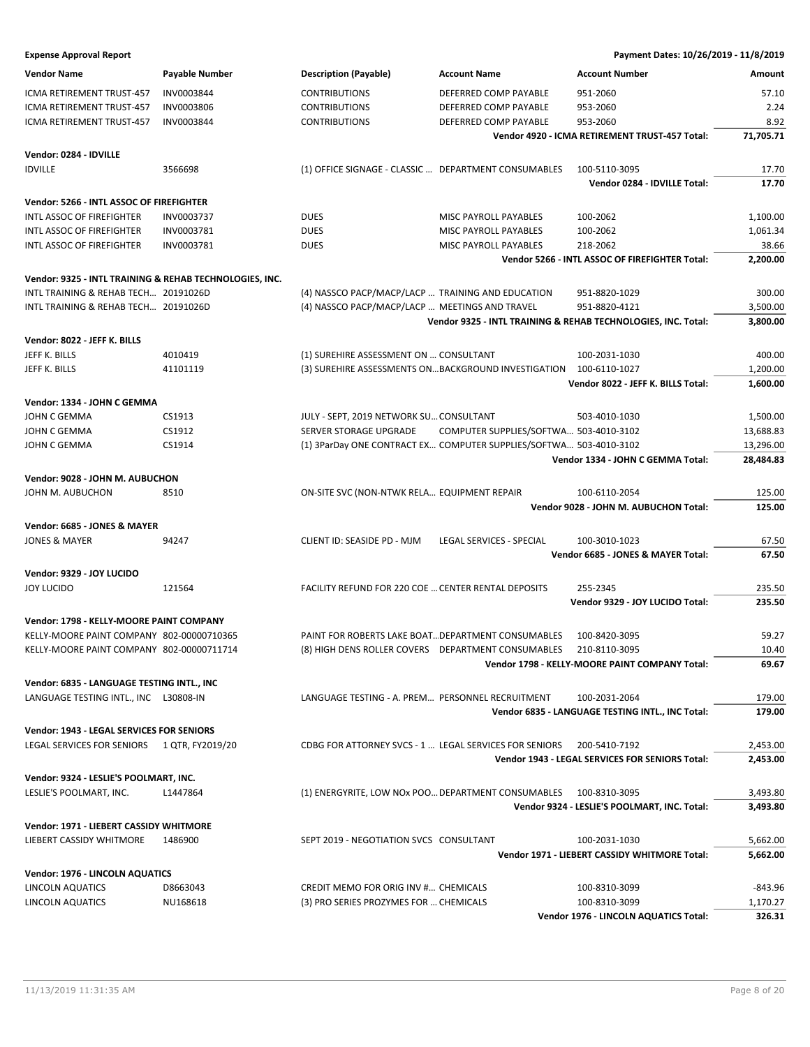| Vendor Name                                             | <b>Payable Number</b> | <b>Description (Payable)</b>                           | <b>Account Name</b>                                                | <b>Account Number</b>                                         | Amount    |
|---------------------------------------------------------|-----------------------|--------------------------------------------------------|--------------------------------------------------------------------|---------------------------------------------------------------|-----------|
| ICMA RETIREMENT TRUST-457                               | INV0003844            | <b>CONTRIBUTIONS</b>                                   | DEFERRED COMP PAYABLE                                              | 951-2060                                                      | 57.10     |
| ICMA RETIREMENT TRUST-457                               | INV0003806            | <b>CONTRIBUTIONS</b>                                   | DEFERRED COMP PAYABLE                                              | 953-2060                                                      | 2.24      |
| ICMA RETIREMENT TRUST-457                               | INV0003844            | <b>CONTRIBUTIONS</b>                                   | DEFERRED COMP PAYABLE                                              | 953-2060                                                      | 8.92      |
|                                                         |                       |                                                        |                                                                    | Vendor 4920 - ICMA RETIREMENT TRUST-457 Total:                | 71.705.71 |
|                                                         |                       |                                                        |                                                                    |                                                               |           |
| Vendor: 0284 - IDVILLE<br><b>IDVILLE</b>                |                       |                                                        |                                                                    |                                                               | 17.70     |
|                                                         | 3566698               | (1) OFFICE SIGNAGE - CLASSIC  DEPARTMENT CONSUMABLES   |                                                                    | 100-5110-3095<br>Vendor 0284 - IDVILLE Total:                 | 17.70     |
|                                                         |                       |                                                        |                                                                    |                                                               |           |
| Vendor: 5266 - INTL ASSOC OF FIREFIGHTER                |                       |                                                        |                                                                    |                                                               |           |
| INTL ASSOC OF FIREFIGHTER                               | INV0003737            | <b>DUES</b>                                            | <b>MISC PAYROLL PAYABLES</b>                                       | 100-2062                                                      | 1,100.00  |
| INTL ASSOC OF FIREFIGHTER                               | INV0003781            | <b>DUES</b>                                            | MISC PAYROLL PAYABLES                                              | 100-2062                                                      | 1,061.34  |
| INTL ASSOC OF FIREFIGHTER                               | INV0003781            | <b>DUES</b>                                            | MISC PAYROLL PAYABLES                                              | 218-2062                                                      | 38.66     |
|                                                         |                       |                                                        |                                                                    | Vendor 5266 - INTL ASSOC OF FIREFIGHTER Total:                | 2,200.00  |
| Vendor: 9325 - INTL TRAINING & REHAB TECHNOLOGIES, INC. |                       |                                                        |                                                                    |                                                               |           |
| INTL TRAINING & REHAB TECH 20191026D                    |                       | (4) NASSCO PACP/MACP/LACP  TRAINING AND EDUCATION      |                                                                    | 951-8820-1029                                                 | 300.00    |
| INTL TRAINING & REHAB TECH 20191026D                    |                       | (4) NASSCO PACP/MACP/LACP  MEETINGS AND TRAVEL         |                                                                    | 951-8820-4121                                                 | 3,500.00  |
|                                                         |                       |                                                        |                                                                    | Vendor 9325 - INTL TRAINING & REHAB TECHNOLOGIES, INC. Total: | 3,800.00  |
| Vendor: 8022 - JEFF K. BILLS                            |                       |                                                        |                                                                    |                                                               |           |
| JEFF K. BILLS                                           | 4010419               | (1) SUREHIRE ASSESSMENT ON  CONSULTANT                 |                                                                    | 100-2031-1030                                                 | 400.00    |
| JEFF K. BILLS                                           | 41101119              | (3) SUREHIRE ASSESSMENTS ONBACKGROUND INVESTIGATION    |                                                                    | 100-6110-1027                                                 | 1.200.00  |
|                                                         |                       |                                                        |                                                                    | Vendor 8022 - JEFF K. BILLS Total:                            | 1,600.00  |
|                                                         |                       |                                                        |                                                                    |                                                               |           |
| Vendor: 1334 - JOHN C GEMMA                             |                       |                                                        |                                                                    |                                                               |           |
| JOHN C GEMMA                                            | CS1913                | JULY - SEPT, 2019 NETWORK SU CONSULTANT                |                                                                    | 503-4010-1030                                                 | 1,500.00  |
| JOHN C GEMMA                                            | CS1912                | SERVER STORAGE UPGRADE                                 | COMPUTER SUPPLIES/SOFTWA 503-4010-3102                             |                                                               | 13,688.83 |
| JOHN C GEMMA                                            | CS1914                |                                                        | (1) 3ParDay ONE CONTRACT EX COMPUTER SUPPLIES/SOFTWA 503-4010-3102 |                                                               | 13,296.00 |
|                                                         |                       |                                                        |                                                                    | Vendor 1334 - JOHN C GEMMA Total:                             | 28,484.83 |
| Vendor: 9028 - JOHN M. AUBUCHON                         |                       |                                                        |                                                                    |                                                               |           |
| JOHN M. AUBUCHON                                        | 8510                  | ON-SITE SVC (NON-NTWK RELA EQUIPMENT REPAIR            |                                                                    | 100-6110-2054                                                 | 125.00    |
|                                                         |                       |                                                        |                                                                    | Vendor 9028 - JOHN M. AUBUCHON Total:                         | 125.00    |
| Vendor: 6685 - JONES & MAYER                            |                       |                                                        |                                                                    |                                                               |           |
| JONES & MAYER                                           | 94247                 | CLIENT ID: SEASIDE PD - MJM                            | LEGAL SERVICES - SPECIAL                                           | 100-3010-1023                                                 | 67.50     |
|                                                         |                       |                                                        |                                                                    | Vendor 6685 - JONES & MAYER Total:                            | 67.50     |
|                                                         |                       |                                                        |                                                                    |                                                               |           |
| Vendor: 9329 - JOY LUCIDO                               |                       |                                                        |                                                                    |                                                               |           |
| <b>JOY LUCIDO</b>                                       | 121564                | FACILITY REFUND FOR 220 COE  CENTER RENTAL DEPOSITS    |                                                                    | 255-2345<br>Vendor 9329 - JOY LUCIDO Total:                   | 235.50    |
|                                                         |                       |                                                        |                                                                    |                                                               | 235.50    |
| Vendor: 1798 - KELLY-MOORE PAINT COMPANY                |                       |                                                        |                                                                    |                                                               |           |
| KELLY-MOORE PAINT COMPANY 802-00000710365               |                       | PAINT FOR ROBERTS LAKE BOAT DEPARTMENT CONSUMABLES     |                                                                    | 100-8420-3095                                                 | 59.27     |
| KELLY-MOORE PAINT COMPANY 802-00000711714               |                       | (8) HIGH DENS ROLLER COVERS DEPARTMENT CONSUMABLES     |                                                                    | 210-8110-3095                                                 | 10.40     |
|                                                         |                       |                                                        |                                                                    | Vendor 1798 - KELLY-MOORE PAINT COMPANY Total:                | 69.67     |
| Vendor: 6835 - LANGUAGE TESTING INTL., INC              |                       |                                                        |                                                                    |                                                               |           |
| LANGUAGE TESTING INTL., INC L30808-IN                   |                       | LANGUAGE TESTING - A. PREM PERSONNEL RECRUITMENT       |                                                                    | 100-2031-2064                                                 | 179.00    |
|                                                         |                       |                                                        |                                                                    | Vendor 6835 - LANGUAGE TESTING INTL., INC Total:              | 179.00    |
| Vendor: 1943 - LEGAL SERVICES FOR SENIORS               |                       |                                                        |                                                                    |                                                               |           |
| LEGAL SERVICES FOR SENIORS                              | 1 QTR, FY2019/20      | CDBG FOR ATTORNEY SVCS - 1  LEGAL SERVICES FOR SENIORS |                                                                    | 200-5410-7192                                                 | 2,453.00  |
|                                                         |                       |                                                        |                                                                    | Vendor 1943 - LEGAL SERVICES FOR SENIORS Total:               | 2,453.00  |
|                                                         |                       |                                                        |                                                                    |                                                               |           |
| Vendor: 9324 - LESLIE'S POOLMART, INC.                  |                       |                                                        |                                                                    |                                                               |           |
| LESLIE'S POOLMART, INC.                                 | L1447864              | (1) ENERGYRITE, LOW NOx POO DEPARTMENT CONSUMABLES     |                                                                    | 100-8310-3095                                                 | 3,493.80  |
|                                                         |                       |                                                        |                                                                    | Vendor 9324 - LESLIE'S POOLMART, INC. Total:                  | 3,493.80  |
| Vendor: 1971 - LIEBERT CASSIDY WHITMORE                 |                       |                                                        |                                                                    |                                                               |           |
| LIEBERT CASSIDY WHITMORE                                | 1486900               | SEPT 2019 - NEGOTIATION SVCS CONSULTANT                |                                                                    | 100-2031-1030                                                 | 5,662.00  |
|                                                         |                       |                                                        |                                                                    | Vendor 1971 - LIEBERT CASSIDY WHITMORE Total:                 | 5,662.00  |
| Vendor: 1976 - LINCOLN AQUATICS                         |                       |                                                        |                                                                    |                                                               |           |
| LINCOLN AQUATICS                                        | D8663043              | CREDIT MEMO FOR ORIG INV # CHEMICALS                   |                                                                    | 100-8310-3099                                                 | -843.96   |
| LINCOLN AQUATICS                                        | NU168618              | (3) PRO SERIES PROZYMES FOR  CHEMICALS                 |                                                                    | 100-8310-3099                                                 | 1,170.27  |
|                                                         |                       |                                                        |                                                                    | Vendor 1976 - LINCOLN AQUATICS Total:                         | 326.31    |
|                                                         |                       |                                                        |                                                                    |                                                               |           |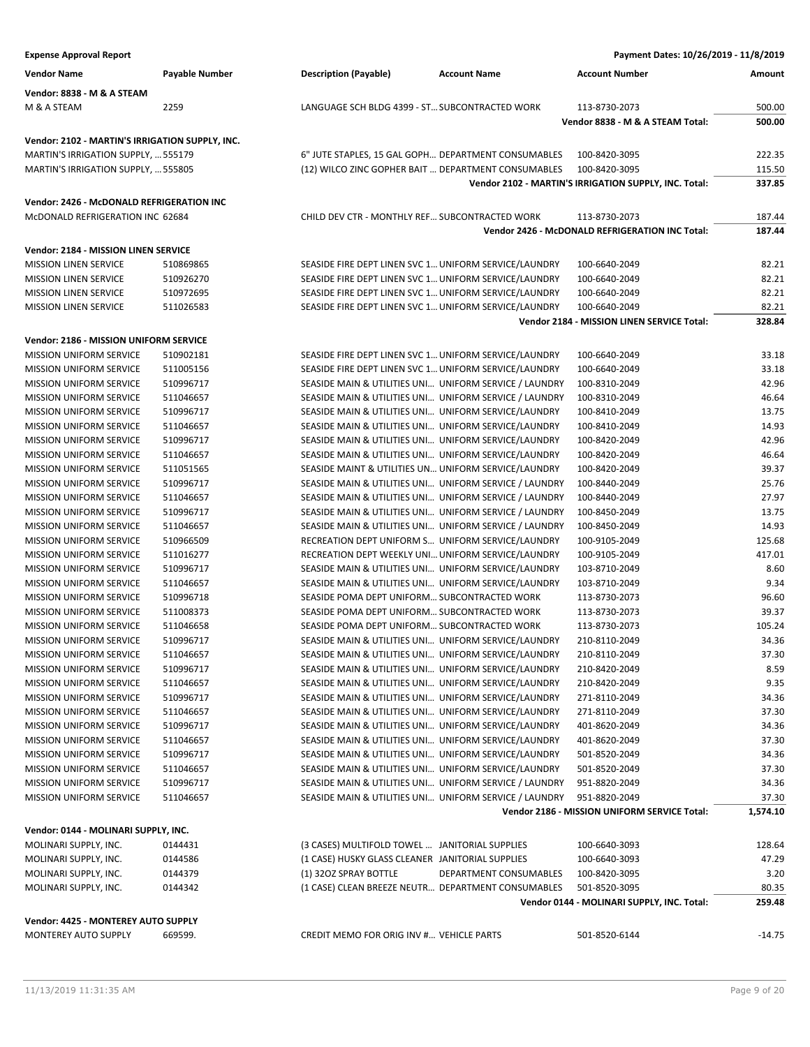| <b>Vendor Name</b>                                        | <b>Payable Number</b>  | <b>Description (Payable)</b>                     | <b>Account Name</b>                                                                                        | <b>Account Number</b>                                 | Amount           |
|-----------------------------------------------------------|------------------------|--------------------------------------------------|------------------------------------------------------------------------------------------------------------|-------------------------------------------------------|------------------|
| Vendor: 8838 - M & A STEAM                                |                        |                                                  |                                                                                                            |                                                       |                  |
| M & A STEAM                                               | 2259                   | LANGUAGE SCH BLDG 4399 - ST SUBCONTRACTED WORK   |                                                                                                            | 113-8730-2073                                         | 500.00           |
|                                                           |                        |                                                  |                                                                                                            | Vendor 8838 - M & A STEAM Total:                      | 500.00           |
| Vendor: 2102 - MARTIN'S IRRIGATION SUPPLY, INC.           |                        |                                                  |                                                                                                            |                                                       |                  |
| MARTIN'S IRRIGATION SUPPLY,  555179                       |                        |                                                  | 6" JUTE STAPLES, 15 GAL GOPH DEPARTMENT CONSUMABLES                                                        | 100-8420-3095                                         | 222.35           |
| MARTIN'S IRRIGATION SUPPLY,  555805                       |                        |                                                  | (12) WILCO ZINC GOPHER BAIT  DEPARTMENT CONSUMABLES                                                        | 100-8420-3095                                         | 115.50           |
|                                                           |                        |                                                  |                                                                                                            | Vendor 2102 - MARTIN'S IRRIGATION SUPPLY, INC. Total: | 337.85           |
| Vendor: 2426 - McDONALD REFRIGERATION INC                 |                        |                                                  |                                                                                                            |                                                       |                  |
| McDONALD REFRIGERATION INC 62684                          |                        | CHILD DEV CTR - MONTHLY REF SUBCONTRACTED WORK   |                                                                                                            | 113-8730-2073                                         | 187.44           |
|                                                           |                        |                                                  |                                                                                                            | Vendor 2426 - McDONALD REFRIGERATION INC Total:       | 187.44           |
| Vendor: 2184 - MISSION LINEN SERVICE                      |                        |                                                  |                                                                                                            |                                                       |                  |
| <b>MISSION LINEN SERVICE</b>                              | 510869865              |                                                  | SEASIDE FIRE DEPT LINEN SVC 1 UNIFORM SERVICE/LAUNDRY                                                      | 100-6640-2049                                         | 82.21            |
| <b>MISSION LINEN SERVICE</b>                              | 510926270              |                                                  | SEASIDE FIRE DEPT LINEN SVC 1 UNIFORM SERVICE/LAUNDRY                                                      | 100-6640-2049                                         | 82.21            |
| <b>MISSION LINEN SERVICE</b>                              | 510972695              |                                                  | SEASIDE FIRE DEPT LINEN SVC 1 UNIFORM SERVICE/LAUNDRY                                                      | 100-6640-2049                                         | 82.21            |
| <b>MISSION LINEN SERVICE</b>                              | 511026583              |                                                  | SEASIDE FIRE DEPT LINEN SVC 1 UNIFORM SERVICE/LAUNDRY                                                      | 100-6640-2049                                         | 82.21            |
|                                                           |                        |                                                  |                                                                                                            | Vendor 2184 - MISSION LINEN SERVICE Total:            | 328.84           |
|                                                           |                        |                                                  |                                                                                                            |                                                       |                  |
| Vendor: 2186 - MISSION UNIFORM SERVICE                    |                        |                                                  |                                                                                                            |                                                       |                  |
| <b>MISSION UNIFORM SERVICE</b>                            | 510902181              |                                                  | SEASIDE FIRE DEPT LINEN SVC 1 UNIFORM SERVICE/LAUNDRY                                                      | 100-6640-2049                                         | 33.18            |
| <b>MISSION UNIFORM SERVICE</b>                            | 511005156              |                                                  | SEASIDE FIRE DEPT LINEN SVC 1 UNIFORM SERVICE/LAUNDRY                                                      | 100-6640-2049                                         | 33.18<br>42.96   |
| <b>MISSION UNIFORM SERVICE</b>                            | 510996717              |                                                  | SEASIDE MAIN & UTILITIES UNI UNIFORM SERVICE / LAUNDRY                                                     | 100-8310-2049                                         |                  |
| MISSION UNIFORM SERVICE                                   | 511046657              |                                                  | SEASIDE MAIN & UTILITIES UNI UNIFORM SERVICE / LAUNDRY                                                     | 100-8310-2049                                         | 46.64            |
| <b>MISSION UNIFORM SERVICE</b>                            | 510996717              |                                                  | SEASIDE MAIN & UTILITIES UNI UNIFORM SERVICE/LAUNDRY                                                       | 100-8410-2049                                         | 13.75<br>14.93   |
| MISSION UNIFORM SERVICE                                   | 511046657              |                                                  | SEASIDE MAIN & UTILITIES UNI UNIFORM SERVICE/LAUNDRY                                                       | 100-8410-2049                                         | 42.96            |
| <b>MISSION UNIFORM SERVICE</b>                            | 510996717              |                                                  | SEASIDE MAIN & UTILITIES UNI UNIFORM SERVICE/LAUNDRY                                                       | 100-8420-2049                                         |                  |
| <b>MISSION UNIFORM SERVICE</b>                            | 511046657              |                                                  | SEASIDE MAIN & UTILITIES UNI UNIFORM SERVICE/LAUNDRY                                                       | 100-8420-2049                                         | 46.64            |
| MISSION UNIFORM SERVICE                                   | 511051565              |                                                  | SEASIDE MAINT & UTILITIES UN UNIFORM SERVICE/LAUNDRY                                                       | 100-8420-2049                                         | 39.37            |
| <b>MISSION UNIFORM SERVICE</b>                            | 510996717              |                                                  | SEASIDE MAIN & UTILITIES UNI UNIFORM SERVICE / LAUNDRY                                                     | 100-8440-2049                                         | 25.76<br>27.97   |
| MISSION UNIFORM SERVICE                                   | 511046657              |                                                  | SEASIDE MAIN & UTILITIES UNI UNIFORM SERVICE / LAUNDRY                                                     | 100-8440-2049                                         |                  |
| <b>MISSION UNIFORM SERVICE</b>                            | 510996717              |                                                  | SEASIDE MAIN & UTILITIES UNI UNIFORM SERVICE / LAUNDRY                                                     | 100-8450-2049                                         | 13.75<br>14.93   |
| <b>MISSION UNIFORM SERVICE</b>                            | 511046657              |                                                  | SEASIDE MAIN & UTILITIES UNI UNIFORM SERVICE / LAUNDRY                                                     | 100-8450-2049                                         |                  |
| MISSION UNIFORM SERVICE                                   | 510966509              |                                                  | RECREATION DEPT UNIFORM S UNIFORM SERVICE/LAUNDRY                                                          | 100-9105-2049                                         | 125.68<br>417.01 |
| <b>MISSION UNIFORM SERVICE</b><br>MISSION UNIFORM SERVICE | 511016277<br>510996717 |                                                  | RECREATION DEPT WEEKLY UNI UNIFORM SERVICE/LAUNDRY<br>SEASIDE MAIN & UTILITIES UNI UNIFORM SERVICE/LAUNDRY | 100-9105-2049<br>103-8710-2049                        | 8.60             |
| MISSION UNIFORM SERVICE                                   | 511046657              |                                                  | SEASIDE MAIN & UTILITIES UNI UNIFORM SERVICE/LAUNDRY                                                       | 103-8710-2049                                         | 9.34             |
| <b>MISSION UNIFORM SERVICE</b>                            | 510996718              | SEASIDE POMA DEPT UNIFORM SUBCONTRACTED WORK     |                                                                                                            | 113-8730-2073                                         | 96.60            |
| MISSION UNIFORM SERVICE                                   | 511008373              | SEASIDE POMA DEPT UNIFORM SUBCONTRACTED WORK     |                                                                                                            | 113-8730-2073                                         | 39.37            |
| MISSION UNIFORM SERVICE                                   | 511046658              | SEASIDE POMA DEPT UNIFORM SUBCONTRACTED WORK     |                                                                                                            | 113-8730-2073                                         | 105.24           |
| <b>MISSION UNIFORM SERVICE</b>                            | 510996717              |                                                  | SEASIDE MAIN & UTILITIES UNI UNIFORM SERVICE/LAUNDRY                                                       | 210-8110-2049                                         | 34.36            |
| <b>MISSION UNIFORM SERVICE</b>                            | 511046657              |                                                  | SEASIDE MAIN & UTILITIES UNI UNIFORM SERVICE/LAUNDRY                                                       | 210-8110-2049                                         | 37.30            |
| <b>MISSION UNIFORM SERVICE</b>                            | 510996717              |                                                  | SEASIDE MAIN & UTILITIES UNI UNIFORM SERVICE/LAUNDRY                                                       | 210-8420-2049                                         | 8.59             |
| <b>MISSION UNIFORM SERVICE</b>                            | 511046657              |                                                  | SEASIDE MAIN & UTILITIES UNI UNIFORM SERVICE/LAUNDRY                                                       | 210-8420-2049                                         | 9.35             |
| <b>MISSION UNIFORM SERVICE</b>                            | 510996717              |                                                  | SEASIDE MAIN & UTILITIES UNI UNIFORM SERVICE/LAUNDRY                                                       | 271-8110-2049                                         | 34.36            |
| <b>MISSION UNIFORM SERVICE</b>                            | 511046657              |                                                  | SEASIDE MAIN & UTILITIES UNI UNIFORM SERVICE/LAUNDRY                                                       | 271-8110-2049                                         | 37.30            |
| <b>MISSION UNIFORM SERVICE</b>                            | 510996717              |                                                  | SEASIDE MAIN & UTILITIES UNI UNIFORM SERVICE/LAUNDRY                                                       | 401-8620-2049                                         | 34.36            |
| <b>MISSION UNIFORM SERVICE</b>                            | 511046657              |                                                  | SEASIDE MAIN & UTILITIES UNI UNIFORM SERVICE/LAUNDRY                                                       | 401-8620-2049                                         | 37.30            |
| MISSION UNIFORM SERVICE                                   | 510996717              |                                                  | SEASIDE MAIN & UTILITIES UNI UNIFORM SERVICE/LAUNDRY                                                       | 501-8520-2049                                         | 34.36            |
| MISSION UNIFORM SERVICE                                   | 511046657              |                                                  | SEASIDE MAIN & UTILITIES UNI UNIFORM SERVICE/LAUNDRY                                                       | 501-8520-2049                                         | 37.30            |
| <b>MISSION UNIFORM SERVICE</b>                            | 510996717              |                                                  | SEASIDE MAIN & UTILITIES UNI UNIFORM SERVICE / LAUNDRY                                                     | 951-8820-2049                                         | 34.36            |
| MISSION UNIFORM SERVICE                                   | 511046657              |                                                  | SEASIDE MAIN & UTILITIES UNI UNIFORM SERVICE / LAUNDRY                                                     | 951-8820-2049                                         | 37.30            |
|                                                           |                        |                                                  |                                                                                                            | Vendor 2186 - MISSION UNIFORM SERVICE Total:          | 1,574.10         |
|                                                           |                        |                                                  |                                                                                                            |                                                       |                  |
| Vendor: 0144 - MOLINARI SUPPLY, INC.                      |                        |                                                  |                                                                                                            |                                                       |                  |
| MOLINARI SUPPLY, INC.                                     | 0144431                | (3 CASES) MULTIFOLD TOWEL  JANITORIAL SUPPLIES   |                                                                                                            | 100-6640-3093                                         | 128.64           |
| MOLINARI SUPPLY, INC.                                     | 0144586                | (1 CASE) HUSKY GLASS CLEANER JANITORIAL SUPPLIES |                                                                                                            | 100-6640-3093                                         | 47.29            |
| MOLINARI SUPPLY, INC.                                     | 0144379                | (1) 32OZ SPRAY BOTTLE                            | DEPARTMENT CONSUMABLES                                                                                     | 100-8420-3095                                         | 3.20             |
| MOLINARI SUPPLY, INC.                                     | 0144342                |                                                  | (1 CASE) CLEAN BREEZE NEUTR DEPARTMENT CONSUMABLES                                                         | 501-8520-3095                                         | 80.35<br>259.48  |
|                                                           |                        |                                                  |                                                                                                            | Vendor 0144 - MOLINARI SUPPLY, INC. Total:            |                  |
| Vendor: 4425 - MONTEREY AUTO SUPPLY                       |                        |                                                  |                                                                                                            |                                                       |                  |
| MONTEREY AUTO SUPPLY                                      | 669599.                | CREDIT MEMO FOR ORIG INV # VEHICLE PARTS         |                                                                                                            | 501-8520-6144                                         | -14.75           |
|                                                           |                        |                                                  |                                                                                                            |                                                       |                  |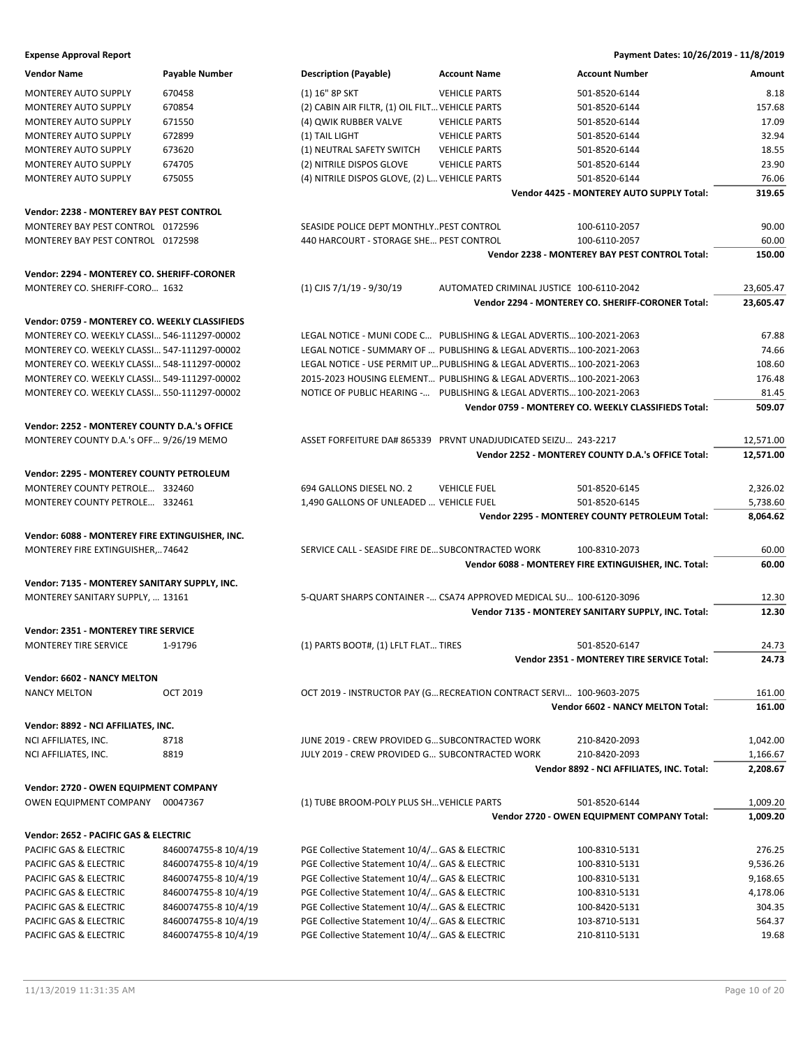| <b>Vendor Name</b>                                 | <b>Payable Number</b> | <b>Description (Payable)</b>                                           | <b>Account Name</b>                      | <b>Account Number</b>                                 | Amount           |
|----------------------------------------------------|-----------------------|------------------------------------------------------------------------|------------------------------------------|-------------------------------------------------------|------------------|
| <b>MONTEREY AUTO SUPPLY</b>                        | 670458                | (1) 16" 8P SKT                                                         | <b>VEHICLE PARTS</b>                     | 501-8520-6144                                         | 8.18             |
| MONTEREY AUTO SUPPLY                               | 670854                | (2) CABIN AIR FILTR, (1) OIL FILT VEHICLE PARTS                        |                                          | 501-8520-6144                                         | 157.68           |
| <b>MONTEREY AUTO SUPPLY</b>                        | 671550                | (4) QWIK RUBBER VALVE                                                  | <b>VEHICLE PARTS</b>                     | 501-8520-6144                                         | 17.09            |
| MONTEREY AUTO SUPPLY                               | 672899                | (1) TAIL LIGHT                                                         | <b>VEHICLE PARTS</b>                     | 501-8520-6144                                         | 32.94            |
| MONTEREY AUTO SUPPLY                               | 673620                | (1) NEUTRAL SAFETY SWITCH                                              | <b>VEHICLE PARTS</b>                     | 501-8520-6144                                         | 18.55            |
| MONTEREY AUTO SUPPLY                               | 674705                | (2) NITRILE DISPOS GLOVE                                               | <b>VEHICLE PARTS</b>                     | 501-8520-6144                                         | 23.90            |
| MONTEREY AUTO SUPPLY                               | 675055                | (4) NITRILE DISPOS GLOVE, (2) L VEHICLE PARTS                          |                                          | 501-8520-6144                                         | 76.06            |
|                                                    |                       |                                                                        |                                          | Vendor 4425 - MONTEREY AUTO SUPPLY Total:             | 319.65           |
| Vendor: 2238 - MONTEREY BAY PEST CONTROL           |                       |                                                                        |                                          |                                                       |                  |
| MONTEREY BAY PEST CONTROL 0172596                  |                       | SEASIDE POLICE DEPT MONTHLYPEST CONTROL                                |                                          | 100-6110-2057                                         | 90.00            |
| MONTEREY BAY PEST CONTROL 0172598                  |                       | 440 HARCOURT - STORAGE SHE PEST CONTROL                                |                                          | 100-6110-2057                                         | 60.00            |
|                                                    |                       |                                                                        |                                          | Vendor 2238 - MONTEREY BAY PEST CONTROL Total:        | 150.00           |
| Vendor: 2294 - MONTEREY CO. SHERIFF-CORONER        |                       |                                                                        |                                          |                                                       |                  |
| MONTEREY CO. SHERIFF-CORO 1632                     |                       | $(1)$ CJIS 7/1/19 - 9/30/19                                            | AUTOMATED CRIMINAL JUSTICE 100-6110-2042 |                                                       | 23,605.47        |
|                                                    |                       |                                                                        |                                          | Vendor 2294 - MONTEREY CO. SHERIFF-CORONER Total:     | 23,605.47        |
| Vendor: 0759 - MONTEREY CO. WEEKLY CLASSIFIEDS     |                       |                                                                        |                                          |                                                       |                  |
| MONTEREY CO. WEEKLY CLASSI 546-111297-00002        |                       | LEGAL NOTICE - MUNI CODE C PUBLISHING & LEGAL ADVERTIS 100-2021-2063   |                                          |                                                       | 67.88            |
| MONTEREY CO. WEEKLY CLASSI 547-111297-00002        |                       | LEGAL NOTICE - SUMMARY OF  PUBLISHING & LEGAL ADVERTIS 100-2021-2063   |                                          |                                                       | 74.66            |
| MONTEREY CO. WEEKLY CLASSI 548-111297-00002        |                       | LEGAL NOTICE - USE PERMIT UP PUBLISHING & LEGAL ADVERTIS 100-2021-2063 |                                          |                                                       | 108.60           |
| MONTEREY CO. WEEKLY CLASSI 549-111297-00002        |                       | 2015-2023 HOUSING ELEMENT PUBLISHING & LEGAL ADVERTIS 100-2021-2063    |                                          |                                                       | 176.48           |
| MONTEREY CO. WEEKLY CLASSI 550-111297-00002        |                       | NOTICE OF PUBLIC HEARING - PUBLISHING & LEGAL ADVERTIS 100-2021-2063   |                                          |                                                       | 81.45            |
|                                                    |                       |                                                                        |                                          | Vendor 0759 - MONTEREY CO. WEEKLY CLASSIFIEDS Total:  | 509.07           |
|                                                    |                       |                                                                        |                                          |                                                       |                  |
| Vendor: 2252 - MONTEREY COUNTY D.A.'s OFFICE       |                       |                                                                        |                                          |                                                       |                  |
| MONTEREY COUNTY D.A.'s OFF 9/26/19 MEMO            |                       |                                                                        |                                          |                                                       | 12,571.00        |
|                                                    |                       |                                                                        |                                          | Vendor 2252 - MONTEREY COUNTY D.A.'s OFFICE Total:    | 12,571.00        |
| Vendor: 2295 - MONTEREY COUNTY PETROLEUM           |                       |                                                                        |                                          |                                                       |                  |
| MONTEREY COUNTY PETROLE 332460                     |                       | 694 GALLONS DIESEL NO. 2                                               | <b>VEHICLE FUEL</b>                      | 501-8520-6145                                         | 2,326.02         |
| MONTEREY COUNTY PETROLE 332461                     |                       | 1,490 GALLONS OF UNLEADED  VEHICLE FUEL                                |                                          | 501-8520-6145                                         | 5,738.60         |
|                                                    |                       |                                                                        |                                          | Vendor 2295 - MONTEREY COUNTY PETROLEUM Total:        | 8,064.62         |
| Vendor: 6088 - MONTEREY FIRE EXTINGUISHER, INC.    |                       |                                                                        |                                          |                                                       |                  |
| MONTEREY FIRE EXTINGUISHER,74642                   |                       | SERVICE CALL - SEASIDE FIRE DE SUBCONTRACTED WORK                      |                                          | 100-8310-2073                                         | 60.00            |
|                                                    |                       |                                                                        |                                          | Vendor 6088 - MONTEREY FIRE EXTINGUISHER, INC. Total: | 60.00            |
| Vendor: 7135 - MONTEREY SANITARY SUPPLY, INC.      |                       |                                                                        |                                          |                                                       |                  |
| MONTEREY SANITARY SUPPLY,  13161                   |                       | 5-QUART SHARPS CONTAINER - CSA74 APPROVED MEDICAL SU 100-6120-3096     |                                          |                                                       | 12.30            |
|                                                    |                       |                                                                        |                                          | Vendor 7135 - MONTEREY SANITARY SUPPLY, INC. Total:   | 12.30            |
| <b>Vendor: 2351 - MONTEREY TIRE SERVICE</b>        |                       |                                                                        |                                          |                                                       |                  |
| MONTEREY TIRE SERVICE                              | 1-91796               | (1) PARTS BOOT#, (1) LFLT FLAT TIRES                                   |                                          | 501-8520-6147                                         | 24.73            |
|                                                    |                       |                                                                        |                                          | Vendor 2351 - MONTEREY TIRE SERVICE Total:            | 24.73            |
|                                                    |                       |                                                                        |                                          |                                                       |                  |
| Vendor: 6602 - NANCY MELTON<br><b>NANCY MELTON</b> |                       |                                                                        |                                          |                                                       |                  |
|                                                    | OCT 2019              | OCT 2019 - INSTRUCTOR PAY (GRECREATION CONTRACT SERVI 100-9603-2075    |                                          | Vendor 6602 - NANCY MELTON Total:                     | 161.00<br>161.00 |
|                                                    |                       |                                                                        |                                          |                                                       |                  |
| Vendor: 8892 - NCI AFFILIATES, INC.                |                       |                                                                        |                                          |                                                       |                  |
| NCI AFFILIATES, INC.                               | 8718                  | JUNE 2019 - CREW PROVIDED G SUBCONTRACTED WORK                         |                                          | 210-8420-2093                                         | 1,042.00         |
| NCI AFFILIATES, INC.                               | 8819                  | JULY 2019 - CREW PROVIDED G SUBCONTRACTED WORK                         |                                          | 210-8420-2093                                         | 1,166.67         |
|                                                    |                       |                                                                        |                                          | Vendor 8892 - NCI AFFILIATES, INC. Total:             | 2,208.67         |
| Vendor: 2720 - OWEN EQUIPMENT COMPANY              |                       |                                                                        |                                          |                                                       |                  |
| OWEN EQUIPMENT COMPANY 00047367                    |                       | (1) TUBE BROOM-POLY PLUS SH VEHICLE PARTS                              |                                          | 501-8520-6144                                         | 1,009.20         |
|                                                    |                       |                                                                        |                                          | Vendor 2720 - OWEN EQUIPMENT COMPANY Total:           | 1,009.20         |
| Vendor: 2652 - PACIFIC GAS & ELECTRIC              |                       |                                                                        |                                          |                                                       |                  |
| PACIFIC GAS & ELECTRIC                             | 8460074755-8 10/4/19  | PGE Collective Statement 10/4/ GAS & ELECTRIC                          |                                          | 100-8310-5131                                         | 276.25           |
| PACIFIC GAS & ELECTRIC                             | 8460074755-8 10/4/19  | PGE Collective Statement 10/4/ GAS & ELECTRIC                          |                                          | 100-8310-5131                                         | 9,536.26         |
| PACIFIC GAS & ELECTRIC                             | 8460074755-8 10/4/19  | PGE Collective Statement 10/4/ GAS & ELECTRIC                          |                                          | 100-8310-5131                                         | 9,168.65         |
| PACIFIC GAS & ELECTRIC                             | 8460074755-8 10/4/19  | PGE Collective Statement 10/4/ GAS & ELECTRIC                          |                                          | 100-8310-5131                                         | 4,178.06         |
| PACIFIC GAS & ELECTRIC                             | 8460074755-8 10/4/19  | PGE Collective Statement 10/4/ GAS & ELECTRIC                          |                                          | 100-8420-5131                                         | 304.35           |
| PACIFIC GAS & ELECTRIC                             | 8460074755-8 10/4/19  | PGE Collective Statement 10/4/ GAS & ELECTRIC                          |                                          | 103-8710-5131                                         | 564.37           |
| PACIFIC GAS & ELECTRIC                             | 8460074755-8 10/4/19  | PGE Collective Statement 10/4/ GAS & ELECTRIC                          |                                          | 210-8110-5131                                         | 19.68            |
|                                                    |                       |                                                                        |                                          |                                                       |                  |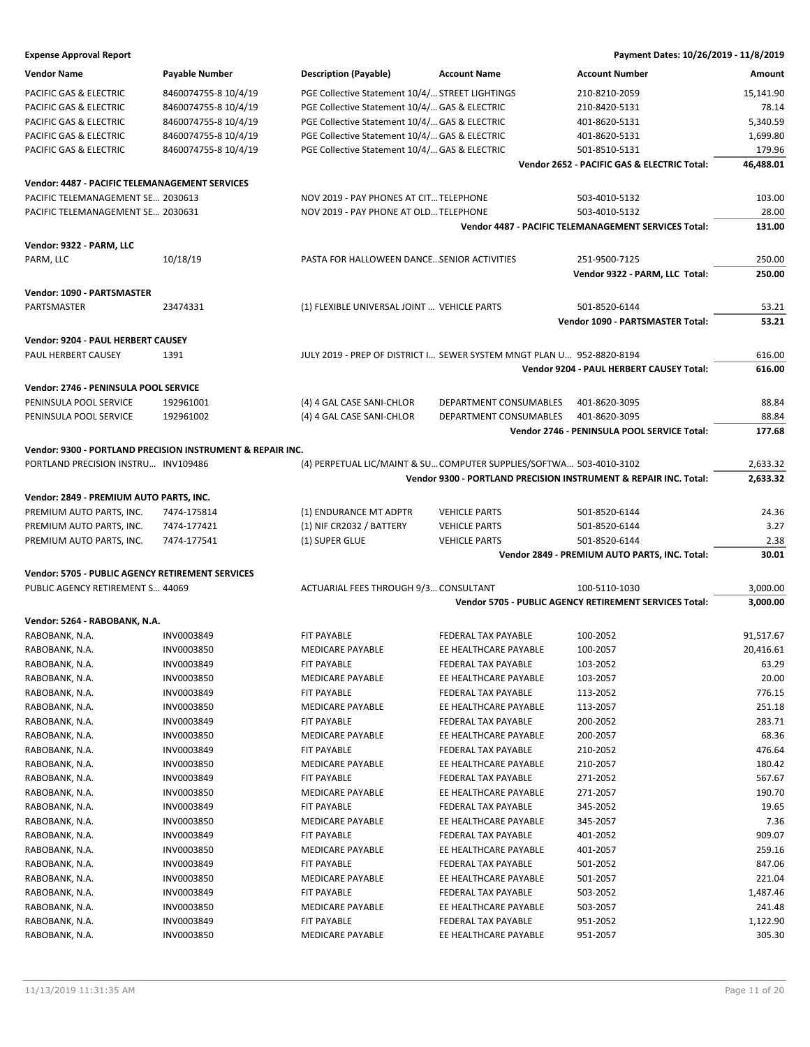| <b>Expense Approval Report</b>                             |                      |                                                                       |                                                                     | Payment Dates: 10/26/2019 - 11/8/2019                            |           |
|------------------------------------------------------------|----------------------|-----------------------------------------------------------------------|---------------------------------------------------------------------|------------------------------------------------------------------|-----------|
| <b>Vendor Name</b>                                         | Payable Number       | <b>Description (Payable)</b>                                          | <b>Account Name</b>                                                 | <b>Account Number</b>                                            | Amount    |
| PACIFIC GAS & ELECTRIC                                     | 8460074755-8 10/4/19 | PGE Collective Statement 10/4/ STREET LIGHTINGS                       |                                                                     | 210-8210-2059                                                    | 15,141.90 |
| PACIFIC GAS & ELECTRIC                                     | 8460074755-8 10/4/19 | PGE Collective Statement 10/4/ GAS & ELECTRIC                         |                                                                     | 210-8420-5131                                                    | 78.14     |
|                                                            | 8460074755-8 10/4/19 |                                                                       |                                                                     | 401-8620-5131                                                    | 5,340.59  |
| PACIFIC GAS & ELECTRIC                                     |                      | PGE Collective Statement 10/4/ GAS & ELECTRIC                         |                                                                     |                                                                  |           |
| PACIFIC GAS & ELECTRIC                                     | 8460074755-8 10/4/19 | PGE Collective Statement 10/4/ GAS & ELECTRIC                         |                                                                     | 401-8620-5131                                                    | 1,699.80  |
| PACIFIC GAS & ELECTRIC                                     | 8460074755-8 10/4/19 | PGE Collective Statement 10/4/ GAS & ELECTRIC                         |                                                                     | 501-8510-5131                                                    | 179.96    |
|                                                            |                      |                                                                       |                                                                     | Vendor 2652 - PACIFIC GAS & ELECTRIC Total:                      | 46,488.01 |
| Vendor: 4487 - PACIFIC TELEMANAGEMENT SERVICES             |                      |                                                                       |                                                                     |                                                                  |           |
| PACIFIC TELEMANAGEMENT SE 2030613                          |                      | NOV 2019 - PAY PHONES AT CIT TELEPHONE                                |                                                                     | 503-4010-5132                                                    | 103.00    |
| PACIFIC TELEMANAGEMENT SE 2030631                          |                      | NOV 2019 - PAY PHONE AT OLD TELEPHONE                                 |                                                                     | 503-4010-5132                                                    | 28.00     |
|                                                            |                      |                                                                       |                                                                     | Vendor 4487 - PACIFIC TELEMANAGEMENT SERVICES Total:             | 131.00    |
| Vendor: 9322 - PARM, LLC                                   |                      |                                                                       |                                                                     |                                                                  |           |
| PARM, LLC                                                  | 10/18/19             | PASTA FOR HALLOWEEN DANCE SENIOR ACTIVITIES                           |                                                                     | 251-9500-7125                                                    | 250.00    |
|                                                            |                      |                                                                       |                                                                     |                                                                  |           |
|                                                            |                      |                                                                       |                                                                     | Vendor 9322 - PARM, LLC Total:                                   | 250.00    |
| Vendor: 1090 - PARTSMASTER                                 |                      |                                                                       |                                                                     |                                                                  |           |
| PARTSMASTER                                                | 23474331             | (1) FLEXIBLE UNIVERSAL JOINT  VEHICLE PARTS                           |                                                                     | 501-8520-6144                                                    | 53.21     |
|                                                            |                      |                                                                       |                                                                     | Vendor 1090 - PARTSMASTER Total:                                 | 53.21     |
| Vendor: 9204 - PAUL HERBERT CAUSEY                         |                      |                                                                       |                                                                     |                                                                  |           |
|                                                            | 1391                 | JULY 2019 - PREP OF DISTRICT I SEWER SYSTEM MNGT PLAN U 952-8820-8194 |                                                                     |                                                                  | 616.00    |
| PAUL HERBERT CAUSEY                                        |                      |                                                                       |                                                                     |                                                                  |           |
|                                                            |                      |                                                                       |                                                                     | Vendor 9204 - PAUL HERBERT CAUSEY Total:                         | 616.00    |
| Vendor: 2746 - PENINSULA POOL SERVICE                      |                      |                                                                       |                                                                     |                                                                  |           |
| PENINSULA POOL SERVICE                                     | 192961001            | (4) 4 GAL CASE SANI-CHLOR                                             | DEPARTMENT CONSUMABLES                                              | 401-8620-3095                                                    | 88.84     |
| PENINSULA POOL SERVICE                                     | 192961002            | (4) 4 GAL CASE SANI-CHLOR                                             | DEPARTMENT CONSUMABLES                                              | 401-8620-3095                                                    | 88.84     |
|                                                            |                      |                                                                       |                                                                     | Vendor 2746 - PENINSULA POOL SERVICE Total:                      | 177.68    |
| Vendor: 9300 - PORTLAND PRECISION INSTRUMENT & REPAIR INC. |                      |                                                                       |                                                                     |                                                                  |           |
| PORTLAND PRECISION INSTRU INV109486                        |                      |                                                                       | (4) PERPETUAL LIC/MAINT & SU COMPUTER SUPPLIES/SOFTWA 503-4010-3102 |                                                                  | 2,633.32  |
|                                                            |                      |                                                                       |                                                                     | Vendor 9300 - PORTLAND PRECISION INSTRUMENT & REPAIR INC. Total: | 2,633.32  |
|                                                            |                      |                                                                       |                                                                     |                                                                  |           |
| Vendor: 2849 - PREMIUM AUTO PARTS, INC.                    |                      |                                                                       |                                                                     |                                                                  |           |
| PREMIUM AUTO PARTS, INC.                                   | 7474-175814          | (1) ENDURANCE MT ADPTR                                                | <b>VEHICLE PARTS</b>                                                | 501-8520-6144                                                    | 24.36     |
| PREMIUM AUTO PARTS, INC.                                   | 7474-177421          | (1) NIF CR2032 / BATTERY                                              | <b>VEHICLE PARTS</b>                                                | 501-8520-6144                                                    | 3.27      |
| PREMIUM AUTO PARTS, INC.                                   | 7474-177541          | (1) SUPER GLUE                                                        | <b>VEHICLE PARTS</b>                                                | 501-8520-6144                                                    | 2.38      |
|                                                            |                      |                                                                       |                                                                     | Vendor 2849 - PREMIUM AUTO PARTS, INC. Total:                    | 30.01     |
| Vendor: 5705 - PUBLIC AGENCY RETIREMENT SERVICES           |                      |                                                                       |                                                                     |                                                                  |           |
| PUBLIC AGENCY RETIREMENT S 44069                           |                      | ACTUARIAL FEES THROUGH 9/3 CONSULTANT                                 |                                                                     | 100-5110-1030                                                    | 3,000.00  |
|                                                            |                      |                                                                       |                                                                     | Vendor 5705 - PUBLIC AGENCY RETIREMENT SERVICES Total:           | 3,000.00  |
|                                                            |                      |                                                                       |                                                                     |                                                                  |           |
| Vendor: 5264 - RABOBANK, N.A.                              |                      |                                                                       |                                                                     |                                                                  |           |
| RABOBANK, N.A.                                             | INV0003849           | <b>FIT PAYABLE</b>                                                    | FEDERAL TAX PAYABLE                                                 | 100-2052                                                         | 91,517.67 |
| RABOBANK, N.A.                                             | INV0003850           | MEDICARE PAYABLE                                                      | EE HEALTHCARE PAYABLE                                               | 100-2057                                                         | 20,416.61 |
| RABOBANK, N.A.                                             | INV0003849           | FIT PAYABLE                                                           | FEDERAL TAX PAYABLE                                                 | 103-2052                                                         | 63.29     |
| RABOBANK, N.A.                                             | INV0003850           | MEDICARE PAYABLE                                                      | EE HEALTHCARE PAYABLE                                               | 103-2057                                                         | 20.00     |
| RABOBANK, N.A.                                             | INV0003849           | <b>FIT PAYABLE</b>                                                    | FEDERAL TAX PAYABLE                                                 | 113-2052                                                         | 776.15    |
| RABOBANK, N.A.                                             | INV0003850           | MEDICARE PAYABLE                                                      | EE HEALTHCARE PAYABLE                                               | 113-2057                                                         | 251.18    |
| RABOBANK, N.A.                                             | INV0003849           | FIT PAYABLE                                                           | FEDERAL TAX PAYABLE                                                 | 200-2052                                                         | 283.71    |
| RABOBANK, N.A.                                             | INV0003850           | MEDICARE PAYABLE                                                      | EE HEALTHCARE PAYABLE                                               | 200-2057                                                         | 68.36     |
| RABOBANK, N.A.                                             | INV0003849           | FIT PAYABLE                                                           | FEDERAL TAX PAYABLE                                                 | 210-2052                                                         | 476.64    |
| RABOBANK, N.A.                                             | INV0003850           | <b>MEDICARE PAYABLE</b>                                               | EE HEALTHCARE PAYABLE                                               | 210-2057                                                         | 180.42    |
| RABOBANK, N.A.                                             | INV0003849           | FIT PAYABLE                                                           | FEDERAL TAX PAYABLE                                                 | 271-2052                                                         | 567.67    |
| RABOBANK, N.A.                                             | INV0003850           | <b>MEDICARE PAYABLE</b>                                               | EE HEALTHCARE PAYABLE                                               | 271-2057                                                         | 190.70    |
| RABOBANK, N.A.                                             | INV0003849           | FIT PAYABLE                                                           | FEDERAL TAX PAYABLE                                                 | 345-2052                                                         | 19.65     |
| RABOBANK, N.A.                                             | INV0003850           | MEDICARE PAYABLE                                                      | EE HEALTHCARE PAYABLE                                               | 345-2057                                                         | 7.36      |
| RABOBANK, N.A.                                             | INV0003849           | FIT PAYABLE                                                           | FEDERAL TAX PAYABLE                                                 | 401-2052                                                         | 909.07    |
| RABOBANK, N.A.                                             | INV0003850           | MEDICARE PAYABLE                                                      | EE HEALTHCARE PAYABLE                                               | 401-2057                                                         | 259.16    |
|                                                            |                      |                                                                       |                                                                     |                                                                  |           |
| RABOBANK, N.A.                                             | INV0003849           | FIT PAYABLE                                                           | FEDERAL TAX PAYABLE                                                 | 501-2052                                                         | 847.06    |
| RABOBANK, N.A.                                             | INV0003850           | MEDICARE PAYABLE                                                      | EE HEALTHCARE PAYABLE                                               | 501-2057                                                         | 221.04    |
| RABOBANK, N.A.                                             | INV0003849           | FIT PAYABLE                                                           | FEDERAL TAX PAYABLE                                                 | 503-2052                                                         | 1,487.46  |
| RABOBANK, N.A.                                             | INV0003850           | MEDICARE PAYABLE                                                      | EE HEALTHCARE PAYABLE                                               | 503-2057                                                         | 241.48    |
| RABOBANK, N.A.                                             | INV0003849           | FIT PAYABLE                                                           | FEDERAL TAX PAYABLE                                                 | 951-2052                                                         | 1,122.90  |

RABOBANK, N.A. **INV0003850** MEDICARE PAYABLE EE HEALTHCARE PAYABLE 951-2057 305.30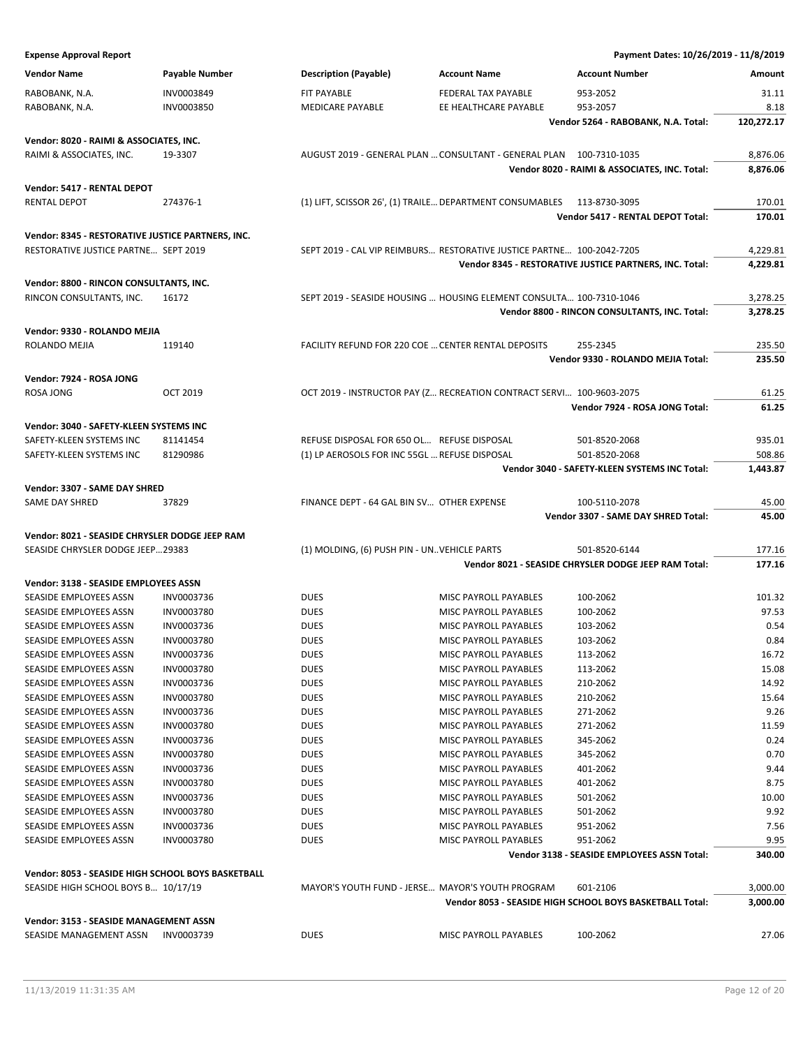| <b>Expense Approval Report</b>                                                            |                          |                                               |                                                                       | Payment Dates: 10/26/2019 - 11/8/2019                    |               |
|-------------------------------------------------------------------------------------------|--------------------------|-----------------------------------------------|-----------------------------------------------------------------------|----------------------------------------------------------|---------------|
| <b>Vendor Name</b>                                                                        | <b>Payable Number</b>    | <b>Description (Payable)</b>                  | <b>Account Name</b>                                                   | <b>Account Number</b>                                    | Amount        |
| RABOBANK, N.A.                                                                            | INV0003849               | FIT PAYABLE                                   | FEDERAL TAX PAYABLE                                                   | 953-2052                                                 | 31.11         |
| RABOBANK, N.A.                                                                            | INV0003850               | MEDICARE PAYABLE                              | EE HEALTHCARE PAYABLE                                                 | 953-2057                                                 | 8.18          |
|                                                                                           |                          |                                               |                                                                       | Vendor 5264 - RABOBANK, N.A. Total:                      | 120,272.17    |
| Vendor: 8020 - RAIMI & ASSOCIATES, INC.                                                   |                          |                                               |                                                                       |                                                          |               |
| RAIMI & ASSOCIATES, INC.                                                                  | 19-3307                  |                                               | AUGUST 2019 - GENERAL PLAN  CONSULTANT - GENERAL PLAN 100-7310-1035   |                                                          | 8,876.06      |
|                                                                                           |                          |                                               |                                                                       | Vendor 8020 - RAIMI & ASSOCIATES, INC. Total:            | 8,876.06      |
| Vendor: 5417 - RENTAL DEPOT                                                               |                          |                                               |                                                                       |                                                          |               |
| <b>RENTAL DEPOT</b>                                                                       | 274376-1                 |                                               | (1) LIFT, SCISSOR 26', (1) TRAILE DEPARTMENT CONSUMABLES              | 113-8730-3095                                            | 170.01        |
|                                                                                           |                          |                                               |                                                                       | <b>Vendor 5417 - RENTAL DEPOT Total:</b>                 | 170.01        |
|                                                                                           |                          |                                               |                                                                       |                                                          |               |
| Vendor: 8345 - RESTORATIVE JUSTICE PARTNERS, INC.<br>RESTORATIVE JUSTICE PARTNE SEPT 2019 |                          |                                               | SEPT 2019 - CAL VIP REIMBURS RESTORATIVE JUSTICE PARTNE 100-2042-7205 |                                                          | 4,229.81      |
|                                                                                           |                          |                                               |                                                                       | Vendor 8345 - RESTORATIVE JUSTICE PARTNERS, INC. Total:  | 4,229.81      |
|                                                                                           |                          |                                               |                                                                       |                                                          |               |
| Vendor: 8800 - RINCON CONSULTANTS, INC.                                                   |                          |                                               |                                                                       |                                                          |               |
| RINCON CONSULTANTS, INC.                                                                  | 16172                    |                                               | SEPT 2019 - SEASIDE HOUSING  HOUSING ELEMENT CONSULTA 100-7310-1046   |                                                          | 3,278.25      |
|                                                                                           |                          |                                               |                                                                       | Vendor 8800 - RINCON CONSULTANTS, INC. Total:            | 3,278.25      |
| Vendor: 9330 - ROLANDO MEJIA                                                              |                          |                                               |                                                                       |                                                          |               |
| ROLANDO MEJIA                                                                             | 119140                   |                                               | FACILITY REFUND FOR 220 COE  CENTER RENTAL DEPOSITS                   | 255-2345                                                 | 235.50        |
|                                                                                           |                          |                                               |                                                                       | Vendor 9330 - ROLANDO MEJIA Total:                       | 235.50        |
| Vendor: 7924 - ROSA JONG                                                                  |                          |                                               |                                                                       |                                                          |               |
| ROSA JONG                                                                                 | <b>OCT 2019</b>          |                                               | OCT 2019 - INSTRUCTOR PAY (Z RECREATION CONTRACT SERVI 100-9603-2075  |                                                          | 61.25         |
|                                                                                           |                          |                                               |                                                                       | Vendor 7924 - ROSA JONG Total:                           | 61.25         |
| Vendor: 3040 - SAFETY-KLEEN SYSTEMS INC                                                   |                          |                                               |                                                                       |                                                          |               |
| SAFETY-KLEEN SYSTEMS INC                                                                  | 81141454                 | REFUSE DISPOSAL FOR 650 OL REFUSE DISPOSAL    |                                                                       | 501-8520-2068                                            | 935.01        |
| SAFETY-KLEEN SYSTEMS INC                                                                  | 81290986                 | (1) LP AEROSOLS FOR INC 55GL  REFUSE DISPOSAL |                                                                       | 501-8520-2068                                            | 508.86        |
|                                                                                           |                          |                                               |                                                                       | Vendor 3040 - SAFETY-KLEEN SYSTEMS INC Total:            | 1,443.87      |
| Vendor: 3307 - SAME DAY SHRED                                                             |                          |                                               |                                                                       |                                                          |               |
| SAME DAY SHRED                                                                            | 37829                    | FINANCE DEPT - 64 GAL BIN SV OTHER EXPENSE    |                                                                       | 100-5110-2078                                            | 45.00         |
|                                                                                           |                          |                                               |                                                                       | Vendor 3307 - SAME DAY SHRED Total:                      | 45.00         |
| Vendor: 8021 - SEASIDE CHRYSLER DODGE JEEP RAM                                            |                          |                                               |                                                                       |                                                          |               |
| SEASIDE CHRYSLER DODGE JEEP29383                                                          |                          | (1) MOLDING, (6) PUSH PIN - UN. VEHICLE PARTS |                                                                       | 501-8520-6144                                            | 177.16        |
|                                                                                           |                          |                                               |                                                                       | Vendor 8021 - SEASIDE CHRYSLER DODGE JEEP RAM Total:     | 177.16        |
| Vendor: 3138 - SEASIDE EMPLOYEES ASSN                                                     |                          |                                               |                                                                       |                                                          |               |
| SEASIDE EMPLOYEES ASSN                                                                    | INV0003736               | <b>DUES</b>                                   | MISC PAYROLL PAYABLES                                                 | 100-2062                                                 | 101.32        |
| <b>SEASIDE EMPLOYEES ASSN</b>                                                             | INV0003780               | <b>DUES</b>                                   | MISC PAYROLL PAYABLES                                                 | 100-2062                                                 | 97.53         |
| SEASIDE EMPLOYEES ASSN                                                                    | INV0003736               | <b>DUES</b>                                   | <b>MISC PAYROLL PAYABLES</b>                                          | 103-2062                                                 | 0.54          |
| SEASIDE EMPLOYEES ASSN                                                                    | INV0003780               | DUES                                          | MISC PAYROLL PAYABLES                                                 | 103-2062                                                 | 0.84          |
| SEASIDE EMPLOYEES ASSN                                                                    | INV0003736               | <b>DUES</b>                                   | MISC PAYROLL PAYABLES                                                 | 113-2062                                                 | 16.72         |
| SEASIDE EMPLOYEES ASSN                                                                    | INV0003780               | <b>DUES</b>                                   | MISC PAYROLL PAYABLES                                                 | 113-2062                                                 | 15.08         |
| SEASIDE EMPLOYEES ASSN                                                                    | INV0003736               | <b>DUES</b>                                   | MISC PAYROLL PAYABLES                                                 | 210-2062                                                 | 14.92         |
| SEASIDE EMPLOYEES ASSN                                                                    | INV0003780               | <b>DUES</b>                                   | MISC PAYROLL PAYABLES                                                 | 210-2062                                                 | 15.64         |
| SEASIDE EMPLOYEES ASSN                                                                    | INV0003736               | <b>DUES</b>                                   | MISC PAYROLL PAYABLES                                                 | 271-2062                                                 | 9.26          |
| SEASIDE EMPLOYEES ASSN                                                                    | INV0003780               | <b>DUES</b>                                   | MISC PAYROLL PAYABLES                                                 | 271-2062                                                 | 11.59         |
| SEASIDE EMPLOYEES ASSN                                                                    | INV0003736               | <b>DUES</b>                                   | MISC PAYROLL PAYABLES                                                 | 345-2062                                                 | 0.24          |
| SEASIDE EMPLOYEES ASSN                                                                    | INV0003780               | <b>DUES</b>                                   | MISC PAYROLL PAYABLES                                                 | 345-2062                                                 | 0.70          |
| SEASIDE EMPLOYEES ASSN                                                                    | INV0003736               | <b>DUES</b>                                   | MISC PAYROLL PAYABLES                                                 | 401-2062                                                 | 9.44          |
| SEASIDE EMPLOYEES ASSN<br>SEASIDE EMPLOYEES ASSN                                          | INV0003780<br>INV0003736 | DUES                                          | MISC PAYROLL PAYABLES<br>MISC PAYROLL PAYABLES                        | 401-2062<br>501-2062                                     | 8.75<br>10.00 |
| SEASIDE EMPLOYEES ASSN                                                                    | INV0003780               | DUES<br><b>DUES</b>                           | MISC PAYROLL PAYABLES                                                 | 501-2062                                                 | 9.92          |
| SEASIDE EMPLOYEES ASSN                                                                    | INV0003736               | <b>DUES</b>                                   | MISC PAYROLL PAYABLES                                                 | 951-2062                                                 | 7.56          |
| SEASIDE EMPLOYEES ASSN                                                                    | INV0003780               | <b>DUES</b>                                   | MISC PAYROLL PAYABLES                                                 | 951-2062                                                 | 9.95          |
|                                                                                           |                          |                                               |                                                                       | Vendor 3138 - SEASIDE EMPLOYEES ASSN Total:              | 340.00        |
|                                                                                           |                          |                                               |                                                                       |                                                          |               |
| Vendor: 8053 - SEASIDE HIGH SCHOOL BOYS BASKETBALL<br>SEASIDE HIGH SCHOOL BOYS B 10/17/19 |                          |                                               | MAYOR'S YOUTH FUND - JERSE MAYOR'S YOUTH PROGRAM                      | 601-2106                                                 | 3,000.00      |
|                                                                                           |                          |                                               |                                                                       | Vendor 8053 - SEASIDE HIGH SCHOOL BOYS BASKETBALL Total: | 3,000.00      |
|                                                                                           |                          |                                               |                                                                       |                                                          |               |
| Vendor: 3153 - SEASIDE MANAGEMENT ASSN                                                    |                          |                                               |                                                                       |                                                          |               |
| SEASIDE MANAGEMENT ASSN INV0003739                                                        |                          | <b>DUES</b>                                   | MISC PAYROLL PAYABLES                                                 | 100-2062                                                 | 27.06         |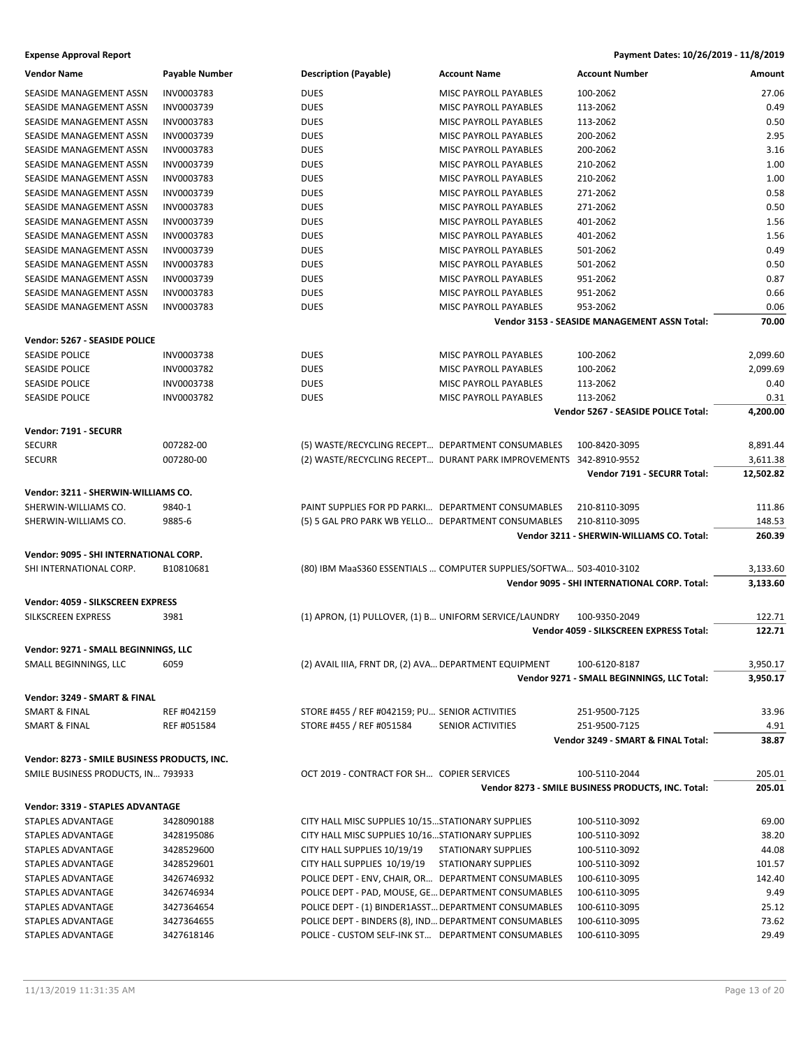| <b>Vendor Name</b>                           | <b>Payable Number</b> | <b>Description (Payable)</b>                           | <b>Account Name</b>                                                 | <b>Account Number</b>                              | Amount           |
|----------------------------------------------|-----------------------|--------------------------------------------------------|---------------------------------------------------------------------|----------------------------------------------------|------------------|
| SEASIDE MANAGEMENT ASSN                      | INV0003783            | <b>DUES</b>                                            | MISC PAYROLL PAYABLES                                               | 100-2062                                           | 27.06            |
| SEASIDE MANAGEMENT ASSN                      | INV0003739            | <b>DUES</b>                                            | MISC PAYROLL PAYABLES                                               | 113-2062                                           | 0.49             |
| SEASIDE MANAGEMENT ASSN                      | INV0003783            | <b>DUES</b>                                            | MISC PAYROLL PAYABLES                                               | 113-2062                                           | 0.50             |
| SEASIDE MANAGEMENT ASSN                      | INV0003739            | <b>DUES</b>                                            | MISC PAYROLL PAYABLES                                               | 200-2062                                           | 2.95             |
| SEASIDE MANAGEMENT ASSN                      | INV0003783            | <b>DUES</b>                                            | MISC PAYROLL PAYABLES                                               | 200-2062                                           | 3.16             |
| SEASIDE MANAGEMENT ASSN                      | INV0003739            | <b>DUES</b>                                            | <b>MISC PAYROLL PAYABLES</b>                                        | 210-2062                                           | 1.00             |
| SEASIDE MANAGEMENT ASSN                      | INV0003783            | <b>DUES</b>                                            | MISC PAYROLL PAYABLES                                               | 210-2062                                           | 1.00             |
| SEASIDE MANAGEMENT ASSN                      | INV0003739            | <b>DUES</b>                                            | MISC PAYROLL PAYABLES                                               | 271-2062                                           | 0.58             |
| SEASIDE MANAGEMENT ASSN                      | INV0003783            | <b>DUES</b>                                            | <b>MISC PAYROLL PAYABLES</b>                                        | 271-2062                                           | 0.50             |
| SEASIDE MANAGEMENT ASSN                      | INV0003739            | <b>DUES</b>                                            | <b>MISC PAYROLL PAYABLES</b>                                        | 401-2062                                           | 1.56             |
| SEASIDE MANAGEMENT ASSN                      | INV0003783            | <b>DUES</b>                                            | <b>MISC PAYROLL PAYABLES</b>                                        | 401-2062                                           | 1.56             |
| SEASIDE MANAGEMENT ASSN                      | INV0003739            | <b>DUES</b>                                            | MISC PAYROLL PAYABLES                                               | 501-2062                                           | 0.49             |
| SEASIDE MANAGEMENT ASSN                      | INV0003783            | <b>DUES</b>                                            | MISC PAYROLL PAYABLES                                               | 501-2062                                           | 0.50             |
| SEASIDE MANAGEMENT ASSN                      | INV0003739            | <b>DUES</b>                                            | MISC PAYROLL PAYABLES                                               | 951-2062                                           | 0.87             |
| SEASIDE MANAGEMENT ASSN                      | INV0003783            | <b>DUES</b>                                            | MISC PAYROLL PAYABLES                                               | 951-2062                                           | 0.66             |
| SEASIDE MANAGEMENT ASSN                      | INV0003783            | <b>DUES</b>                                            | MISC PAYROLL PAYABLES                                               | 953-2062                                           | 0.06             |
|                                              |                       |                                                        |                                                                     | Vendor 3153 - SEASIDE MANAGEMENT ASSN Total:       | 70.00            |
| Vendor: 5267 - SEASIDE POLICE                |                       |                                                        |                                                                     |                                                    |                  |
| <b>SEASIDE POLICE</b>                        | <b>INV0003738</b>     | <b>DUES</b>                                            | MISC PAYROLL PAYABLES                                               | 100-2062                                           | 2,099.60         |
| <b>SEASIDE POLICE</b>                        | INV0003782            | <b>DUES</b>                                            | MISC PAYROLL PAYABLES                                               | 100-2062                                           |                  |
| <b>SEASIDE POLICE</b>                        | INV0003738            |                                                        | <b>MISC PAYROLL PAYABLES</b>                                        | 113-2062                                           | 2,099.69<br>0.40 |
|                                              |                       | <b>DUES</b>                                            |                                                                     |                                                    |                  |
| <b>SEASIDE POLICE</b>                        | INV0003782            | <b>DUES</b>                                            | MISC PAYROLL PAYABLES                                               | 113-2062                                           | 0.31             |
|                                              |                       |                                                        |                                                                     | Vendor 5267 - SEASIDE POLICE Total:                | 4,200.00         |
| Vendor: 7191 - SECURR                        |                       |                                                        |                                                                     |                                                    |                  |
| <b>SECURR</b>                                | 007282-00             | (5) WASTE/RECYCLING RECEPT DEPARTMENT CONSUMABLES      |                                                                     | 100-8420-3095                                      | 8,891.44         |
| <b>SECURR</b>                                | 007280-00             |                                                        | (2) WASTE/RECYCLING RECEPT DURANT PARK IMPROVEMENTS 342-8910-9552   |                                                    | 3,611.38         |
|                                              |                       |                                                        |                                                                     | Vendor 7191 - SECURR Total:                        | 12,502.82        |
| Vendor: 3211 - SHERWIN-WILLIAMS CO.          |                       |                                                        |                                                                     |                                                    |                  |
| SHERWIN-WILLIAMS CO.                         | 9840-1                | PAINT SUPPLIES FOR PD PARKI DEPARTMENT CONSUMABLES     |                                                                     | 210-8110-3095                                      | 111.86           |
| SHERWIN-WILLIAMS CO.                         | 9885-6                | (5) 5 GAL PRO PARK WB YELLO DEPARTMENT CONSUMABLES     |                                                                     | 210-8110-3095                                      | 148.53           |
|                                              |                       |                                                        |                                                                     | Vendor 3211 - SHERWIN-WILLIAMS CO. Total:          | 260.39           |
| Vendor: 9095 - SHI INTERNATIONAL CORP.       |                       |                                                        |                                                                     |                                                    |                  |
| SHI INTERNATIONAL CORP.                      | B10810681             |                                                        | (80) IBM MaaS360 ESSENTIALS  COMPUTER SUPPLIES/SOFTWA 503-4010-3102 |                                                    | 3,133.60         |
|                                              |                       |                                                        |                                                                     | Vendor 9095 - SHI INTERNATIONAL CORP. Total:       | 3,133.60         |
| Vendor: 4059 - SILKSCREEN EXPRESS            |                       |                                                        |                                                                     |                                                    |                  |
| <b>SILKSCREEN EXPRESS</b>                    | 3981                  | (1) APRON, (1) PULLOVER, (1) B UNIFORM SERVICE/LAUNDRY |                                                                     | 100-9350-2049                                      | 122.71           |
|                                              |                       |                                                        |                                                                     | Vendor 4059 - SILKSCREEN EXPRESS Total:            | 122.71           |
|                                              |                       |                                                        |                                                                     |                                                    |                  |
| Vendor: 9271 - SMALL BEGINNINGS, LLC         |                       |                                                        |                                                                     |                                                    |                  |
| SMALL BEGINNINGS, LLC                        |                       | (2) AVAIL IIIA, FRNT DR, (2) AVA DEPARTMENT EQUIPMENT  |                                                                     | 100-6120-8187                                      | 3,950.17         |
|                                              |                       |                                                        |                                                                     | Vendor 9271 - SMALL BEGINNINGS, LLC Total:         | 3,950.17         |
| Vendor: 3249 - SMART & FINAL                 |                       |                                                        |                                                                     |                                                    |                  |
| <b>SMART &amp; FINAL</b>                     | REF #042159           | STORE #455 / REF #042159; PU SENIOR ACTIVITIES         |                                                                     | 251-9500-7125                                      | 33.96            |
| SMART & FINAL                                | REF #051584           | STORE #455 / REF #051584                               | SENIOR ACTIVITIES                                                   | 251-9500-7125                                      | 4.91             |
|                                              |                       |                                                        |                                                                     | Vendor 3249 - SMART & FINAL Total:                 | 38.87            |
| Vendor: 8273 - SMILE BUSINESS PRODUCTS, INC. |                       |                                                        |                                                                     |                                                    |                  |
| SMILE BUSINESS PRODUCTS, IN 793933           |                       | OCT 2019 - CONTRACT FOR SH COPIER SERVICES             |                                                                     | 100-5110-2044                                      | 205.01           |
|                                              |                       |                                                        |                                                                     | Vendor 8273 - SMILE BUSINESS PRODUCTS, INC. Total: | 205.01           |
|                                              |                       |                                                        |                                                                     |                                                    |                  |
| Vendor: 3319 - STAPLES ADVANTAGE             |                       |                                                        |                                                                     |                                                    |                  |
| STAPLES ADVANTAGE                            | 3428090188            | CITY HALL MISC SUPPLIES 10/15STATIONARY SUPPLIES       |                                                                     | 100-5110-3092                                      | 69.00            |
| STAPLES ADVANTAGE                            | 3428195086            | CITY HALL MISC SUPPLIES 10/16 STATIONARY SUPPLIES      |                                                                     | 100-5110-3092                                      | 38.20            |
| STAPLES ADVANTAGE                            | 3428529600            | CITY HALL SUPPLIES 10/19/19                            | <b>STATIONARY SUPPLIES</b>                                          | 100-5110-3092                                      | 44.08            |
| STAPLES ADVANTAGE                            | 3428529601            | CITY HALL SUPPLIES 10/19/19                            | <b>STATIONARY SUPPLIES</b>                                          | 100-5110-3092                                      | 101.57           |
| STAPLES ADVANTAGE                            | 3426746932            | POLICE DEPT - ENV, CHAIR, OR DEPARTMENT CONSUMABLES    |                                                                     | 100-6110-3095                                      | 142.40           |
| STAPLES ADVANTAGE                            | 3426746934            | POLICE DEPT - PAD, MOUSE, GE DEPARTMENT CONSUMABLES    |                                                                     | 100-6110-3095                                      | 9.49             |
| STAPLES ADVANTAGE                            | 3427364654            | POLICE DEPT - (1) BINDER1ASST DEPARTMENT CONSUMABLES   |                                                                     | 100-6110-3095                                      | 25.12            |
| STAPLES ADVANTAGE                            | 3427364655            | POLICE DEPT - BINDERS (8), IND DEPARTMENT CONSUMABLES  |                                                                     | 100-6110-3095                                      | 73.62            |
| STAPLES ADVANTAGE                            | 3427618146            | POLICE - CUSTOM SELF-INK ST DEPARTMENT CONSUMABLES     |                                                                     | 100-6110-3095                                      | 29.49            |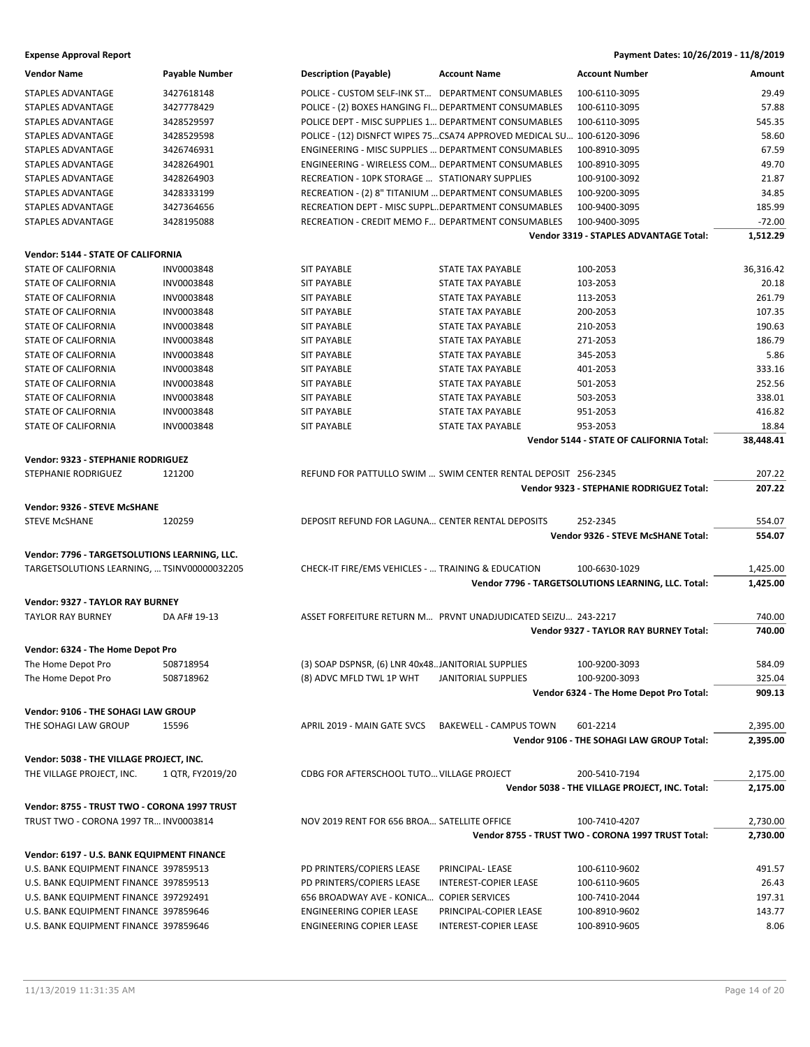| Vendor Name                                                                    | Payable Number    | <b>Description (Payable)</b>                           | <b>Account Name</b>                                                   | <b>Account Number</b>                               | Amount          |
|--------------------------------------------------------------------------------|-------------------|--------------------------------------------------------|-----------------------------------------------------------------------|-----------------------------------------------------|-----------------|
| STAPLES ADVANTAGE                                                              | 3427618148        | POLICE - CUSTOM SELF-INK ST DEPARTMENT CONSUMABLES     |                                                                       | 100-6110-3095                                       | 29.49           |
| <b>STAPLES ADVANTAGE</b>                                                       | 3427778429        | POLICE - (2) BOXES HANGING FI DEPARTMENT CONSUMABLES   |                                                                       | 100-6110-3095                                       | 57.88           |
| <b>STAPLES ADVANTAGE</b>                                                       | 3428529597        | POLICE DEPT - MISC SUPPLIES 1 DEPARTMENT CONSUMABLES   |                                                                       | 100-6110-3095                                       | 545.35          |
| STAPLES ADVANTAGE                                                              | 3428529598        |                                                        | POLICE - (12) DISNFCT WIPES 75CSA74 APPROVED MEDICAL SU 100-6120-3096 |                                                     | 58.60           |
| <b>STAPLES ADVANTAGE</b>                                                       | 3426746931        | ENGINEERING - MISC SUPPLIES  DEPARTMENT CONSUMABLES    |                                                                       | 100-8910-3095                                       | 67.59           |
| STAPLES ADVANTAGE                                                              | 3428264901        | ENGINEERING - WIRELESS COM DEPARTMENT CONSUMABLES      |                                                                       | 100-8910-3095                                       | 49.70           |
| STAPLES ADVANTAGE                                                              | 3428264903        | RECREATION - 10PK STORAGE  STATIONARY SUPPLIES         |                                                                       | 100-9100-3092                                       | 21.87           |
| STAPLES ADVANTAGE                                                              | 3428333199        | RECREATION - (2) 8" TITANIUM  DEPARTMENT CONSUMABLES   |                                                                       | 100-9200-3095                                       | 34.85           |
| STAPLES ADVANTAGE                                                              | 3427364656        | RECREATION DEPT - MISC SUPPLDEPARTMENT CONSUMABLES     |                                                                       | 100-9400-3095                                       | 185.99          |
| <b>STAPLES ADVANTAGE</b>                                                       | 3428195088        | RECREATION - CREDIT MEMO F DEPARTMENT CONSUMABLES      |                                                                       | 100-9400-3095                                       | $-72.00$        |
|                                                                                |                   |                                                        |                                                                       | <b>Vendor 3319 - STAPLES ADVANTAGE Total:</b>       | 1,512.29        |
| Vendor: 5144 - STATE OF CALIFORNIA                                             |                   |                                                        |                                                                       |                                                     |                 |
| STATE OF CALIFORNIA                                                            | INV0003848        | <b>SIT PAYABLE</b>                                     | STATE TAX PAYABLE                                                     | 100-2053                                            | 36,316.42       |
| STATE OF CALIFORNIA                                                            | INV0003848        | <b>SIT PAYABLE</b>                                     | <b>STATE TAX PAYABLE</b>                                              | 103-2053                                            | 20.18           |
| STATE OF CALIFORNIA                                                            | <b>INV0003848</b> | <b>SIT PAYABLE</b>                                     | STATE TAX PAYABLE                                                     | 113-2053                                            | 261.79          |
| STATE OF CALIFORNIA                                                            | INV0003848        | <b>SIT PAYABLE</b>                                     | <b>STATE TAX PAYABLE</b>                                              | 200-2053                                            | 107.35          |
| STATE OF CALIFORNIA                                                            | INV0003848        | <b>SIT PAYABLE</b>                                     | <b>STATE TAX PAYABLE</b>                                              | 210-2053                                            | 190.63          |
| STATE OF CALIFORNIA                                                            | INV0003848        | <b>SIT PAYABLE</b>                                     | <b>STATE TAX PAYABLE</b>                                              | 271-2053                                            | 186.79          |
| STATE OF CALIFORNIA                                                            | INV0003848        | <b>SIT PAYABLE</b>                                     | STATE TAX PAYABLE                                                     | 345-2053                                            | 5.86            |
| STATE OF CALIFORNIA                                                            | INV0003848        | <b>SIT PAYABLE</b>                                     | STATE TAX PAYABLE                                                     | 401-2053                                            | 333.16          |
| STATE OF CALIFORNIA                                                            | INV0003848        | <b>SIT PAYABLE</b>                                     | <b>STATE TAX PAYABLE</b>                                              | 501-2053                                            | 252.56          |
| STATE OF CALIFORNIA                                                            | INV0003848        | <b>SIT PAYABLE</b>                                     | <b>STATE TAX PAYABLE</b>                                              |                                                     | 338.01          |
| STATE OF CALIFORNIA                                                            | INV0003848        |                                                        | <b>STATE TAX PAYABLE</b>                                              | 503-2053                                            | 416.82          |
| STATE OF CALIFORNIA                                                            | INV0003848        | <b>SIT PAYABLE</b><br><b>SIT PAYABLE</b>               | STATE TAX PAYABLE                                                     | 951-2053<br>953-2053                                | 18.84           |
|                                                                                |                   |                                                        |                                                                       | Vendor 5144 - STATE OF CALIFORNIA Total:            | 38,448.41       |
|                                                                                |                   |                                                        |                                                                       |                                                     |                 |
| <b>Vendor: 9323 - STEPHANIE RODRIGUEZ</b>                                      |                   |                                                        |                                                                       |                                                     |                 |
| STEPHANIE RODRIGUEZ                                                            | 121200            |                                                        | REFUND FOR PATTULLO SWIM  SWIM CENTER RENTAL DEPOSIT 256-2345         |                                                     | 207.22          |
|                                                                                |                   |                                                        |                                                                       | Vendor 9323 - STEPHANIE RODRIGUEZ Total:            | 207.22          |
| Vendor: 9326 - STEVE McSHANE                                                   |                   |                                                        |                                                                       |                                                     |                 |
| <b>STEVE MCSHANE</b>                                                           | 120259            | DEPOSIT REFUND FOR LAGUNA CENTER RENTAL DEPOSITS       |                                                                       | 252-2345                                            | 554.07          |
|                                                                                |                   |                                                        |                                                                       | Vendor 9326 - STEVE McSHANE Total:                  | 554.07          |
| Vendor: 7796 - TARGETSOLUTIONS LEARNING, LLC.                                  |                   |                                                        |                                                                       |                                                     |                 |
| TARGETSOLUTIONS LEARNING,  TSINV00000032205                                    |                   | CHECK-IT FIRE/EMS VEHICLES -  TRAINING & EDUCATION     |                                                                       | 100-6630-1029                                       | 1,425.00        |
|                                                                                |                   |                                                        |                                                                       | Vendor 7796 - TARGETSOLUTIONS LEARNING, LLC. Total: | 1,425.00        |
|                                                                                |                   |                                                        |                                                                       |                                                     |                 |
| Vendor: 9327 - TAYLOR RAY BURNEY                                               |                   |                                                        |                                                                       |                                                     |                 |
| <b>TAYLOR RAY BURNEY</b>                                                       | DA AF# 19-13      |                                                        | ASSET FORFEITURE RETURN M PRVNT UNADJUDICATED SEIZU 243-2217          |                                                     | 740.00          |
|                                                                                |                   |                                                        |                                                                       | Vendor 9327 - TAYLOR RAY BURNEY Total:              | 740.00          |
| Vendor: 6324 - The Home Depot Pro                                              |                   |                                                        |                                                                       |                                                     |                 |
| The Home Depot Pro                                                             | 508718954         | (3) SOAP DSPNSR, (6) LNR 40x48JANITORIAL SUPPLIES      |                                                                       | 100-9200-3093                                       | 584.09          |
| The Home Depot Pro                                                             | 508718962         | (8) ADVC MFLD TWL 1P WHT                               | JANITORIAL SUPPLIES                                                   | 100-9200-3093                                       | 325.04          |
|                                                                                |                   |                                                        |                                                                       | Vendor 6324 - The Home Depot Pro Total:             | 909.13          |
| Vendor: 9106 - THE SOHAGI LAW GROUP                                            |                   |                                                        |                                                                       |                                                     |                 |
| THE SOHAGI LAW GROUP                                                           | 15596             | APRIL 2019 - MAIN GATE SVCS                            | BAKEWELL - CAMPUS TOWN                                                | 601-2214                                            | 2,395.00        |
|                                                                                |                   |                                                        |                                                                       | Vendor 9106 - THE SOHAGI LAW GROUP Total:           | 2,395.00        |
|                                                                                |                   |                                                        |                                                                       |                                                     |                 |
| Vendor: 5038 - THE VILLAGE PROJECT, INC.                                       |                   |                                                        |                                                                       |                                                     |                 |
| THE VILLAGE PROJECT, INC.                                                      | 1 QTR, FY2019/20  | CDBG FOR AFTERSCHOOL TUTO VILLAGE PROJECT              |                                                                       | 200-5410-7194                                       | 2,175.00        |
|                                                                                |                   |                                                        |                                                                       | Vendor 5038 - THE VILLAGE PROJECT, INC. Total:      | 2,175.00        |
| Vendor: 8755 - TRUST TWO - CORONA 1997 TRUST                                   |                   |                                                        |                                                                       |                                                     |                 |
| TRUST TWO - CORONA 1997 TR INV0003814                                          |                   | NOV 2019 RENT FOR 656 BROA SATELLITE OFFICE            |                                                                       | 100-7410-4207                                       | 2,730.00        |
|                                                                                |                   |                                                        |                                                                       | Vendor 8755 - TRUST TWO - CORONA 1997 TRUST Total:  | 2,730.00        |
| Vendor: 6197 - U.S. BANK EQUIPMENT FINANCE                                     |                   |                                                        |                                                                       |                                                     |                 |
| U.S. BANK EQUIPMENT FINANCE 397859513                                          |                   | PD PRINTERS/COPIERS LEASE                              |                                                                       |                                                     |                 |
|                                                                                |                   |                                                        | PRINCIPAL-LEASE                                                       | 100-6110-9602                                       | 491.57          |
| U.S. BANK EQUIPMENT FINANCE 397859513                                          |                   | PD PRINTERS/COPIERS LEASE<br>656 BROADWAY AVE - KONICA | INTEREST-COPIER LEASE<br><b>COPIER SERVICES</b>                       | 100-6110-9605                                       | 26.43<br>197.31 |
| U.S. BANK EQUIPMENT FINANCE 397292491                                          |                   | <b>ENGINEERING COPIER LEASE</b>                        |                                                                       | 100-7410-2044                                       | 143.77          |
| U.S. BANK EQUIPMENT FINANCE 397859646<br>U.S. BANK EQUIPMENT FINANCE 397859646 |                   | <b>ENGINEERING COPIER LEASE</b>                        | PRINCIPAL-COPIER LEASE<br>INTEREST-COPIER LEASE                       | 100-8910-9602<br>100-8910-9605                      | 8.06            |
|                                                                                |                   |                                                        |                                                                       |                                                     |                 |
|                                                                                |                   |                                                        |                                                                       |                                                     |                 |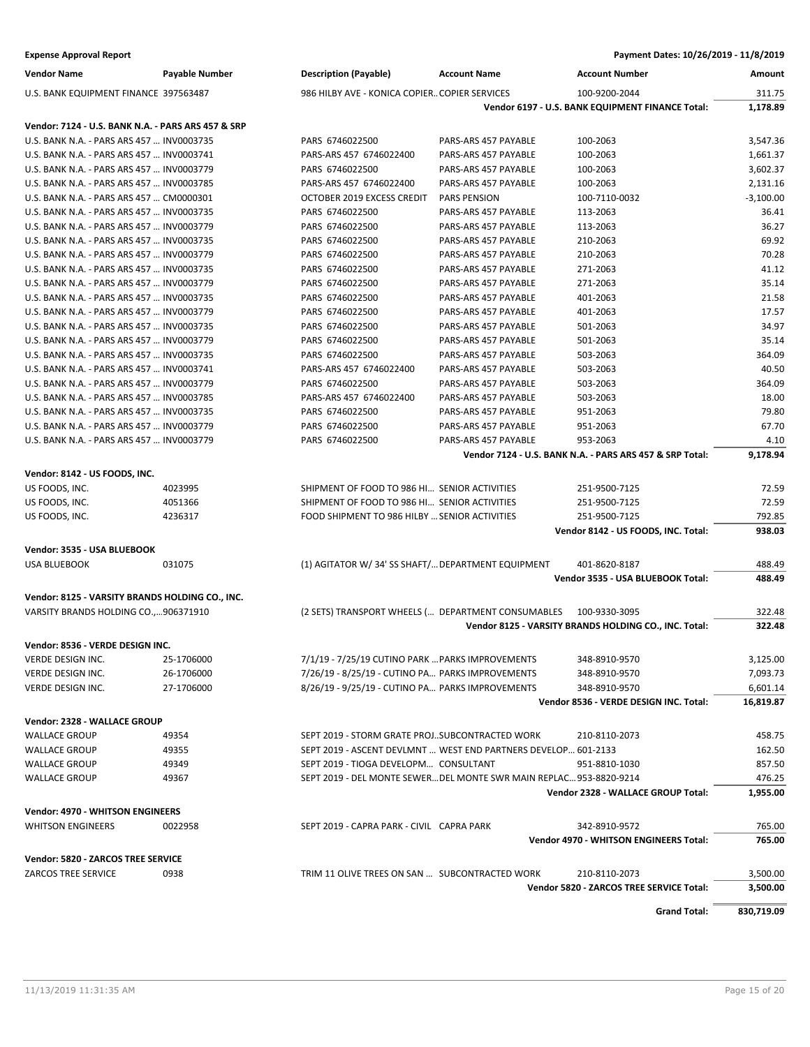| <b>Vendor Name</b>                                 | Payable Number | <b>Description (Payable)</b>                                        | <b>Account Name</b>  | <b>Account Number</b>                                    | Amount      |
|----------------------------------------------------|----------------|---------------------------------------------------------------------|----------------------|----------------------------------------------------------|-------------|
| U.S. BANK EQUIPMENT FINANCE 397563487              |                | 986 HILBY AVE - KONICA COPIER COPIER SERVICES                       |                      | 100-9200-2044                                            | 311.75      |
|                                                    |                |                                                                     |                      | Vendor 6197 - U.S. BANK EQUIPMENT FINANCE Total:         | 1,178.89    |
| Vendor: 7124 - U.S. BANK N.A. - PARS ARS 457 & SRP |                |                                                                     |                      |                                                          |             |
| U.S. BANK N.A. - PARS ARS 457  INV0003735          |                | PARS 6746022500                                                     | PARS-ARS 457 PAYABLE | 100-2063                                                 | 3,547.36    |
| U.S. BANK N.A. - PARS ARS 457  INV0003741          |                | PARS-ARS 457 6746022400                                             | PARS-ARS 457 PAYABLE | 100-2063                                                 | 1,661.37    |
| U.S. BANK N.A. - PARS ARS 457  INV0003779          |                | PARS 6746022500                                                     | PARS-ARS 457 PAYABLE | 100-2063                                                 | 3,602.37    |
| U.S. BANK N.A. - PARS ARS 457  INV0003785          |                | PARS-ARS 457 6746022400                                             | PARS-ARS 457 PAYABLE | 100-2063                                                 | 2,131.16    |
| U.S. BANK N.A. - PARS ARS 457  CM0000301           |                | OCTOBER 2019 EXCESS CREDIT                                          | <b>PARS PENSION</b>  | 100-7110-0032                                            | $-3,100.00$ |
| U.S. BANK N.A. - PARS ARS 457  INV0003735          |                | PARS 6746022500                                                     | PARS-ARS 457 PAYABLE | 113-2063                                                 | 36.41       |
| U.S. BANK N.A. - PARS ARS 457  INV0003779          |                | PARS 6746022500                                                     | PARS-ARS 457 PAYABLE | 113-2063                                                 | 36.27       |
| U.S. BANK N.A. - PARS ARS 457  INV0003735          |                | PARS 6746022500                                                     | PARS-ARS 457 PAYABLE | 210-2063                                                 | 69.92       |
| U.S. BANK N.A. - PARS ARS 457  INV0003779          |                | PARS 6746022500                                                     | PARS-ARS 457 PAYABLE | 210-2063                                                 | 70.28       |
| U.S. BANK N.A. - PARS ARS 457  INV0003735          |                | PARS 6746022500                                                     | PARS-ARS 457 PAYABLE | 271-2063                                                 | 41.12       |
| U.S. BANK N.A. - PARS ARS 457  INV0003779          |                | PARS 6746022500                                                     | PARS-ARS 457 PAYABLE | 271-2063                                                 | 35.14       |
|                                                    |                |                                                                     |                      |                                                          |             |
| U.S. BANK N.A. - PARS ARS 457  INV0003735          |                | PARS 6746022500                                                     | PARS-ARS 457 PAYABLE | 401-2063                                                 | 21.58       |
| U.S. BANK N.A. - PARS ARS 457  INV0003779          |                | PARS 6746022500                                                     | PARS-ARS 457 PAYABLE | 401-2063                                                 | 17.57       |
| U.S. BANK N.A. - PARS ARS 457  INV0003735          |                | PARS 6746022500                                                     | PARS-ARS 457 PAYABLE | 501-2063                                                 | 34.97       |
| U.S. BANK N.A. - PARS ARS 457  INV0003779          |                | PARS 6746022500                                                     | PARS-ARS 457 PAYABLE | 501-2063                                                 | 35.14       |
| U.S. BANK N.A. - PARS ARS 457  INV0003735          |                | PARS 6746022500                                                     | PARS-ARS 457 PAYABLE | 503-2063                                                 | 364.09      |
| U.S. BANK N.A. - PARS ARS 457  INV0003741          |                | PARS-ARS 457 6746022400                                             | PARS-ARS 457 PAYABLE | 503-2063                                                 | 40.50       |
| U.S. BANK N.A. - PARS ARS 457  INV0003779          |                | PARS 6746022500                                                     | PARS-ARS 457 PAYABLE | 503-2063                                                 | 364.09      |
| U.S. BANK N.A. - PARS ARS 457  INV0003785          |                | PARS-ARS 457 6746022400                                             | PARS-ARS 457 PAYABLE | 503-2063                                                 | 18.00       |
| U.S. BANK N.A. - PARS ARS 457  INV0003735          |                | PARS 6746022500                                                     | PARS-ARS 457 PAYABLE | 951-2063                                                 | 79.80       |
| U.S. BANK N.A. - PARS ARS 457  INV0003779          |                | PARS 6746022500                                                     | PARS-ARS 457 PAYABLE | 951-2063                                                 | 67.70       |
| U.S. BANK N.A. - PARS ARS 457  INV0003779          |                | PARS 6746022500                                                     | PARS-ARS 457 PAYABLE | 953-2063                                                 | 4.10        |
|                                                    |                |                                                                     |                      | Vendor 7124 - U.S. BANK N.A. - PARS ARS 457 & SRP Total: | 9,178.94    |
| Vendor: 8142 - US FOODS, INC.                      |                |                                                                     |                      |                                                          |             |
| US FOODS, INC.                                     | 4023995        | SHIPMENT OF FOOD TO 986 HI SENIOR ACTIVITIES                        |                      | 251-9500-7125                                            | 72.59       |
| US FOODS, INC.                                     | 4051366        | SHIPMENT OF FOOD TO 986 HI SENIOR ACTIVITIES                        |                      | 251-9500-7125                                            | 72.59       |
| US FOODS, INC.                                     | 4236317        | FOOD SHIPMENT TO 986 HILBY  SENIOR ACTIVITIES                       |                      | 251-9500-7125                                            | 792.85      |
|                                                    |                |                                                                     |                      | Vendor 8142 - US FOODS, INC. Total:                      | 938.03      |
| Vendor: 3535 - USA BLUEBOOK                        |                |                                                                     |                      |                                                          |             |
| <b>USA BLUEBOOK</b>                                | 031075         | (1) AGITATOR W/34'SS SHAFT/ DEPARTMENT EQUIPMENT                    |                      | 401-8620-8187                                            | 488.49      |
|                                                    |                |                                                                     |                      | Vendor 3535 - USA BLUEBOOK Total:                        | 488.49      |
| Vendor: 8125 - VARSITY BRANDS HOLDING CO., INC.    |                |                                                                     |                      |                                                          |             |
| VARSITY BRANDS HOLDING CO.,906371910               |                | (2 SETS) TRANSPORT WHEELS ( DEPARTMENT CONSUMABLES 100-9330-3095    |                      |                                                          | 322.48      |
|                                                    |                |                                                                     |                      | Vendor 8125 - VARSITY BRANDS HOLDING CO., INC. Total:    | 322.48      |
| Vendor: 8536 - VERDE DESIGN INC.                   |                |                                                                     |                      |                                                          |             |
| VERDE DESIGN INC.                                  | 25-1706000     | 7/1/19 - 7/25/19 CUTINO PARK  PARKS IMPROVEMENTS                    |                      | 348-8910-9570                                            | 3,125.00    |
| <b>VERDE DESIGN INC.</b>                           | 26-1706000     | 7/26/19 - 8/25/19 - CUTINO PA PARKS IMPROVEMENTS                    |                      | 348-8910-9570                                            | 7,093.73    |
| VERDE DESIGN INC.                                  | 27-1706000     | 8/26/19 - 9/25/19 - CUTINO PA PARKS IMPROVEMENTS                    |                      | 348-8910-9570                                            | 6,601.14    |
|                                                    |                |                                                                     |                      | Vendor 8536 - VERDE DESIGN INC. Total:                   | 16,819.87   |
| Vendor: 2328 - WALLACE GROUP                       |                |                                                                     |                      |                                                          |             |
| <b>WALLACE GROUP</b>                               | 49354          | SEPT 2019 - STORM GRATE PROJSUBCONTRACTED WORK                      |                      | 210-8110-2073                                            | 458.75      |
| <b>WALLACE GROUP</b>                               | 49355          | SEPT 2019 - ASCENT DEVLMNT  WEST END PARTNERS DEVELOP 601-2133      |                      |                                                          | 162.50      |
| <b>WALLACE GROUP</b>                               | 49349          | SEPT 2019 - TIOGA DEVELOPM CONSULTANT                               |                      | 951-8810-1030                                            | 857.50      |
| <b>WALLACE GROUP</b>                               | 49367          | SEPT 2019 - DEL MONTE SEWER DEL MONTE SWR MAIN REPLAC 953-8820-9214 |                      |                                                          | 476.25      |
|                                                    |                |                                                                     |                      | Vendor 2328 - WALLACE GROUP Total:                       | 1,955.00    |
|                                                    |                |                                                                     |                      |                                                          |             |
| Vendor: 4970 - WHITSON ENGINEERS                   |                |                                                                     |                      |                                                          |             |
| <b>WHITSON ENGINEERS</b>                           | 0022958        | SEPT 2019 - CAPRA PARK - CIVIL CAPRA PARK                           |                      | 342-8910-9572                                            | 765.00      |
|                                                    |                |                                                                     |                      | Vendor 4970 - WHITSON ENGINEERS Total:                   | 765.00      |
| Vendor: 5820 - ZARCOS TREE SERVICE                 |                |                                                                     |                      |                                                          |             |
| ZARCOS TREE SERVICE                                | 0938           | TRIM 11 OLIVE TREES ON SAN  SUBCONTRACTED WORK                      |                      | 210-8110-2073                                            | 3,500.00    |
|                                                    |                |                                                                     |                      | Vendor 5820 - ZARCOS TREE SERVICE Total:                 | 3,500.00    |
|                                                    |                |                                                                     |                      | <b>Grand Total:</b>                                      | 830,719.09  |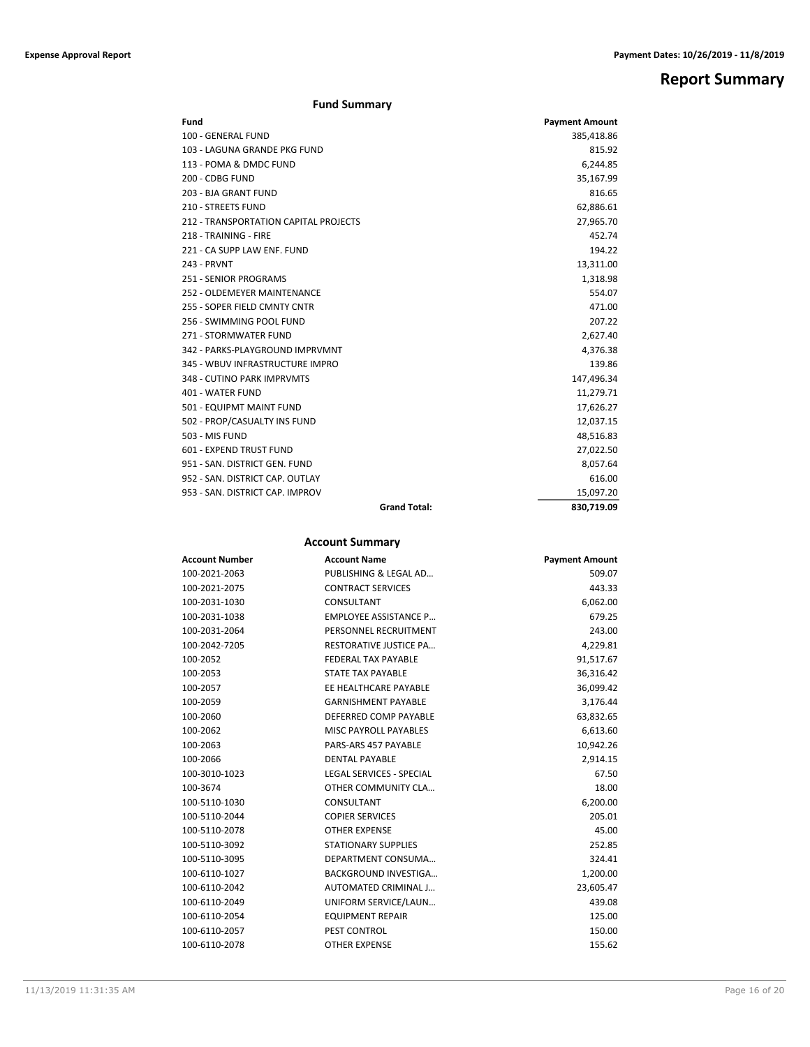**Report Summary**

## **Fund Summary**

| Fund                                  |                     | <b>Payment Amount</b> |
|---------------------------------------|---------------------|-----------------------|
| 100 - GENERAL FUND                    |                     | 385,418.86            |
| 103 - LAGUNA GRANDE PKG FUND          |                     | 815.92                |
| 113 - POMA & DMDC FUND                |                     | 6,244.85              |
| 200 - CDBG FUND                       |                     | 35,167.99             |
| 203 - BJA GRANT FUND                  |                     | 816.65                |
| <b>210 - STREETS FUND</b>             |                     | 62,886.61             |
| 212 - TRANSPORTATION CAPITAL PROJECTS |                     | 27,965.70             |
| 218 - TRAINING - FIRE                 |                     | 452.74                |
| 221 - CA SUPP LAW ENF. FUND           |                     | 194.22                |
| 243 - PRVNT                           |                     | 13,311.00             |
| 251 - SENIOR PROGRAMS                 |                     | 1,318.98              |
| 252 - OLDEMEYER MAINTENANCE           |                     | 554.07                |
| 255 - SOPER FIELD CMNTY CNTR          |                     | 471.00                |
| 256 - SWIMMING POOL FUND              |                     | 207.22                |
| 271 - STORMWATER FUND                 |                     | 2,627.40              |
| 342 - PARKS-PLAYGROUND IMPRVMNT       |                     | 4,376.38              |
| 345 - WBUV INFRASTRUCTURE IMPRO       |                     | 139.86                |
| 348 - CUTINO PARK IMPRVMTS            |                     | 147,496.34            |
| 401 - WATER FUND                      |                     | 11,279.71             |
| 501 - EQUIPMT MAINT FUND              |                     | 17,626.27             |
| 502 - PROP/CASUALTY INS FUND          |                     | 12,037.15             |
| 503 - MIS FUND                        |                     | 48,516.83             |
| 601 - EXPEND TRUST FUND               |                     | 27,022.50             |
| 951 - SAN, DISTRICT GEN, FUND         |                     | 8,057.64              |
| 952 - SAN, DISTRICT CAP, OUTLAY       |                     | 616.00                |
| 953 - SAN, DISTRICT CAP, IMPROV       |                     | 15,097.20             |
|                                       | <b>Grand Total:</b> | 830,719.09            |

### **Account Summary**

| <b>Account Number</b> | <b>Account Name</b>             | <b>Payment Amount</b> |
|-----------------------|---------------------------------|-----------------------|
| 100-2021-2063         | PUBLISHING & LEGAL AD           | 509.07                |
| 100-2021-2075         | <b>CONTRACT SERVICES</b>        | 443.33                |
| 100-2031-1030         | CONSULTANT                      | 6,062.00              |
| 100-2031-1038         | <b>EMPLOYEE ASSISTANCE P</b>    | 679.25                |
| 100-2031-2064         | PERSONNEL RECRUITMENT           | 243.00                |
| 100-2042-7205         | <b>RESTORATIVE JUSTICE PA</b>   | 4,229.81              |
| 100-2052              | <b>FEDERAL TAX PAYABLE</b>      | 91,517.67             |
| 100-2053              | <b>STATE TAX PAYABLE</b>        | 36,316.42             |
| 100-2057              | EE HEALTHCARE PAYABLE           | 36,099.42             |
| 100-2059              | <b>GARNISHMENT PAYABLE</b>      | 3,176.44              |
| 100-2060              | DEFERRED COMP PAYABLE           | 63,832.65             |
| 100-2062              | <b>MISC PAYROLL PAYABLES</b>    | 6,613.60              |
| 100-2063              | PARS-ARS 457 PAYABLE            | 10,942.26             |
| 100-2066              | <b>DENTAL PAYABLE</b>           | 2,914.15              |
| 100-3010-1023         | <b>LEGAL SERVICES - SPECIAL</b> | 67.50                 |
| 100-3674              | OTHER COMMUNITY CLA             | 18.00                 |
| 100-5110-1030         | CONSULTANT                      | 6,200.00              |
| 100-5110-2044         | <b>COPIER SERVICES</b>          | 205.01                |
| 100-5110-2078         | <b>OTHER EXPENSE</b>            | 45.00                 |
| 100-5110-3092         | <b>STATIONARY SUPPLIES</b>      | 252.85                |
| 100-5110-3095         | DEPARTMENT CONSUMA              | 324.41                |
| 100-6110-1027         | <b>BACKGROUND INVESTIGA</b>     | 1,200.00              |
| 100-6110-2042         | AUTOMATED CRIMINAL J            | 23,605.47             |
| 100-6110-2049         | UNIFORM SERVICE/LAUN            | 439.08                |
| 100-6110-2054         | <b>EQUIPMENT REPAIR</b>         | 125.00                |
| 100-6110-2057         | PEST CONTROL                    | 150.00                |
| 100-6110-2078         | <b>OTHER EXPENSE</b>            | 155.62                |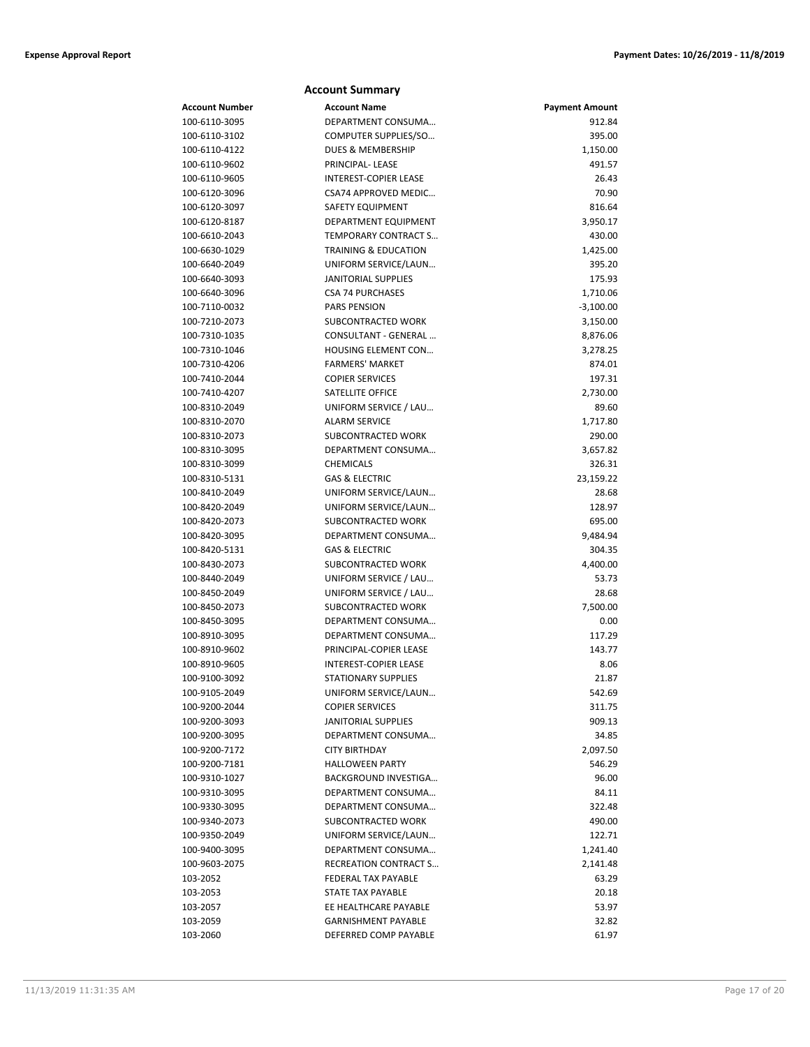|                | <b>Account Summary</b>          |                       |
|----------------|---------------------------------|-----------------------|
| Account Number | <b>Account Name</b>             | <b>Payment Amount</b> |
| 100-6110-3095  | DEPARTMENT CONSUMA              | 912.84                |
| 100-6110-3102  | COMPUTER SUPPLIES/SO            | 395.00                |
| 100-6110-4122  | <b>DUES &amp; MEMBERSHIP</b>    | 1,150.00              |
| 100-6110-9602  | PRINCIPAL-LEASE                 | 491.57                |
| 100-6110-9605  | <b>INTEREST-COPIER LEASE</b>    | 26.43                 |
| 100-6120-3096  | CSA74 APPROVED MEDIC            | 70.90                 |
| 100-6120-3097  | <b>SAFETY EQUIPMENT</b>         | 816.64                |
| 100-6120-8187  | DEPARTMENT EQUIPMENT            | 3,950.17              |
| 100-6610-2043  | <b>TEMPORARY CONTRACT S</b>     | 430.00                |
| 100-6630-1029  | <b>TRAINING &amp; EDUCATION</b> | 1,425.00              |
| 100-6640-2049  | UNIFORM SERVICE/LAUN            | 395.20                |
| 100-6640-3093  | <b>JANITORIAL SUPPLIES</b>      | 175.93                |
| 100-6640-3096  | <b>CSA 74 PURCHASES</b>         | 1,710.06              |
| 100-7110-0032  | PARS PENSION                    | $-3,100.00$           |
| 100-7210-2073  | SUBCONTRACTED WORK              | 3,150.00              |
| 100-7310-1035  | CONSULTANT - GENERAL            | 8,876.06              |
| 100-7310-1046  | <b>HOUSING ELEMENT CON</b>      | 3,278.25              |
| 100-7310-4206  | <b>FARMERS' MARKET</b>          | 874.01                |
| 100-7410-2044  | <b>COPIER SERVICES</b>          | 197.31                |
| 100-7410-4207  | SATELLITE OFFICE                | 2,730.00              |
| 100-8310-2049  | UNIFORM SERVICE / LAU           | 89.60                 |
| 100-8310-2070  | <b>ALARM SERVICE</b>            | 1,717.80              |
| 100-8310-2073  | SUBCONTRACTED WORK              | 290.00                |
| 100-8310-3095  | DEPARTMENT CONSUMA              | 3,657.82              |
| 100-8310-3099  | <b>CHEMICALS</b>                | 326.31                |
| 100-8310-5131  | <b>GAS &amp; ELECTRIC</b>       | 23,159.22             |
| 100-8410-2049  | UNIFORM SERVICE/LAUN            | 28.68                 |
| 100-8420-2049  | UNIFORM SERVICE/LAUN            | 128.97                |
| 100-8420-2073  | SUBCONTRACTED WORK              | 695.00                |
| 100-8420-3095  | DEPARTMENT CONSUMA              | 9,484.94              |
| 100-8420-5131  | <b>GAS &amp; ELECTRIC</b>       | 304.35                |
| 100-8430-2073  | SUBCONTRACTED WORK              | 4,400.00              |
| 100-8440-2049  | UNIFORM SERVICE / LAU           | 53.73                 |
| 100-8450-2049  | UNIFORM SERVICE / LAU           | 28.68                 |
| 100-8450-2073  | SUBCONTRACTED WORK              | 7,500.00              |
| 100-8450-3095  | DEPARTMENT CONSUMA              | 0.00                  |
| 100-8910-3095  | DEPARTMENT CONSUMA              | 117.29                |
| 100-8910-9602  | PRINCIPAL-COPIER LEASE          | 143.77                |
| 100-8910-9605  | INTEREST-COPIER LEASE           | 8.06                  |
| 100-9100-3092  | STATIONARY SUPPLIES             | 21.87                 |
| 100-9105-2049  | UNIFORM SERVICE/LAUN            | 542.69                |
| 100-9200-2044  | <b>COPIER SERVICES</b>          | 311.75                |
| 100-9200-3093  | <b>JANITORIAL SUPPLIES</b>      | 909.13                |
| 100-9200-3095  | DEPARTMENT CONSUMA              | 34.85                 |
| 100-9200-7172  | <b>CITY BIRTHDAY</b>            | 2,097.50              |
| 100-9200-7181  | <b>HALLOWEEN PARTY</b>          | 546.29                |
| 100-9310-1027  | BACKGROUND INVESTIGA            | 96.00                 |
| 100-9310-3095  | DEPARTMENT CONSUMA              | 84.11                 |
| 100-9330-3095  | DEPARTMENT CONSUMA              | 322.48                |
| 100-9340-2073  | SUBCONTRACTED WORK              | 490.00                |
| 100-9350-2049  | UNIFORM SERVICE/LAUN            | 122.71                |
| 100-9400-3095  | DEPARTMENT CONSUMA              | 1,241.40              |
| 100-9603-2075  | RECREATION CONTRACT S           | 2,141.48              |
| 103-2052       | FEDERAL TAX PAYABLE             | 63.29                 |
| 103-2053       | STATE TAX PAYABLE               | 20.18                 |
| 103-2057       | EE HEALTHCARE PAYABLE           | 53.97                 |
| 103-2059       | <b>GARNISHMENT PAYABLE</b>      | 32.82                 |
| 103-2060       | DEFERRED COMP PAYABLE           | 61.97                 |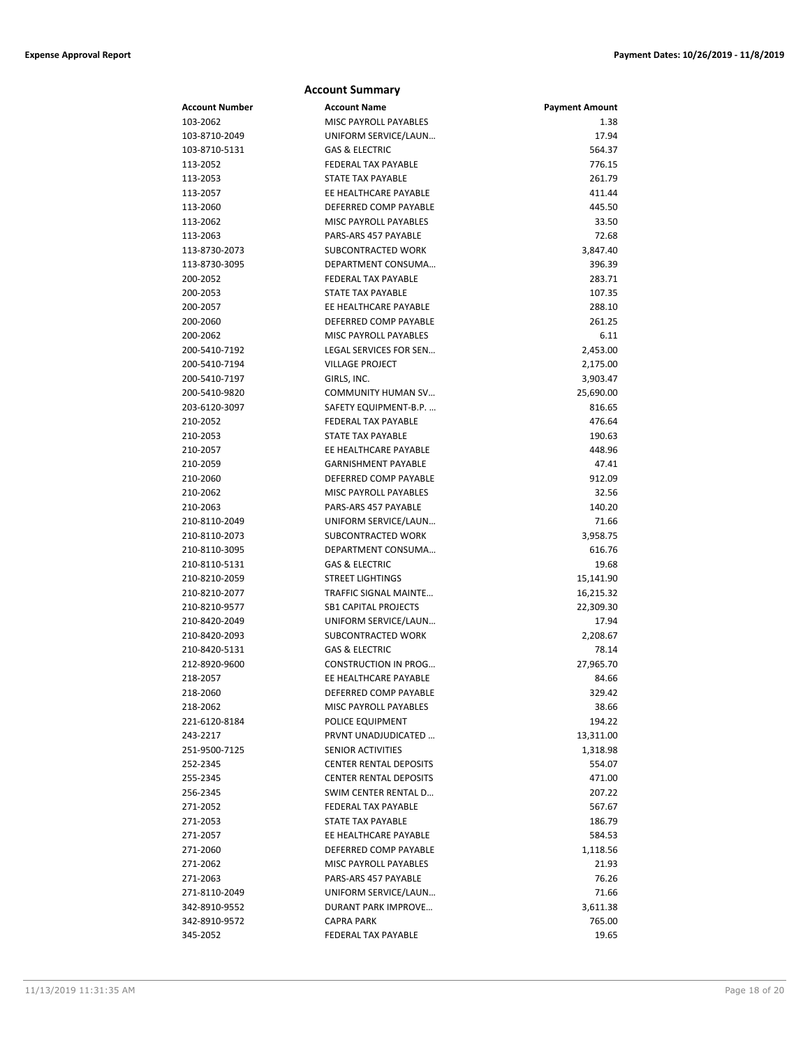|                           | <b>Account Summary</b>                          |                       |
|---------------------------|-------------------------------------------------|-----------------------|
| Account Number            | <b>Account Name</b>                             | <b>Payment Amount</b> |
| 103-2062                  | <b>MISC PAYROLL PAYABLES</b>                    | 1.38                  |
| 103-8710-2049             | UNIFORM SERVICE/LAUN                            | 17.94                 |
| 103-8710-5131             | <b>GAS &amp; ELECTRIC</b>                       | 564.37                |
| 113-2052                  | FEDERAL TAX PAYABLE                             | 776.15                |
| 113-2053                  | STATE TAX PAYABLE                               | 261.79                |
| 113-2057                  | EE HEALTHCARE PAYABLE                           | 411.44                |
| 113-2060                  | DEFERRED COMP PAYABLE                           | 445.50                |
| 113-2062                  | <b>MISC PAYROLL PAYABLES</b>                    | 33.50                 |
| 113-2063                  | PARS-ARS 457 PAYABLE                            | 72.68                 |
| 113-8730-2073             | SUBCONTRACTED WORK                              | 3,847.40              |
| 113-8730-3095             | DEPARTMENT CONSUMA                              | 396.39                |
| 200-2052                  | <b>FEDERAL TAX PAYABLE</b>                      | 283.71                |
| 200-2053                  | <b>STATE TAX PAYABLE</b>                        | 107.35                |
| 200-2057                  | EE HEALTHCARE PAYABLE                           | 288.10                |
| 200-2060                  | DEFERRED COMP PAYABLE                           | 261.25                |
| 200-2062                  | MISC PAYROLL PAYABLES                           | 6.11                  |
| 200-5410-7192             | LEGAL SERVICES FOR SEN                          | 2,453.00              |
| 200-5410-7194             | <b>VILLAGE PROJECT</b>                          | 2,175.00              |
| 200-5410-7197             | GIRLS, INC.                                     | 3,903.47              |
| 200-5410-9820             | <b>COMMUNITY HUMAN SV</b>                       | 25,690.00             |
| 203-6120-3097             | SAFETY EQUIPMENT-B.P.                           | 816.65                |
| 210-2052                  | FEDERAL TAX PAYABLE                             | 476.64                |
| 210-2053                  | STATE TAX PAYABLE                               | 190.63                |
| 210-2057                  | EE HEALTHCARE PAYABLE                           | 448.96                |
| 210-2059                  | <b>GARNISHMENT PAYABLE</b>                      | 47.41                 |
| 210-2060                  | DEFERRED COMP PAYABLE                           | 912.09                |
| 210-2062                  | MISC PAYROLL PAYABLES                           | 32.56                 |
| 210-2063                  | PARS-ARS 457 PAYABLE                            | 140.20                |
| 210-8110-2049             | UNIFORM SERVICE/LAUN                            | 71.66                 |
| 210-8110-2073             | SUBCONTRACTED WORK                              | 3,958.75              |
| 210-8110-3095             | DEPARTMENT CONSUMA                              | 616.76                |
| 210-8110-5131             | <b>GAS &amp; ELECTRIC</b>                       | 19.68                 |
| 210-8210-2059             | <b>STREET LIGHTINGS</b>                         | 15,141.90             |
| 210-8210-2077             | TRAFFIC SIGNAL MAINTE                           | 16,215.32             |
| 210-8210-9577             | <b>SB1 CAPITAL PROJECTS</b>                     | 22,309.30             |
| 210-8420-2049             | UNIFORM SERVICE/LAUN                            | 17.94                 |
| 210-8420-2093             | SUBCONTRACTED WORK                              | 2,208.67              |
| 210-8420-5131             | <b>GAS &amp; ELECTRIC</b>                       | 78.14                 |
| 212-8920-9600             | <b>CONSTRUCTION IN PROG</b>                     | 27,965.70             |
| 218-2057                  | EE HEALTHCARE PAYABLE                           | 84.66                 |
| 218-2060                  | DEFERRED COMP PAYABLE                           | 329.42                |
| 218-2062                  | <b>MISC PAYROLL PAYABLES</b>                    | 38.66                 |
| 221-6120-8184             | POLICE EQUIPMENT                                | 194.22                |
| 243-2217                  | PRVNT UNADJUDICATED<br><b>SENIOR ACTIVITIES</b> | 13,311.00             |
| 251-9500-7125<br>252-2345 | <b>CENTER RENTAL DEPOSITS</b>                   | 1,318.98              |
| 255-2345                  | <b>CENTER RENTAL DEPOSITS</b>                   | 554.07                |
|                           | SWIM CENTER RENTAL D                            | 471.00<br>207.22      |
| 256-2345<br>271-2052      | FEDERAL TAX PAYABLE                             | 567.67                |
| 271-2053                  | STATE TAX PAYABLE                               | 186.79                |
| 271-2057                  | EE HEALTHCARE PAYABLE                           | 584.53                |
| 271-2060                  | DEFERRED COMP PAYABLE                           | 1,118.56              |
| 271-2062                  | MISC PAYROLL PAYABLES                           | 21.93                 |
| 271-2063                  | PARS-ARS 457 PAYABLE                            | 76.26                 |
| 271-8110-2049             | UNIFORM SERVICE/LAUN                            | 71.66                 |
| 342-8910-9552             | DURANT PARK IMPROVE                             | 3,611.38              |
| 342-8910-9572             | <b>CAPRA PARK</b>                               | 765.00                |
| 345-2052                  | FEDERAL TAX PAYABLE                             | 19.65                 |
|                           |                                                 |                       |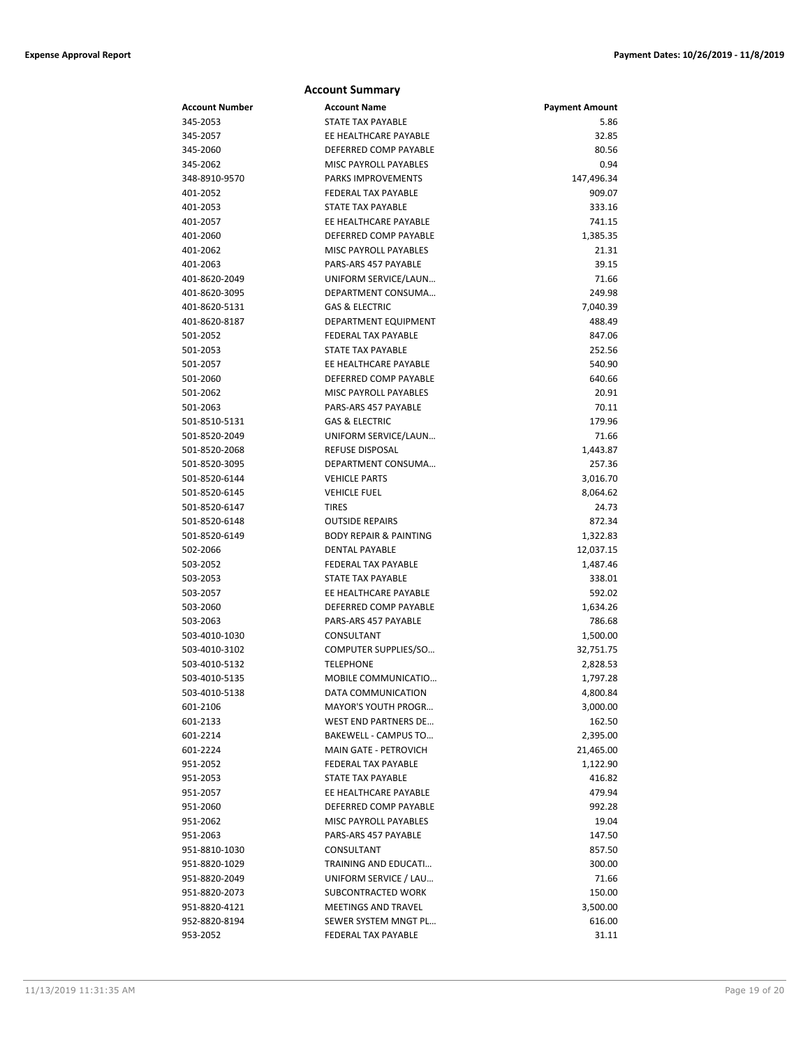|                | <b>Account Summary</b>            |                       |
|----------------|-----------------------------------|-----------------------|
| Account Number | <b>Account Name</b>               | <b>Payment Amount</b> |
| 345-2053       | <b>STATE TAX PAYABLE</b>          | 5.86                  |
| 345-2057       | EE HEALTHCARE PAYABLE             | 32.85                 |
| 345-2060       | DEFERRED COMP PAYABLE             | 80.56                 |
| 345-2062       | MISC PAYROLL PAYABLES             | 0.94                  |
| 348-8910-9570  | PARKS IMPROVEMENTS                | 147,496.34            |
| 401-2052       | <b>FEDERAL TAX PAYABLE</b>        | 909.07                |
| 401-2053       | STATE TAX PAYABLE                 | 333.16                |
| 401-2057       | EE HEALTHCARE PAYABLE             | 741.15                |
| 401-2060       | DEFERRED COMP PAYABLE             | 1,385.35              |
| 401-2062       | <b>MISC PAYROLL PAYABLES</b>      | 21.31                 |
| 401-2063       | PARS-ARS 457 PAYABLE              | 39.15                 |
| 401-8620-2049  | UNIFORM SERVICE/LAUN              | 71.66                 |
| 401-8620-3095  | DEPARTMENT CONSUMA                | 249.98                |
| 401-8620-5131  | <b>GAS &amp; ELECTRIC</b>         | 7,040.39              |
| 401-8620-8187  | DEPARTMENT EQUIPMENT              | 488.49                |
| 501-2052       | <b>FEDERAL TAX PAYABLE</b>        | 847.06                |
| 501-2053       | <b>STATE TAX PAYABLE</b>          | 252.56                |
| 501-2057       | EE HEALTHCARE PAYABLE             | 540.90                |
| 501-2060       | DEFERRED COMP PAYABLE             | 640.66                |
| 501-2062       | MISC PAYROLL PAYABLES             | 20.91                 |
| 501-2063       | PARS-ARS 457 PAYABLE              | 70.11                 |
| 501-8510-5131  | <b>GAS &amp; ELECTRIC</b>         | 179.96                |
| 501-8520-2049  | UNIFORM SERVICE/LAUN              | 71.66                 |
| 501-8520-2068  | <b>REFUSE DISPOSAL</b>            | 1,443.87              |
| 501-8520-3095  | DEPARTMENT CONSUMA                | 257.36                |
| 501-8520-6144  | <b>VEHICLE PARTS</b>              | 3,016.70              |
| 501-8520-6145  | <b>VEHICLE FUEL</b>               | 8,064.62              |
| 501-8520-6147  | <b>TIRES</b>                      | 24.73                 |
| 501-8520-6148  | <b>OUTSIDE REPAIRS</b>            | 872.34                |
| 501-8520-6149  | <b>BODY REPAIR &amp; PAINTING</b> | 1,322.83              |
| 502-2066       | <b>DENTAL PAYABLE</b>             | 12,037.15             |
| 503-2052       | <b>FEDERAL TAX PAYABLE</b>        | 1,487.46              |
| 503-2053       | <b>STATE TAX PAYABLE</b>          | 338.01                |
| 503-2057       | EE HEALTHCARE PAYABLE             | 592.02                |
| 503-2060       | DEFERRED COMP PAYABLE             | 1,634.26              |
| 503-2063       | PARS-ARS 457 PAYABLE              | 786.68                |
| 503-4010-1030  | CONSULTANT                        | 1,500.00              |
| 503-4010-3102  | COMPUTER SUPPLIES/SO              | 32,751.75             |
| 503-4010-5132  | <b>TELEPHONE</b>                  | 2,828.53              |
| 503-4010-5135  | MOBILE COMMUNICATIO               | 1,797.28              |
| 503-4010-5138  | DATA COMMUNICATION                | 4,800.84              |
| 601-2106       | <b>MAYOR'S YOUTH PROGR</b>        | 3,000.00              |
| 601-2133       | <b>WEST END PARTNERS DE</b>       | 162.50                |
| 601-2214       | BAKEWELL - CAMPUS TO              | 2,395.00              |
| 601-2224       | MAIN GATE - PETROVICH             | 21,465.00             |
| 951-2052       | <b>FEDERAL TAX PAYABLE</b>        | 1,122.90              |
| 951-2053       | STATE TAX PAYABLE                 | 416.82                |
| 951-2057       | EE HEALTHCARE PAYABLE             | 479.94                |
| 951-2060       | DEFERRED COMP PAYABLE             | 992.28                |
| 951-2062       | MISC PAYROLL PAYABLES             | 19.04                 |
| 951-2063       | PARS-ARS 457 PAYABLE              | 147.50                |
| 951-8810-1030  | CONSULTANT                        | 857.50                |
| 951-8820-1029  | TRAINING AND EDUCATI              | 300.00                |
| 951-8820-2049  | UNIFORM SERVICE / LAU             | 71.66                 |
| 951-8820-2073  | SUBCONTRACTED WORK                | 150.00                |
| 951-8820-4121  | <b>MEETINGS AND TRAVEL</b>        | 3,500.00              |
| 952-8820-8194  | SEWER SYSTEM MNGT PL              | 616.00                |
| 953-2052       | FEDERAL TAX PAYABLE               | 31.11                 |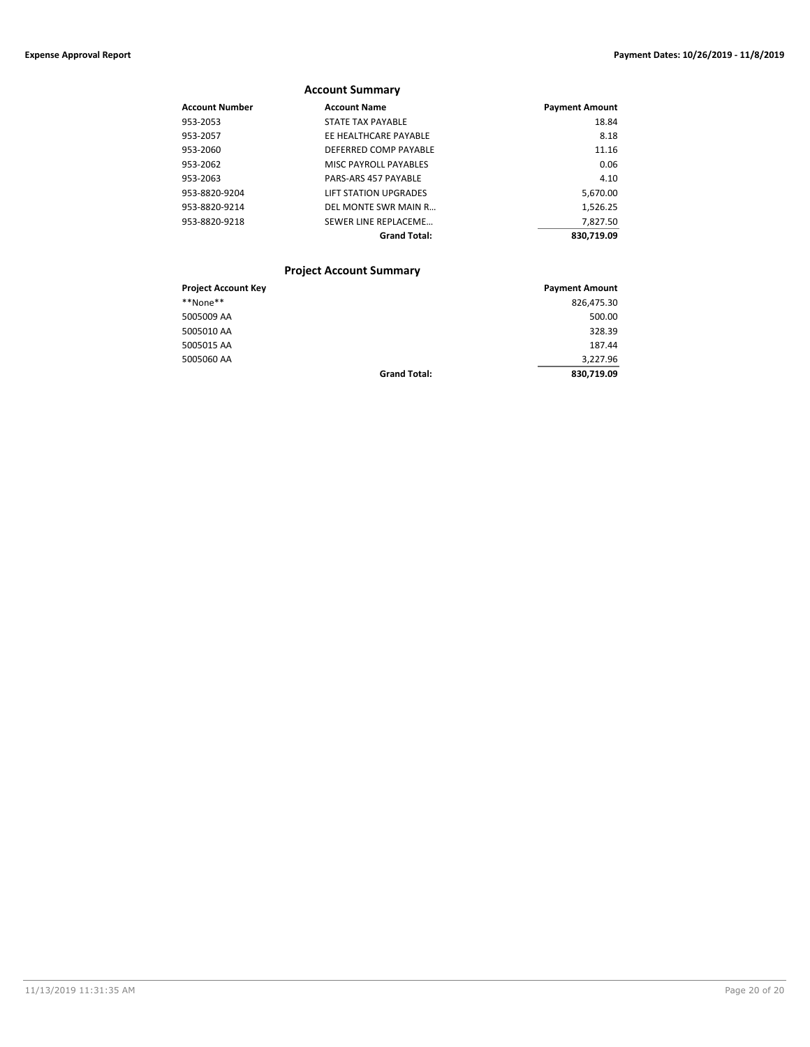### **Account Summary**

| Account Number | <b>Account Name</b>          | <b>Payment Amount</b> |
|----------------|------------------------------|-----------------------|
| 953-2053       | STATE TAX PAYABLE            | 18.84                 |
| 953-2057       | EE HEALTHCARE PAYABLE        | 8.18                  |
| 953-2060       | DEFERRED COMP PAYABLE        | 11.16                 |
| 953-2062       | MISC PAYROLL PAYABLES        | 0.06                  |
| 953-2063       | PARS-ARS 457 PAYABLE         | 4.10                  |
| 953-8820-9204  | <b>LIFT STATION UPGRADES</b> | 5,670.00              |
| 953-8820-9214  | DEL MONTE SWR MAIN R         | 1.526.25              |
| 953-8820-9218  | SEWER LINE REPLACEME         | 7,827.50              |
|                | <b>Grand Total:</b>          | 830.719.09            |

### **Project Account Summary**

| <b>Project Account Key</b> |                     | <b>Payment Amount</b> |
|----------------------------|---------------------|-----------------------|
| **None**                   |                     | 826,475.30            |
| 5005009 AA                 |                     | 500.00                |
| 5005010 AA                 |                     | 328.39                |
| 5005015 AA                 |                     | 187.44                |
| 5005060 AA                 |                     | 3.227.96              |
|                            | <b>Grand Total:</b> | 830.719.09            |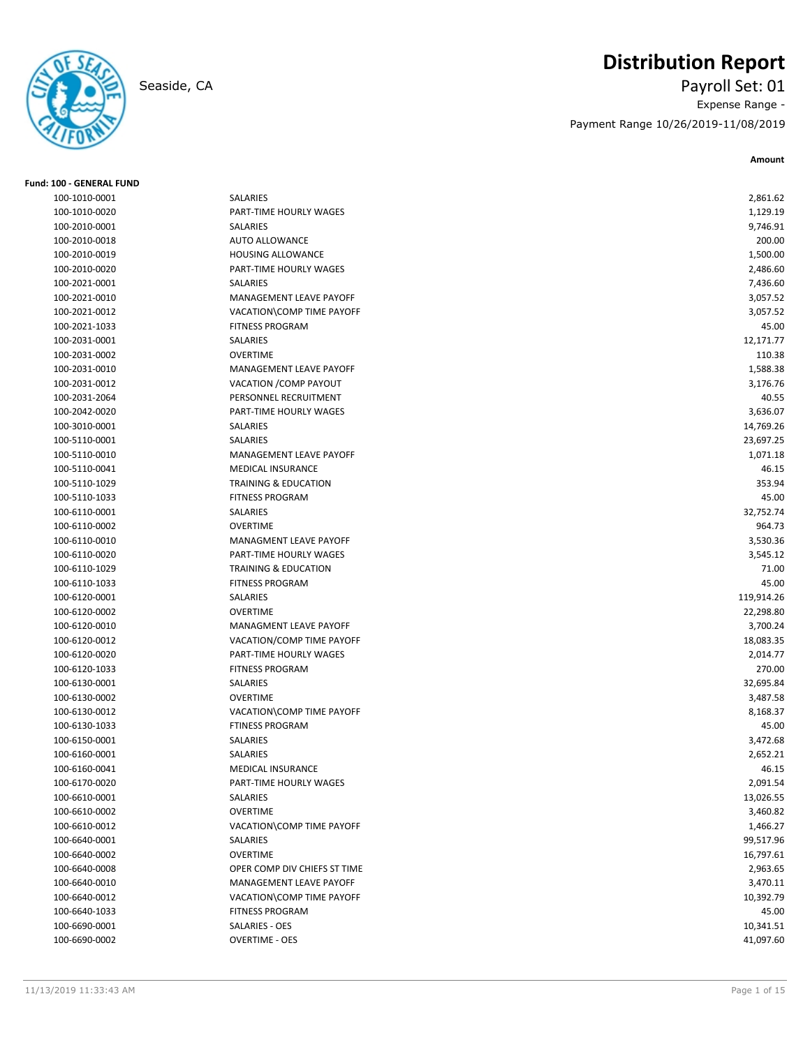

## **Distribution Report**

Seaside, CA Payroll Set: 01 Expense Range - Payment Range 10/26/2019-11/08/2019

| <b>Fund: 100 - GENERAL FUND</b> |                                 |            |
|---------------------------------|---------------------------------|------------|
| 100-1010-0001                   | SALARIES                        | 2,861.62   |
| 100-1010-0020                   | PART-TIME HOURLY WAGES          | 1,129.19   |
| 100-2010-0001                   | SALARIES                        | 9,746.91   |
| 100-2010-0018                   | <b>AUTO ALLOWANCE</b>           | 200.00     |
| 100-2010-0019                   | HOUSING ALLOWANCE               | 1,500.00   |
| 100-2010-0020                   | PART-TIME HOURLY WAGES          | 2,486.60   |
| 100-2021-0001                   | <b>SALARIES</b>                 | 7,436.60   |
| 100-2021-0010                   | MANAGEMENT LEAVE PAYOFF         | 3,057.52   |
| 100-2021-0012                   | VACATION\COMP TIME PAYOFF       | 3,057.52   |
| 100-2021-1033                   | <b>FITNESS PROGRAM</b>          | 45.00      |
| 100-2031-0001                   | SALARIES                        | 12,171.77  |
| 100-2031-0002                   | <b>OVERTIME</b>                 | 110.38     |
| 100-2031-0010                   | MANAGEMENT LEAVE PAYOFF         | 1,588.38   |
| 100-2031-0012                   | VACATION / COMP PAYOUT          | 3,176.76   |
| 100-2031-2064                   | PERSONNEL RECRUITMENT           | 40.55      |
| 100-2042-0020                   | PART-TIME HOURLY WAGES          | 3,636.07   |
| 100-3010-0001                   | SALARIES                        | 14,769.26  |
| 100-5110-0001                   | SALARIES                        | 23,697.25  |
| 100-5110-0010                   | MANAGEMENT LEAVE PAYOFF         | 1,071.18   |
| 100-5110-0041                   | <b>MEDICAL INSURANCE</b>        | 46.15      |
| 100-5110-1029                   | <b>TRAINING &amp; EDUCATION</b> | 353.94     |
| 100-5110-1033                   | <b>FITNESS PROGRAM</b>          | 45.00      |
| 100-6110-0001                   | SALARIES                        | 32,752.74  |
| 100-6110-0002                   | <b>OVERTIME</b>                 | 964.73     |
| 100-6110-0010                   | MANAGMENT LEAVE PAYOFF          | 3,530.36   |
| 100-6110-0020                   | PART-TIME HOURLY WAGES          | 3,545.12   |
| 100-6110-1029                   | <b>TRAINING &amp; EDUCATION</b> | 71.00      |
| 100-6110-1033                   | <b>FITNESS PROGRAM</b>          | 45.00      |
| 100-6120-0001                   | SALARIES                        | 119,914.26 |
| 100-6120-0002                   | <b>OVERTIME</b>                 | 22,298.80  |
| 100-6120-0010                   | MANAGMENT LEAVE PAYOFF          | 3,700.24   |
| 100-6120-0012                   | VACATION/COMP TIME PAYOFF       | 18,083.35  |
| 100-6120-0020                   | PART-TIME HOURLY WAGES          | 2,014.77   |
| 100-6120-1033                   | <b>FITNESS PROGRAM</b>          | 270.00     |
| 100-6130-0001                   | SALARIES                        | 32,695.84  |
| 100-6130-0002                   | <b>OVERTIME</b>                 | 3,487.58   |
| 100-6130-0012                   | VACATION\COMP TIME PAYOFF       | 8,168.37   |
| 100-6130-1033                   | <b>FTINESS PROGRAM</b>          | 45.00      |
| 100-6150-0001                   | SALARIES                        | 3,472.68   |
| 100-6160-0001                   | SALARIES                        | 2,652.21   |
| 100-6160-0041                   | MEDICAL INSURANCE               | 46.15      |
| 100-6170-0020                   | PART-TIME HOURLY WAGES          | 2,091.54   |
| 100-6610-0001                   | SALARIES                        | 13,026.55  |
| 100-6610-0002                   | <b>OVERTIME</b>                 | 3,460.82   |
| 100-6610-0012                   | VACATION\COMP TIME PAYOFF       | 1,466.27   |
| 100-6640-0001                   | <b>SALARIES</b>                 | 99,517.96  |
| 100-6640-0002                   | <b>OVERTIME</b>                 | 16,797.61  |
| 100-6640-0008                   | OPER COMP DIV CHIEFS ST TIME    | 2,963.65   |
| 100-6640-0010                   | MANAGEMENT LEAVE PAYOFF         | 3,470.11   |
| 100-6640-0012                   | VACATION\COMP TIME PAYOFF       | 10,392.79  |
| 100-6640-1033                   | <b>FITNESS PROGRAM</b>          | 45.00      |
| 100-6690-0001                   | SALARIES - OES                  | 10,341.51  |
| 100-6690-0002                   | <b>OVERTIME - OES</b>           | 41,097.60  |
|                                 |                                 |            |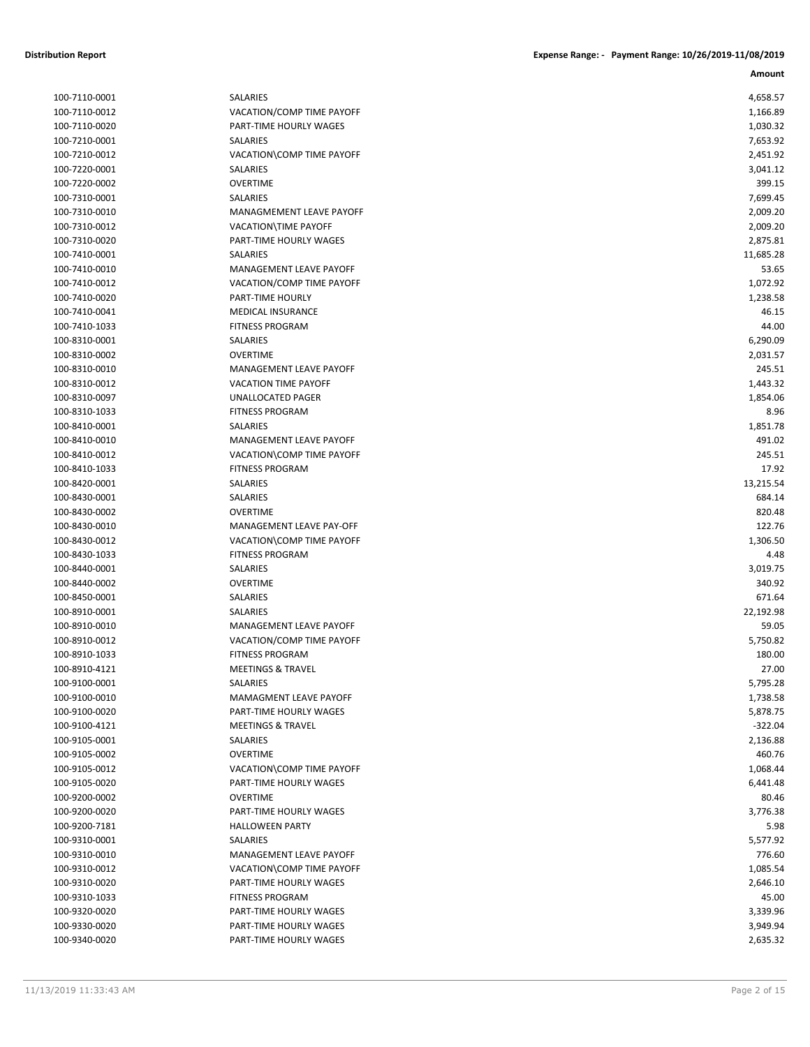| Amount |
|--------|

| 100-7110-0001 |
|---------------|
| 100-7110-0012 |
| 100-7110-0020 |
| 100-7210-0001 |
|               |
| 100-7210-0012 |
| 100-7220-0001 |
| 100-7220-0002 |
| 100-7310-0001 |
| 100-7310-0010 |
| 100-7310-0012 |
| 100-7310-0020 |
| 100-7410-0001 |
|               |
| 100-7410-0010 |
| 100-7410-0012 |
| 100-7410-0020 |
| 100-7410-0041 |
| 100-7410-1033 |
| 100-8310-0001 |
| 100-8310-0002 |
| 100-8310-0010 |
| 100-8310-0012 |
| 100-8310-0097 |
|               |
| 100-8310-1033 |
| 100-8410-0001 |
| 100-8410-0010 |
| 100-8410-0012 |
| 100-8410-1033 |
| 100-8420-0001 |
| 100-8430-0001 |
| 100-8430-0002 |
| 100-8430-0010 |
| 100-8430-0012 |
|               |
| 100-8430-1033 |
| 100-8440-0001 |
| 100-8440-0002 |
| 100-8450-0001 |
| 100-8910-0001 |
| 100-8910-0010 |
| 100-8910-0012 |
| 100-8910-1033 |
| 100-8910-4121 |
| 100-9100-0001 |
|               |
| 100-9100-0010 |
| 100-9100-0020 |
| 100-9100-4121 |
| 100-9105-0001 |
| 100-9105-0002 |
| 100-9105-0012 |
| 100-9105-0020 |
| 100-9200-0002 |
| 100-9200-0020 |
| 100-9200-7181 |
|               |
| 100-9310-0001 |
| 100-9310-0010 |
| 100-9310-0012 |
| 100-9310-0020 |
| 100-9310-1033 |
| 100-9320-0020 |
| 100-9330-0020 |
| 100-9340-0020 |
|               |

| 100-7110-0001 | SALARIES                           | 4,658.57  |
|---------------|------------------------------------|-----------|
| 100-7110-0012 | VACATION/COMP TIME PAYOFF          | 1,166.89  |
| 100-7110-0020 | PART-TIME HOURLY WAGES<br>SALARIES | 1,030.32  |
| 100-7210-0001 |                                    | 7,653.92  |
| 100-7210-0012 | VACATION\COMP TIME PAYOFF          | 2,451.92  |
| 100-7220-0001 | SALARIES                           | 3,041.12  |
| 100-7220-0002 | <b>OVERTIME</b>                    | 399.15    |
| 100-7310-0001 | SALARIES                           | 7,699.45  |
| 100-7310-0010 | MANAGMEMENT LEAVE PAYOFF           | 2,009.20  |
| 100-7310-0012 | VACATION\TIME PAYOFF               | 2,009.20  |
| 100-7310-0020 | PART-TIME HOURLY WAGES             | 2,875.81  |
| 100-7410-0001 | <b>SALARIES</b>                    | 11,685.28 |
| 100-7410-0010 | MANAGEMENT LEAVE PAYOFF            | 53.65     |
| 100-7410-0012 | VACATION/COMP TIME PAYOFF          | 1,072.92  |
| 100-7410-0020 | PART-TIME HOURLY                   | 1,238.58  |
| 100-7410-0041 | <b>MEDICAL INSURANCE</b>           | 46.15     |
| 100-7410-1033 | <b>FITNESS PROGRAM</b>             | 44.00     |
| 100-8310-0001 | SALARIES                           | 6,290.09  |
| 100-8310-0002 | <b>OVERTIME</b>                    | 2,031.57  |
| 100-8310-0010 | MANAGEMENT LEAVE PAYOFF            | 245.51    |
| 100-8310-0012 | <b>VACATION TIME PAYOFF</b>        | 1,443.32  |
| 100-8310-0097 | UNALLOCATED PAGER                  | 1,854.06  |
| 100-8310-1033 | <b>FITNESS PROGRAM</b>             | 8.96      |
| 100-8410-0001 | SALARIES                           | 1,851.78  |
| 100-8410-0010 | MANAGEMENT LEAVE PAYOFF            | 491.02    |
| 100-8410-0012 | VACATION\COMP TIME PAYOFF          | 245.51    |
| 100-8410-1033 | <b>FITNESS PROGRAM</b>             | 17.92     |
| 100-8420-0001 | SALARIES                           | 13,215.54 |
| 100-8430-0001 | SALARIES                           | 684.14    |
| 100-8430-0002 | <b>OVERTIME</b>                    | 820.48    |
| 100-8430-0010 | MANAGEMENT LEAVE PAY-OFF           | 122.76    |
| 100-8430-0012 | VACATION\COMP TIME PAYOFF          | 1,306.50  |
| 100-8430-1033 | <b>FITNESS PROGRAM</b>             | 4.48      |
| 100-8440-0001 | SALARIES                           | 3,019.75  |
| 100-8440-0002 | <b>OVERTIME</b>                    | 340.92    |
| 100-8450-0001 | <b>SALARIES</b>                    | 671.64    |
| 100-8910-0001 | SALARIES                           | 22,192.98 |
| 100-8910-0010 | MANAGEMENT LEAVE PAYOFF            | 59.05     |
| 100-8910-0012 | VACATION/COMP TIME PAYOFF          | 5,750.82  |
| 100-8910-1033 | <b>FITNESS PROGRAM</b>             | 180.00    |
| 100-8910-4121 | <b>MEETINGS &amp; TRAVEL</b>       | 27.00     |
| 100-9100-0001 | <b>SALARIES</b>                    | 5,795.28  |
| 100-9100-0010 | MAMAGMENT LEAVE PAYOFF             | 1,738.58  |
| 100-9100-0020 | PART-TIME HOURLY WAGES             | 5,878.75  |
| 100-9100-4121 | <b>MEETINGS &amp; TRAVEL</b>       | $-322.04$ |
| 100-9105-0001 | <b>SALARIES</b>                    | 2,136.88  |
| 100-9105-0002 | <b>OVERTIME</b>                    | 460.76    |
| 100-9105-0012 | VACATION\COMP TIME PAYOFF          | 1,068.44  |
| 100-9105-0020 | PART-TIME HOURLY WAGES             | 6,441.48  |
| 100-9200-0002 | <b>OVERTIME</b>                    | 80.46     |
| 100-9200-0020 | PART-TIME HOURLY WAGES             | 3,776.38  |
| 100-9200-7181 | <b>HALLOWEEN PARTY</b>             | 5.98      |
| 100-9310-0001 | SALARIES                           | 5,577.92  |
| 100-9310-0010 | MANAGEMENT LEAVE PAYOFF            | 776.60    |
|               |                                    |           |
| 100-9310-0012 | VACATION\COMP TIME PAYOFF          | 1,085.54  |
| 100-9310-0020 | PART-TIME HOURLY WAGES             | 2,646.10  |
| 100-9310-1033 | <b>FITNESS PROGRAM</b>             | 45.00     |
| 100-9320-0020 | PART-TIME HOURLY WAGES             | 3,339.96  |
| 100-9330-0020 | PART-TIME HOURLY WAGES             | 3,949.94  |
| 100-9340-0020 | PART-TIME HOURLY WAGES             | 2,635.32  |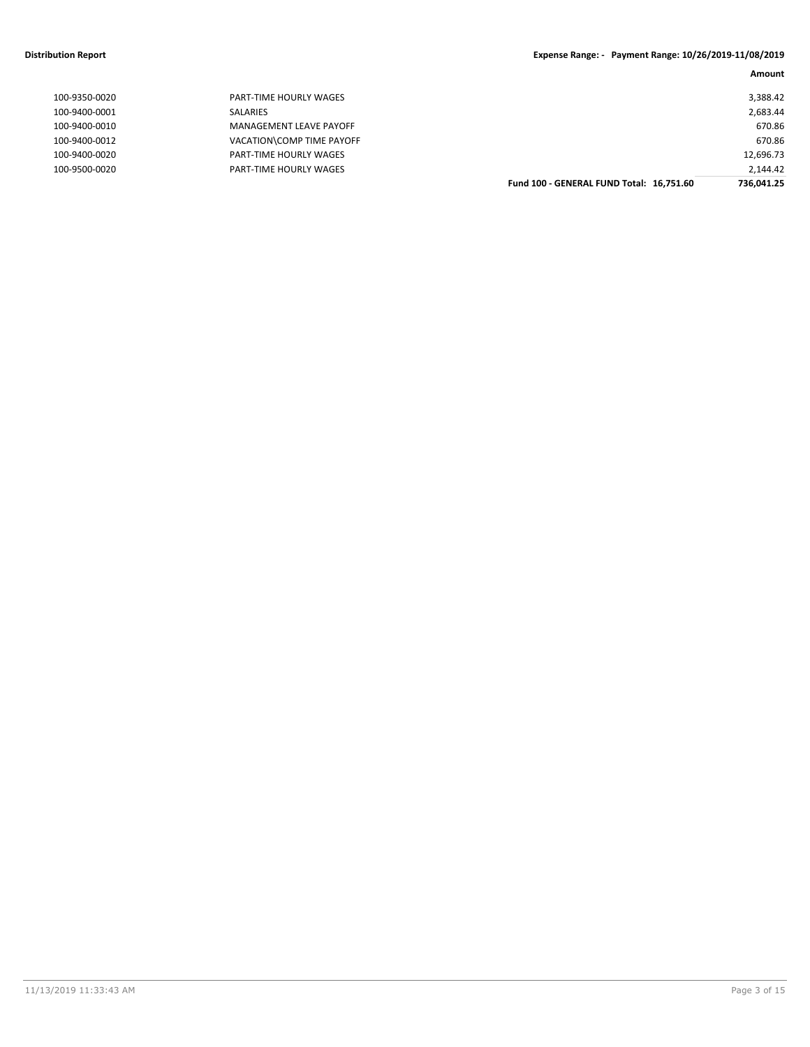|               |                                | Fund 100 - GENERAL FUND Total: 16,751.60 | 736.041.25 |
|---------------|--------------------------------|------------------------------------------|------------|
| 100-9500-0020 | PART-TIME HOURLY WAGES         |                                          | 2,144.42   |
| 100-9400-0020 | PART-TIME HOURLY WAGES         |                                          | 12,696.73  |
| 100-9400-0012 | VACATION\COMP TIME PAYOFF      |                                          | 670.86     |
| 100-9400-0010 | <b>MANAGEMENT LEAVE PAYOFF</b> |                                          | 670.86     |
| 100-9400-0001 | SALARIES                       |                                          | 2,683.44   |
| 100-9350-0020 | PART-TIME HOURLY WAGES         |                                          | 3,388.42   |
|               |                                |                                          |            |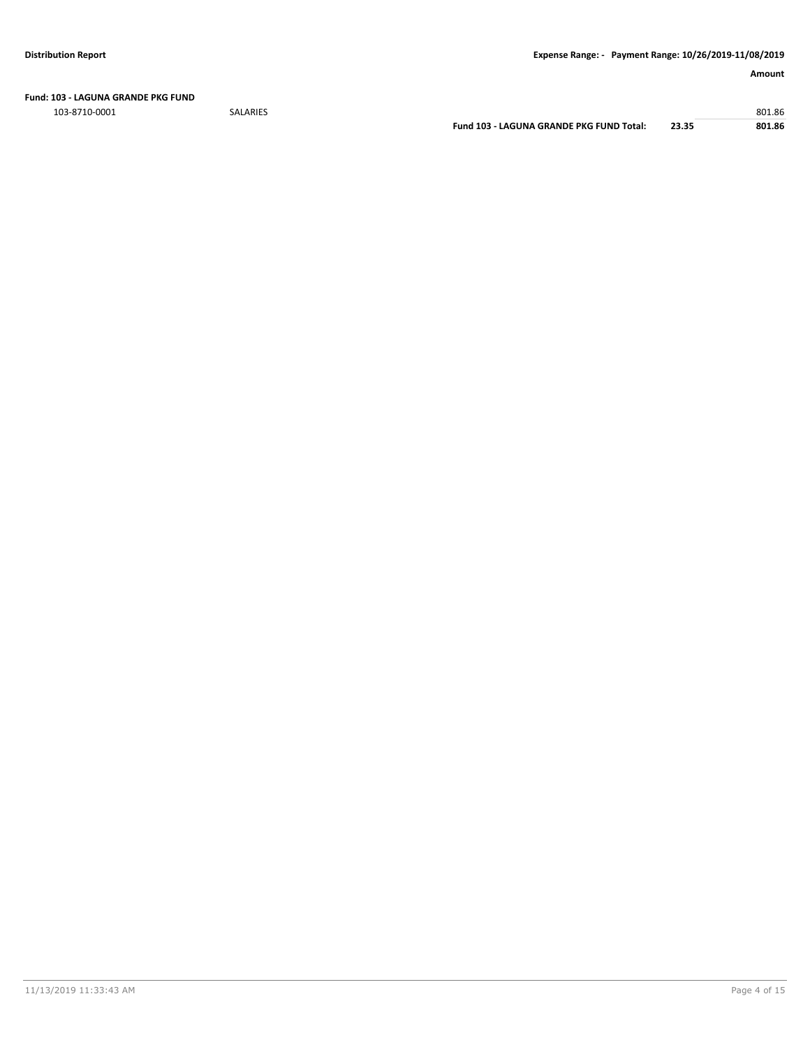**Fund: 103 - LAGUNA GRANDE PKG FUND**

103-8710-0001 SALARIES 801.86

**Fund 103 - LAGUNA GRANDE PKG FUND Total: 23.35 801.86**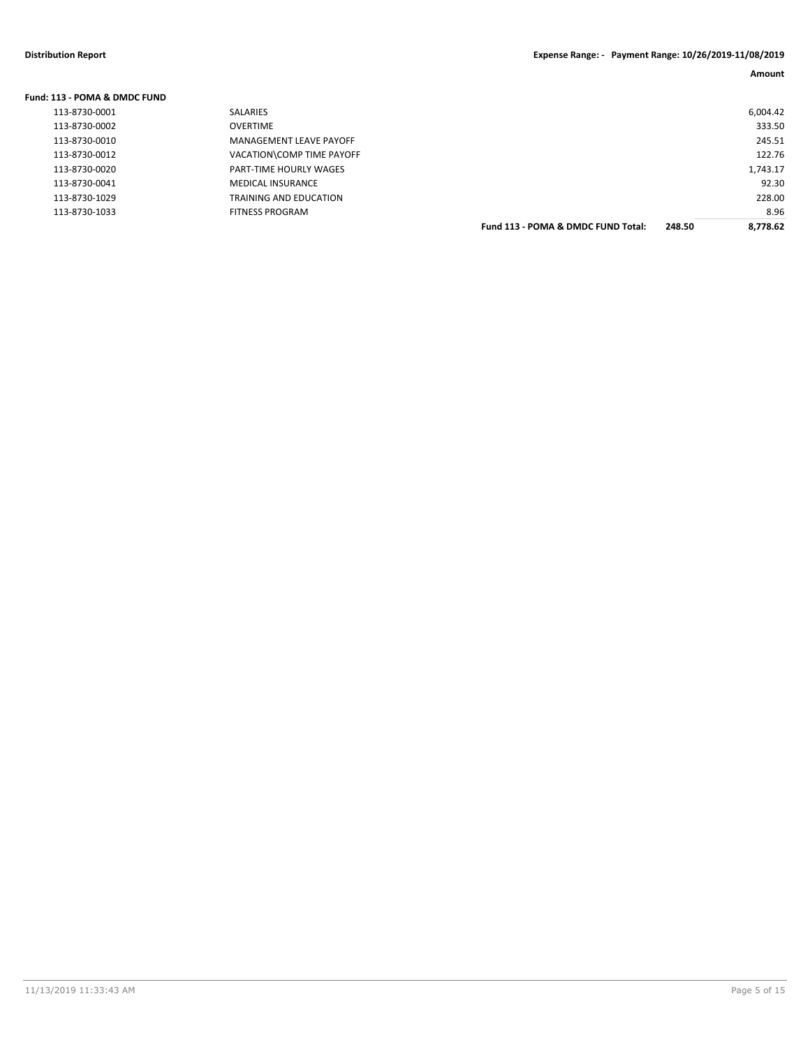| Fund: 113 - POMA & DMDC FUND |                               |                                    |        |          |
|------------------------------|-------------------------------|------------------------------------|--------|----------|
| 113-8730-0001                | SALARIES                      |                                    |        | 6,004.42 |
| 113-8730-0002                | OVERTIME                      |                                    |        | 333.50   |
| 113-8730-0010                | MANAGEMENT LEAVE PAYOFF       |                                    |        | 245.51   |
| 113-8730-0012                | VACATION\COMP TIME PAYOFF     |                                    |        | 122.76   |
| 113-8730-0020                | <b>PART-TIME HOURLY WAGES</b> |                                    |        | 1,743.17 |
| 113-8730-0041                | <b>MEDICAL INSURANCE</b>      |                                    |        | 92.30    |
| 113-8730-1029                | TRAINING AND EDUCATION        |                                    |        | 228.00   |
| 113-8730-1033                | <b>FITNESS PROGRAM</b>        |                                    |        | 8.96     |
|                              |                               | Fund 113 - POMA & DMDC FUND Total: | 248.50 | 8,778.62 |
|                              |                               |                                    |        |          |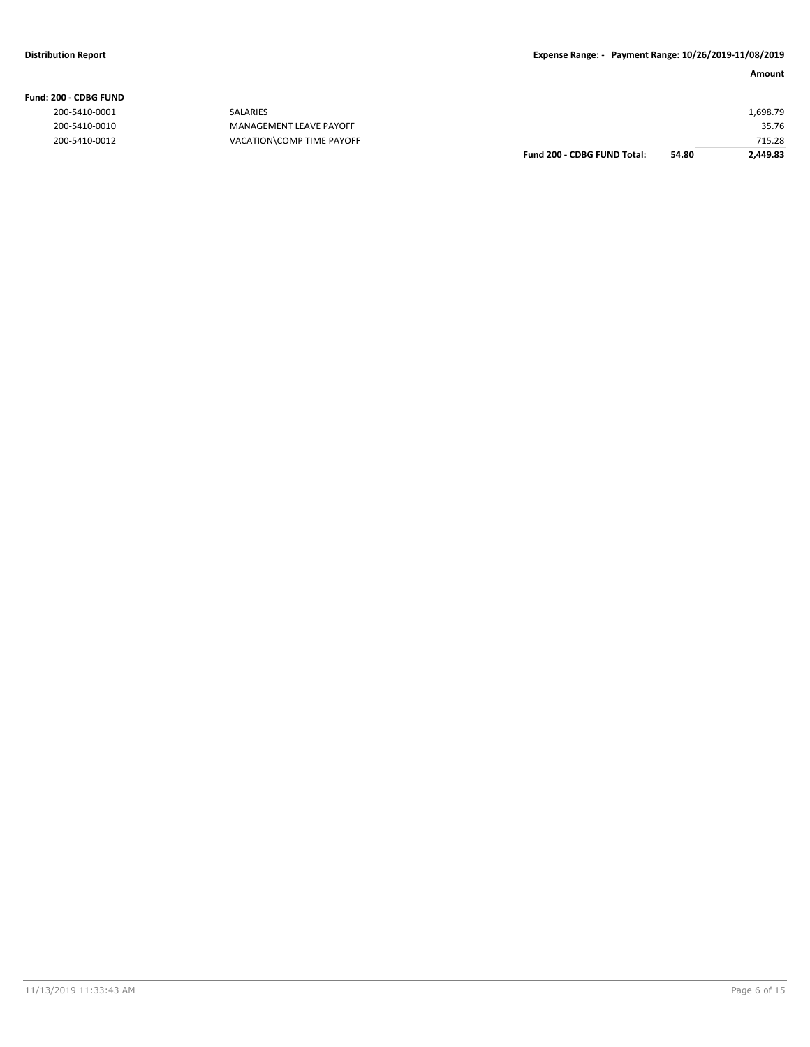**Fund: 200 - CDBG FUND**

### **Amount**

|                 |                           | Fund 200 - CDBG FUND Total: | 54.80 | 2,449.83 |
|-----------------|---------------------------|-----------------------------|-------|----------|
| 200-5410-0012   | VACATION\COMP TIME PAYOFF |                             |       | 715.28   |
| 200-5410-0010   | MANAGEMENT LEAVE PAYOFF   |                             |       | 35.76    |
| 200-5410-0001   | SALARIES                  |                             |       | 1,698.79 |
| 200 - CDBG FUND |                           |                             |       |          |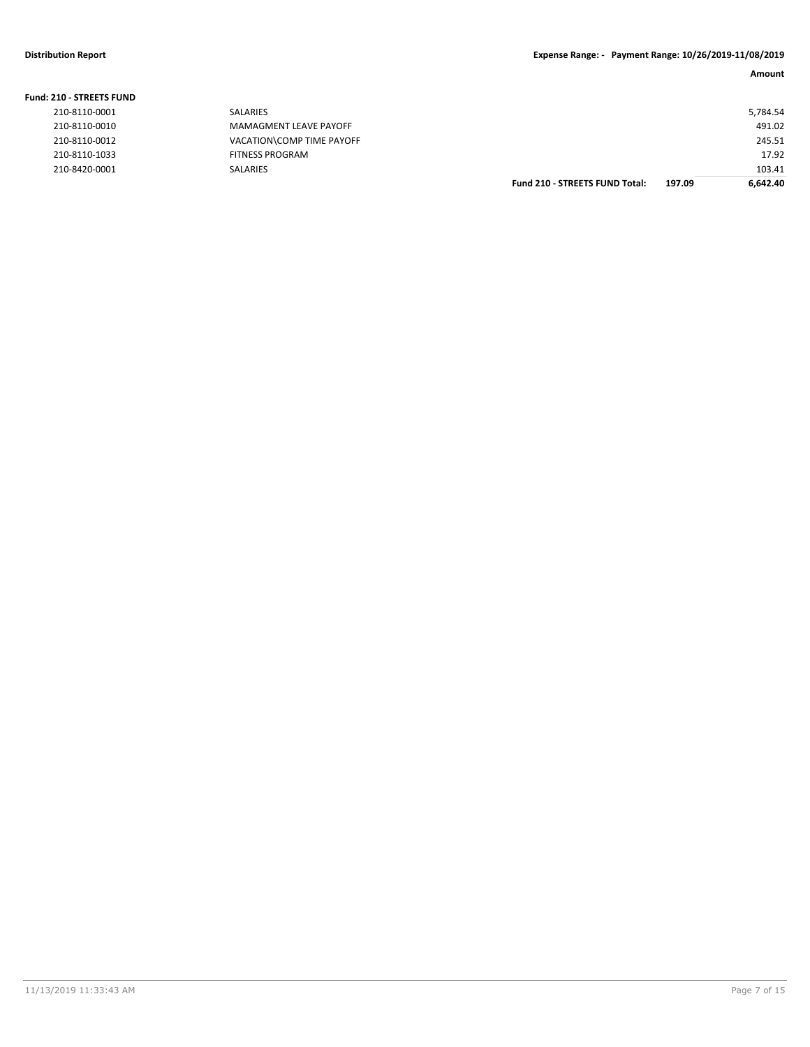### **Fund: 210 - STREETS FUND** 210-8110-0001 SALARIES 5,784.54 210-8110-0010 MAMAGMENT LEAVE PAYOFF 491.02 210-8110-0012 VACATION\COMP TIME PAYOFF 245.51 210-8110-1033 FITNESS PROGRAM 17.92 210-8420-0001 SALARIES 103.41 **Fund 210 - STREETS FUND Total: 197.09 6,642.40**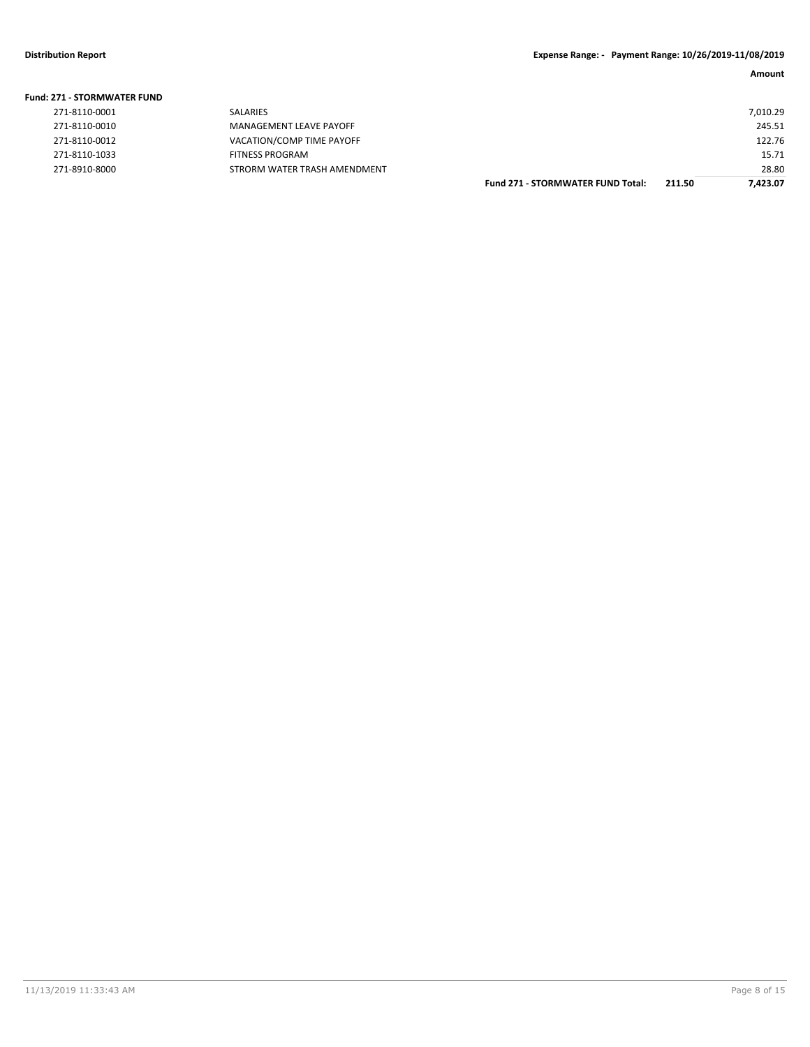| Fund: 271 - STORMWATER FUND |                              |                                          |        |          |
|-----------------------------|------------------------------|------------------------------------------|--------|----------|
| 271-8110-0001               | <b>SALARIES</b>              |                                          |        | 7,010.29 |
| 271-8110-0010               | MANAGEMENT LEAVE PAYOFF      |                                          |        | 245.51   |
| 271-8110-0012               | VACATION/COMP TIME PAYOFF    |                                          |        | 122.76   |
| 271-8110-1033               | <b>FITNESS PROGRAM</b>       |                                          |        | 15.71    |
| 271-8910-8000               | STRORM WATER TRASH AMENDMENT |                                          |        | 28.80    |
|                             |                              | <b>Fund 271 - STORMWATER FUND Total:</b> | 211.50 | 7.423.07 |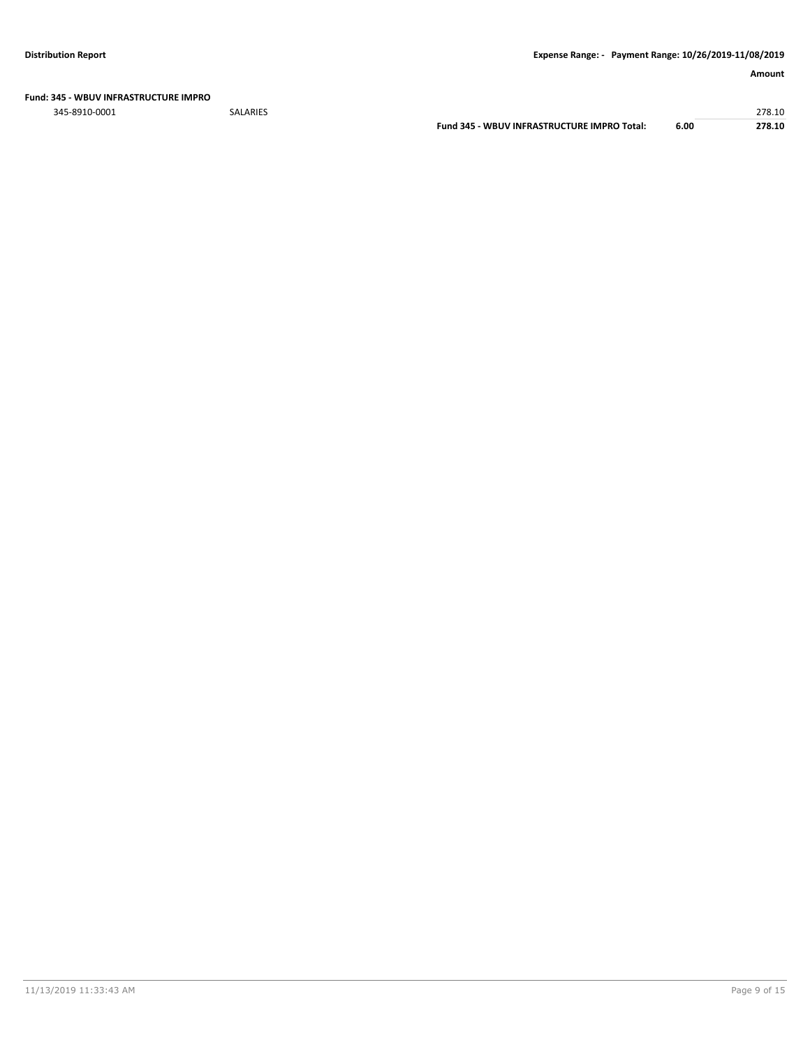### **Fund: 345 - WBUV INFRASTRUCTURE IMPRO**

345-8910-0001 SALARIES 278.10

| Fund 345 - WBUV INFRASTRUCTURE IMPRO Total: | 6.00 | 278.10 |
|---------------------------------------------|------|--------|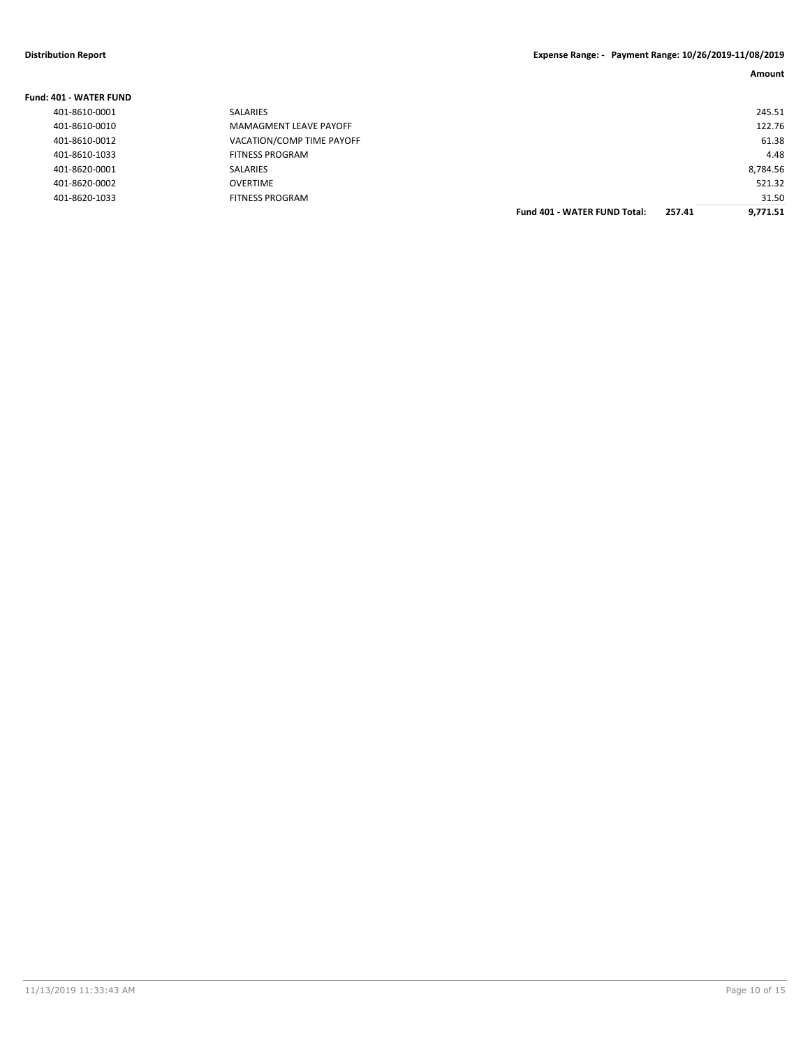### **Fund: 401 - WATER FUND**

| 401-8610-0001 | SALARIES                  |                                     |        | 245.51   |
|---------------|---------------------------|-------------------------------------|--------|----------|
| 401-8610-0010 | MAMAGMENT LEAVE PAYOFF    |                                     |        | 122.76   |
| 401-8610-0012 | VACATION/COMP TIME PAYOFF |                                     |        | 61.38    |
| 401-8610-1033 | <b>FITNESS PROGRAM</b>    |                                     |        | 4.48     |
| 401-8620-0001 | SALARIES                  |                                     |        | 8,784.56 |
| 401-8620-0002 | <b>OVERTIME</b>           |                                     |        | 521.32   |
| 401-8620-1033 | <b>FITNESS PROGRAM</b>    |                                     |        | 31.50    |
|               |                           | <b>Fund 401 - WATER FUND Total:</b> | 257.41 | 9,771.51 |
|               |                           |                                     |        |          |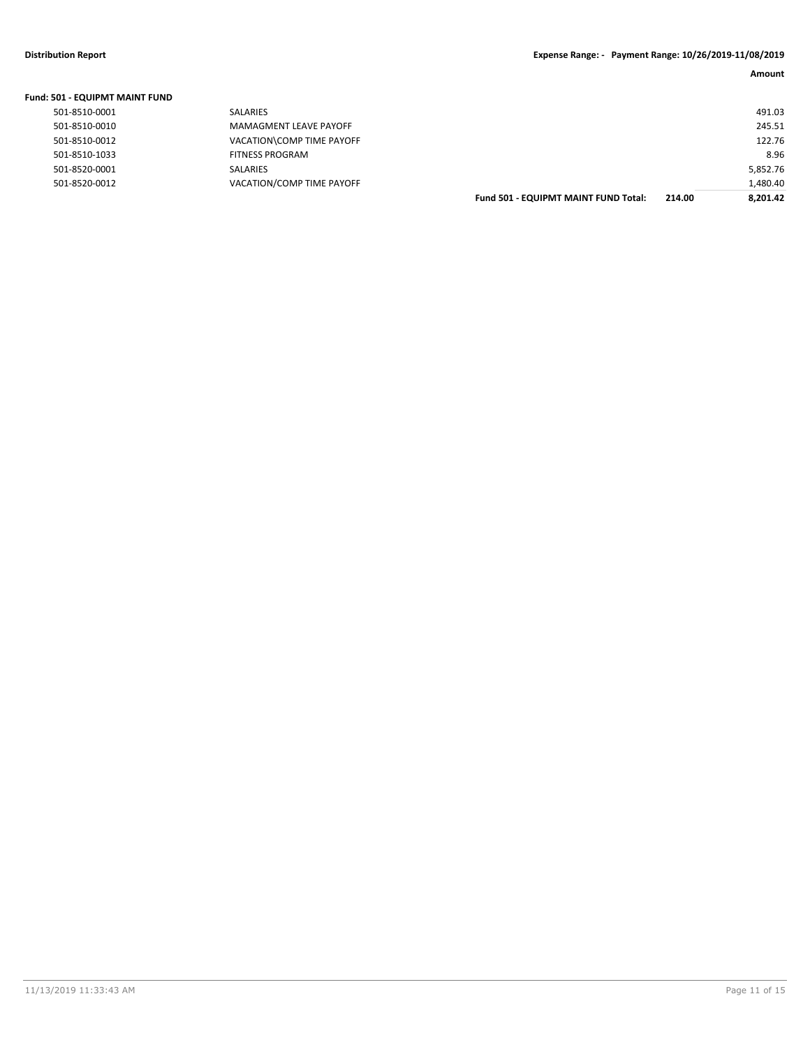| Fund: 501 - EQUIPMT MAINT FUND |                           |                                      |        |          |
|--------------------------------|---------------------------|--------------------------------------|--------|----------|
| 501-8510-0001                  | SALARIES                  |                                      |        | 491.03   |
| 501-8510-0010                  | MAMAGMENT LEAVE PAYOFF    |                                      |        | 245.51   |
| 501-8510-0012                  | VACATION\COMP TIME PAYOFF |                                      |        | 122.76   |
| 501-8510-1033                  | <b>FITNESS PROGRAM</b>    |                                      |        | 8.96     |
| 501-8520-0001                  | SALARIES                  |                                      |        | 5,852.76 |
| 501-8520-0012                  | VACATION/COMP TIME PAYOFF |                                      |        | 1,480.40 |
|                                |                           | Fund 501 - EQUIPMT MAINT FUND Total: | 214.00 | 8,201.42 |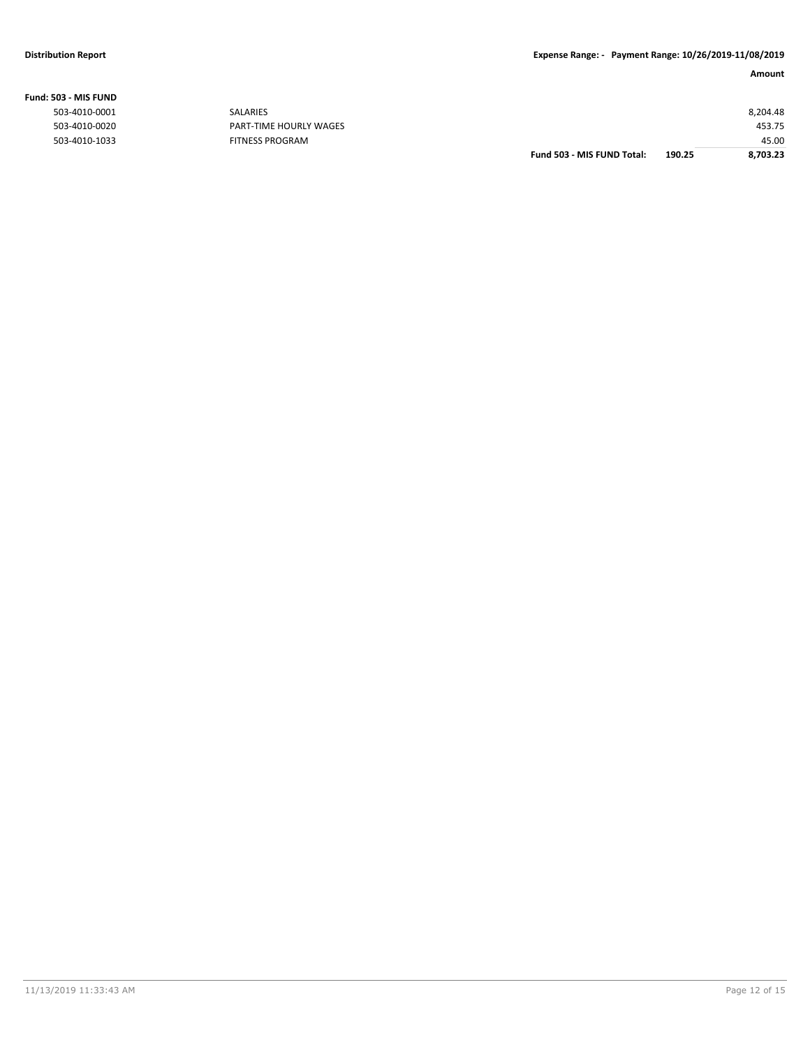|                |                        | Fund 503 - MIS FUND Total: | 190.25 | 8,703.23 |
|----------------|------------------------|----------------------------|--------|----------|
| 503-4010-1033  | <b>FITNESS PROGRAM</b> |                            |        | 45.00    |
| 503-4010-0020  | PART-TIME HOURLY WAGES |                            |        | 453.75   |
| 503-4010-0001  | <b>SALARIES</b>        |                            |        | 8,204.48 |
| 603 - MIS FUND |                        |                            |        |          |

### **Fund: 503 - MIS FUND**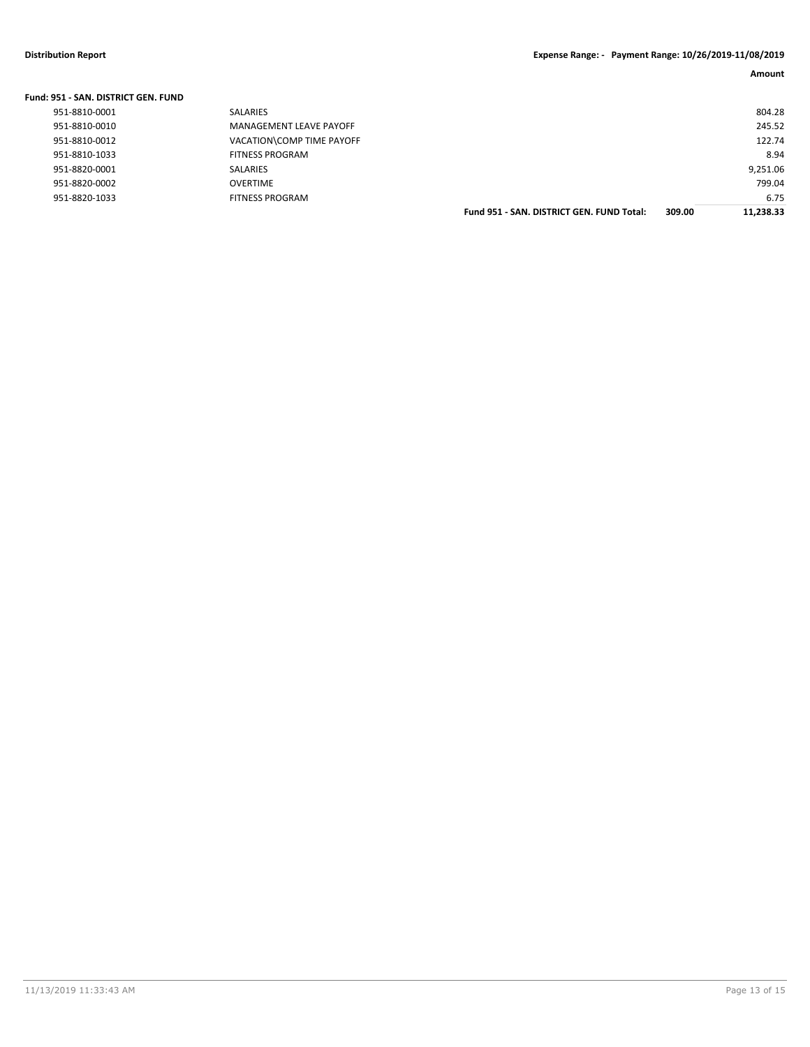| Fund: 951 - SAN. DISTRICT GEN. FUND |                           |                                           |        |           |
|-------------------------------------|---------------------------|-------------------------------------------|--------|-----------|
| 951-8810-0001                       | SALARIES                  |                                           |        | 804.28    |
| 951-8810-0010                       | MANAGEMENT LEAVE PAYOFF   |                                           |        | 245.52    |
| 951-8810-0012                       | VACATION\COMP TIME PAYOFF |                                           |        | 122.74    |
| 951-8810-1033                       | FITNESS PROGRAM           |                                           |        | 8.94      |
| 951-8820-0001                       | SALARIES                  |                                           |        | 9,251.06  |
| 951-8820-0002                       | <b>OVERTIME</b>           |                                           |        | 799.04    |
| 951-8820-1033                       | FITNESS PROGRAM           |                                           |        | 6.75      |
|                                     |                           | Fund 951 - SAN, DISTRICT GEN, FUND Total: | 309.00 | 11.238.33 |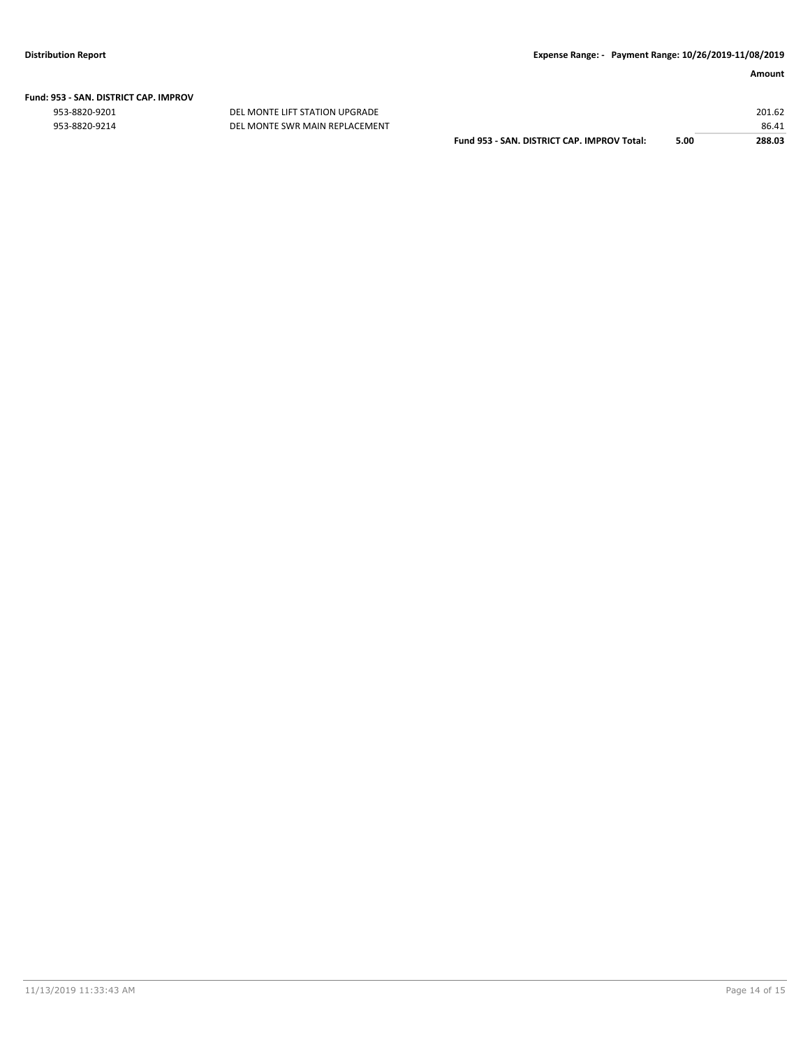|  | Fund: 953 - SAN. DISTRICT CAP. IMPROV |  |
|--|---------------------------------------|--|
|  |                                       |  |

953-8820-9201 DEL MONTE LIFT STATION UPGRADE 201.62

| 953-8820-9214 | DEL MONTE SWR MAIN REPLACEMENT |                                                    |      | 86.41  |
|---------------|--------------------------------|----------------------------------------------------|------|--------|
|               |                                | Fund 953 -<br>: - SAN. DISTRICT CAP. IMPROV Total: | 5.00 | 288.03 |